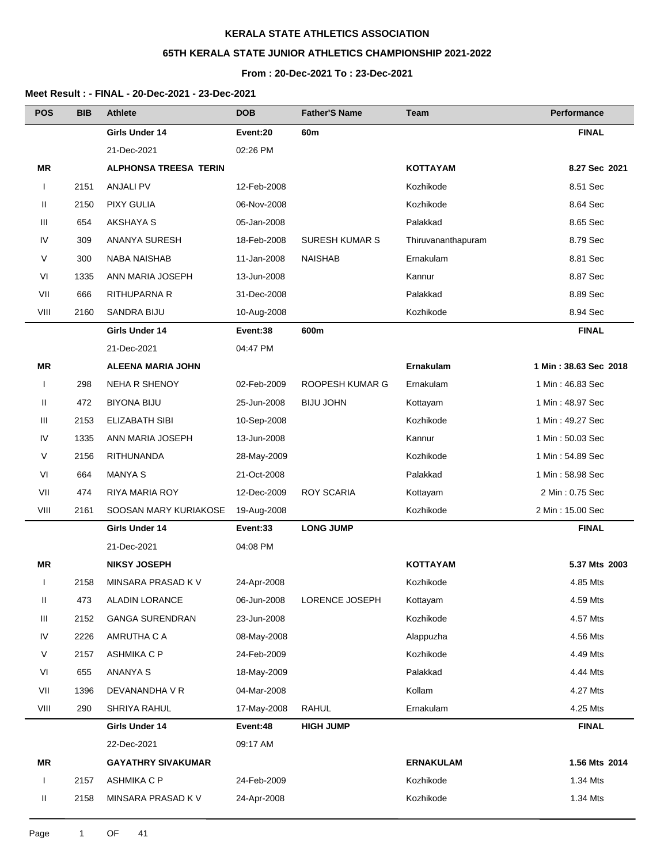# **65TH KERALA STATE JUNIOR ATHLETICS CHAMPIONSHIP 2021-2022**

## **From : 20-Dec-2021 To : 23-Dec-2021**

| <b>POS</b>   | <b>BIB</b> | <b>Athlete</b>               | <b>DOB</b>  | <b>Father'S Name</b>  | <b>Team</b>        | Performance           |
|--------------|------------|------------------------------|-------------|-----------------------|--------------------|-----------------------|
|              |            | Girls Under 14               | Event:20    | 60m                   |                    | <b>FINAL</b>          |
|              |            | 21-Dec-2021                  | 02:26 PM    |                       |                    |                       |
| ΜR           |            | <b>ALPHONSA TREESA TERIN</b> |             |                       | <b>KOTTAYAM</b>    | 8.27 Sec 2021         |
| $\mathbf{I}$ | 2151       | <b>ANJALI PV</b>             | 12-Feb-2008 |                       | Kozhikode          | 8.51 Sec              |
| Ш            | 2150       | <b>PIXY GULIA</b>            | 06-Nov-2008 |                       | Kozhikode          | 8.64 Sec              |
| Ш            | 654        | AKSHAYA S                    | 05-Jan-2008 |                       | Palakkad           | 8.65 Sec              |
| IV           | 309        | <b>ANANYA SURESH</b>         | 18-Feb-2008 | <b>SURESH KUMAR S</b> | Thiruvananthapuram | 8.79 Sec              |
| V            | 300        | <b>NABA NAISHAB</b>          | 11-Jan-2008 | <b>NAISHAB</b>        | Ernakulam          | 8.81 Sec              |
| VI           | 1335       | ANN MARIA JOSEPH             | 13-Jun-2008 |                       | Kannur             | 8.87 Sec              |
| VII          | 666        | RITHUPARNA R                 | 31-Dec-2008 |                       | Palakkad           | 8.89 Sec              |
| VIII         | 2160       | <b>SANDRA BIJU</b>           | 10-Aug-2008 |                       | Kozhikode          | 8.94 Sec              |
|              |            | Girls Under 14               | Event:38    | 600m                  |                    | <b>FINAL</b>          |
|              |            | 21-Dec-2021                  | 04:47 PM    |                       |                    |                       |
| ΜR           |            | <b>ALEENA MARIA JOHN</b>     |             |                       | <b>Ernakulam</b>   | 1 Min: 38.63 Sec 2018 |
| $\mathbf{I}$ | 298        | <b>NEHA R SHENOY</b>         | 02-Feb-2009 | ROOPESH KUMAR G       | Ernakulam          | 1 Min: 46.83 Sec      |
| Ш            | 472        | <b>BIYONA BIJU</b>           | 25-Jun-2008 | <b>BIJU JOHN</b>      | Kottayam           | 1 Min: 48.97 Sec      |
| Ш            | 2153       | <b>ELIZABATH SIBI</b>        | 10-Sep-2008 |                       | Kozhikode          | 1 Min: 49.27 Sec      |
| IV           | 1335       | ANN MARIA JOSEPH             | 13-Jun-2008 |                       | Kannur             | 1 Min: 50.03 Sec      |
| V            | 2156       | <b>RITHUNANDA</b>            | 28-May-2009 |                       | Kozhikode          | 1 Min: 54.89 Sec      |
| VI           | 664        | <b>MANYA S</b>               | 21-Oct-2008 |                       | Palakkad           | 1 Min: 58.98 Sec      |
| VII          | 474        | RIYA MARIA ROY               | 12-Dec-2009 | <b>ROY SCARIA</b>     | Kottayam           | 2 Min: 0.75 Sec       |
| VIII         | 2161       | SOOSAN MARY KURIAKOSE        | 19-Aug-2008 |                       | Kozhikode          | 2 Min: 15.00 Sec      |
|              |            | Girls Under 14               | Event:33    | <b>LONG JUMP</b>      |                    | <b>FINAL</b>          |
|              |            | 21-Dec-2021                  | 04:08 PM    |                       |                    |                       |
| ΜR           |            | <b>NIKSY JOSEPH</b>          |             |                       | <b>KOTTAYAM</b>    | 5.37 Mts 2003         |
|              | 2158       | MINSARA PRASAD K V           | 24-Apr-2008 |                       | Kozhikode          | 4.85 Mts              |
| Ш            | 473        | <b>ALADIN LORANCE</b>        | 06-Jun-2008 | LORENCE JOSEPH        | Kottayam           | 4.59 Mts              |
| Ш            | 2152       | <b>GANGA SURENDRAN</b>       | 23-Jun-2008 |                       | Kozhikode          | 4.57 Mts              |
| IV           | 2226       | AMRUTHA C A                  | 08-May-2008 |                       | Alappuzha          | 4.56 Mts              |
| V            | 2157       | ASHMIKA C P                  | 24-Feb-2009 |                       | Kozhikode          | 4.49 Mts              |
| VI           | 655        | <b>ANANYA S</b>              | 18-May-2009 |                       | Palakkad           | 4.44 Mts              |
| VII          | 1396       | DEVANANDHA V R               | 04-Mar-2008 |                       | Kollam             | 4.27 Mts              |
| VIII         | 290        | SHRIYA RAHUL                 | 17-May-2008 | <b>RAHUL</b>          | Ernakulam          | 4.25 Mts              |
|              |            | Girls Under 14               | Event:48    | <b>HIGH JUMP</b>      |                    | <b>FINAL</b>          |
|              |            | 22-Dec-2021                  | 09:17 AM    |                       |                    |                       |
| MR           |            | <b>GAYATHRY SIVAKUMAR</b>    |             |                       | <b>ERNAKULAM</b>   | 1.56 Mts 2014         |
| $\mathbf{I}$ | 2157       | <b>ASHMIKA C P</b>           | 24-Feb-2009 |                       | Kozhikode          | 1.34 Mts              |
| Ш            | 2158       | MINSARA PRASAD K V           | 24-Apr-2008 |                       | Kozhikode          | 1.34 Mts              |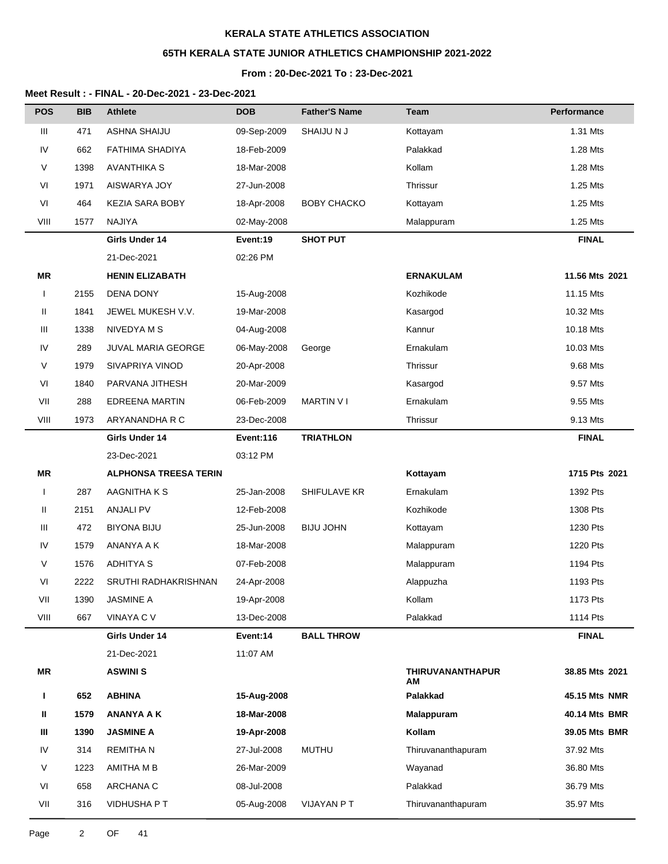# **65TH KERALA STATE JUNIOR ATHLETICS CHAMPIONSHIP 2021-2022**

### **From : 20-Dec-2021 To : 23-Dec-2021**

| <b>POS</b>   | <b>BIB</b> | <b>Athlete</b>               | <b>DOB</b>  | <b>Father'S Name</b> | <b>Team</b>                   | Performance    |
|--------------|------------|------------------------------|-------------|----------------------|-------------------------------|----------------|
| Ш            | 471        | ASHNA SHAIJU                 | 09-Sep-2009 | SHAIJU N J           | Kottayam                      | 1.31 Mts       |
| IV           | 662        | FATHIMA SHADIYA              | 18-Feb-2009 |                      | Palakkad                      | 1.28 Mts       |
| V            | 1398       | <b>AVANTHIKA S</b>           | 18-Mar-2008 |                      | Kollam                        | 1.28 Mts       |
| VI           | 1971       | AISWARYA JOY                 | 27-Jun-2008 |                      | Thrissur                      | 1.25 Mts       |
| VI           | 464        | <b>KEZIA SARA BOBY</b>       | 18-Apr-2008 | <b>BOBY CHACKO</b>   | Kottayam                      | 1.25 Mts       |
| VIII         | 1577       | <b>NAJIYA</b>                | 02-May-2008 |                      | Malappuram                    | 1.25 Mts       |
|              |            | Girls Under 14               | Event:19    | <b>SHOT PUT</b>      |                               | <b>FINAL</b>   |
|              |            | 21-Dec-2021                  | 02:26 PM    |                      |                               |                |
| <b>MR</b>    |            | <b>HENIN ELIZABATH</b>       |             |                      | <b>ERNAKULAM</b>              | 11.56 Mts 2021 |
| $\mathbf{I}$ | 2155       | DENA DONY                    | 15-Aug-2008 |                      | Kozhikode                     | 11.15 Mts      |
| Ш            | 1841       | JEWEL MUKESH V.V.            | 19-Mar-2008 |                      | Kasargod                      | 10.32 Mts      |
| Ш            | 1338       | NIVEDYA M S                  | 04-Aug-2008 |                      | Kannur                        | 10.18 Mts      |
| IV           | 289        | JUVAL MARIA GEORGE           | 06-May-2008 | George               | Ernakulam                     | 10.03 Mts      |
| V            | 1979       | SIVAPRIYA VINOD              | 20-Apr-2008 |                      | Thrissur                      | 9.68 Mts       |
| VI           | 1840       | PARVANA JITHESH              | 20-Mar-2009 |                      | Kasargod                      | 9.57 Mts       |
| VII          | 288        | <b>EDREENA MARTIN</b>        | 06-Feb-2009 | <b>MARTIN VI</b>     | Ernakulam                     | 9.55 Mts       |
| VIII         | 1973       | ARYANANDHA R C               | 23-Dec-2008 |                      | Thrissur                      | 9.13 Mts       |
|              |            | Girls Under 14               | Event:116   | <b>TRIATHLON</b>     |                               | <b>FINAL</b>   |
|              |            | 23-Dec-2021                  | 03:12 PM    |                      |                               |                |
| <b>MR</b>    |            | <b>ALPHONSA TREESA TERIN</b> |             |                      | Kottayam                      | 1715 Pts 2021  |
| $\mathbf{I}$ | 287        | AAGNITHA K S                 | 25-Jan-2008 | SHIFULAVE KR         | Ernakulam                     | 1392 Pts       |
| Ш            | 2151       | <b>ANJALI PV</b>             | 12-Feb-2008 |                      | Kozhikode                     | 1308 Pts       |
| Ш            | 472        | <b>BIYONA BIJU</b>           | 25-Jun-2008 | <b>BIJU JOHN</b>     | Kottayam                      | 1230 Pts       |
| IV           | 1579       | ANANYA A K                   | 18-Mar-2008 |                      | Malappuram                    | 1220 Pts       |
| V            | 1576       | <b>ADHITYA S</b>             | 07-Feb-2008 |                      | Malappuram                    | 1194 Pts       |
| VI           | 2222       | SRUTHI RADHAKRISHNAN         | 24-Apr-2008 |                      | Alappuzha                     | 1193 Pts       |
| VII          | 1390       | <b>JASMINE A</b>             | 19-Apr-2008 |                      | Kollam                        | 1173 Pts       |
| VIII         | 667        | VINAYA C V                   | 13-Dec-2008 |                      | Palakkad                      | 1114 Pts       |
|              |            | Girls Under 14               | Event:14    | <b>BALL THROW</b>    |                               | <b>FINAL</b>   |
|              |            | 21-Dec-2021                  | 11:07 AM    |                      |                               |                |
| MR           |            | <b>ASWINI S</b>              |             |                      | <b>THIRUVANANTHAPUR</b><br>ΑM | 38.85 Mts 2021 |
| L            | 652        | <b>ABHINA</b>                | 15-Aug-2008 |                      | Palakkad                      | 45.15 Mts NMR  |
| Ш            | 1579       | <b>ANANYA A K</b>            | 18-Mar-2008 |                      | <b>Malappuram</b>             | 40.14 Mts BMR  |
| Ш            | 1390       | <b>JASMINE A</b>             | 19-Apr-2008 |                      | Kollam                        | 39.05 Mts BMR  |
| IV           | 314        | <b>REMITHAN</b>              | 27-Jul-2008 | <b>MUTHU</b>         | Thiruvananthapuram            | 37.92 Mts      |
| V            | 1223       | AMITHA M B                   | 26-Mar-2009 |                      | Wayanad                       | 36.80 Mts      |
| VI           | 658        | ARCHANA C                    | 08-Jul-2008 |                      | Palakkad                      | 36.79 Mts      |
| VII          | 316        | <b>VIDHUSHA P T</b>          | 05-Aug-2008 | VIJAYAN PT           | Thiruvananthapuram            | 35.97 Mts      |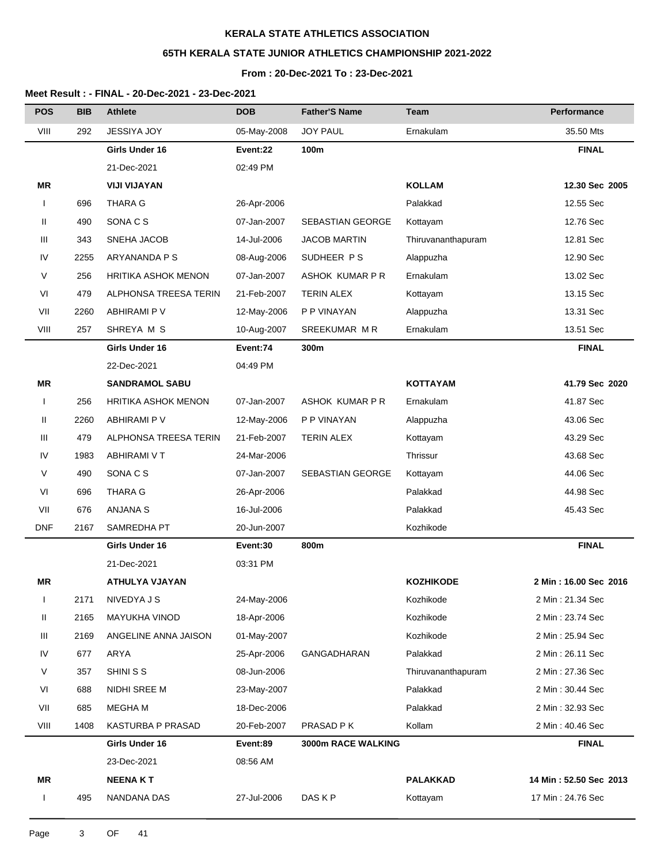# **65TH KERALA STATE JUNIOR ATHLETICS CHAMPIONSHIP 2021-2022**

### **From : 20-Dec-2021 To : 23-Dec-2021**

| <b>POS</b>   | <b>BIB</b> | <b>Athlete</b>             | <b>DOB</b>  | <b>Father'S Name</b>    | Team               | Performance            |
|--------------|------------|----------------------------|-------------|-------------------------|--------------------|------------------------|
| VIII         | 292        | JESSIYA JOY                | 05-May-2008 | <b>JOY PAUL</b>         | Ernakulam          | 35.50 Mts              |
|              |            | Girls Under 16             | Event:22    | 100m                    |                    | <b>FINAL</b>           |
|              |            | 21-Dec-2021                | 02:49 PM    |                         |                    |                        |
| ΜR           |            | <b>VIJI VIJAYAN</b>        |             |                         | <b>KOLLAM</b>      | 12.30 Sec 2005         |
| $\mathbf{I}$ | 696        | <b>THARA G</b>             | 26-Apr-2006 |                         | Palakkad           | 12.55 Sec              |
| Ш            | 490        | SONA C S                   | 07-Jan-2007 | <b>SEBASTIAN GEORGE</b> | Kottayam           | 12.76 Sec              |
| Ш            | 343        | SNEHA JACOB                | 14-Jul-2006 | <b>JACOB MARTIN</b>     | Thiruvananthapuram | 12.81 Sec              |
| IV           | 2255       | ARYANANDA P S              | 08-Aug-2006 | SUDHEER PS              | Alappuzha          | 12.90 Sec              |
| V            | 256        | <b>HRITIKA ASHOK MENON</b> | 07-Jan-2007 | ASHOK KUMAR P R         | Ernakulam          | 13.02 Sec              |
| VI           | 479        | ALPHONSA TREESA TERIN      | 21-Feb-2007 | <b>TERIN ALEX</b>       | Kottayam           | 13.15 Sec              |
| VII          | 2260       | ABHIRAMI P V               | 12-May-2006 | P P VINAYAN             | Alappuzha          | 13.31 Sec              |
| VIII         | 257        | SHREYA M S                 | 10-Aug-2007 | SREEKUMAR MR            | Ernakulam          | 13.51 Sec              |
|              |            | Girls Under 16             | Event:74    | 300m                    |                    | <b>FINAL</b>           |
|              |            | 22-Dec-2021                | 04:49 PM    |                         |                    |                        |
| MR           |            | <b>SANDRAMOL SABU</b>      |             |                         | <b>KOTTAYAM</b>    | 41.79 Sec 2020         |
| $\mathsf{I}$ | 256        | <b>HRITIKA ASHOK MENON</b> | 07-Jan-2007 | ASHOK KUMAR P R         | Ernakulam          | 41.87 Sec              |
| Ш            | 2260       | ABHIRAMI P V               | 12-May-2006 | P P VINAYAN             | Alappuzha          | 43.06 Sec              |
| Ш            | 479        | ALPHONSA TREESA TERIN      | 21-Feb-2007 | <b>TERIN ALEX</b>       | Kottayam           | 43.29 Sec              |
| IV           | 1983       | <b>ABHIRAMI V T</b>        | 24-Mar-2006 |                         | Thrissur           | 43.68 Sec              |
| V            | 490        | SONA C S                   | 07-Jan-2007 | <b>SEBASTIAN GEORGE</b> | Kottayam           | 44.06 Sec              |
| VI           | 696        | <b>THARA G</b>             | 26-Apr-2006 |                         | Palakkad           | 44.98 Sec              |
| VII          | 676        | <b>ANJANA S</b>            | 16-Jul-2006 |                         | Palakkad           | 45.43 Sec              |
| <b>DNF</b>   | 2167       | SAMREDHA PT                | 20-Jun-2007 |                         | Kozhikode          |                        |
|              |            | Girls Under 16             | Event:30    | 800m                    |                    | <b>FINAL</b>           |
|              |            | 21-Dec-2021                | 03:31 PM    |                         |                    |                        |
| ΜR           |            | <b>ATHULYA VJAYAN</b>      |             |                         | <b>KOZHIKODE</b>   | 2 Min: 16.00 Sec 2016  |
| $\mathbf{I}$ | 2171       | NIVEDYA J S                | 24-May-2006 |                         | Kozhikode          | 2 Min: 21.34 Sec       |
| Ш            | 2165       | <b>MAYUKHA VINOD</b>       | 18-Apr-2006 |                         | Kozhikode          | 2 Min: 23.74 Sec       |
| Ш            | 2169       | ANGELINE ANNA JAISON       | 01-May-2007 |                         | Kozhikode          | 2 Min: 25.94 Sec       |
| IV           | 677        | ARYA                       | 25-Apr-2006 | GANGADHARAN             | Palakkad           | 2 Min: 26.11 Sec       |
| V            | 357        | SHINI S S                  | 08-Jun-2006 |                         | Thiruvananthapuram | 2 Min: 27.36 Sec       |
| VI           | 688        | NIDHI SREE M               | 23-May-2007 |                         | Palakkad           | 2 Min: 30.44 Sec       |
| VII          | 685        | <b>MEGHAM</b>              | 18-Dec-2006 |                         | Palakkad           | 2 Min: 32.93 Sec       |
| VIII         | 1408       | KASTURBA P PRASAD          | 20-Feb-2007 | PRASAD P K              | Kollam             | 2 Min: 40.46 Sec       |
|              |            | Girls Under 16             | Event:89    | 3000m RACE WALKING      |                    | <b>FINAL</b>           |
|              |            | 23-Dec-2021                | 08:56 AM    |                         |                    |                        |
| MR           |            | <b>NEENAKT</b>             |             |                         | <b>PALAKKAD</b>    | 14 Min: 52.50 Sec 2013 |
| $\mathbf{I}$ | 495        | NANDANA DAS                | 27-Jul-2006 | DAS K P                 | Kottayam           | 17 Min: 24.76 Sec      |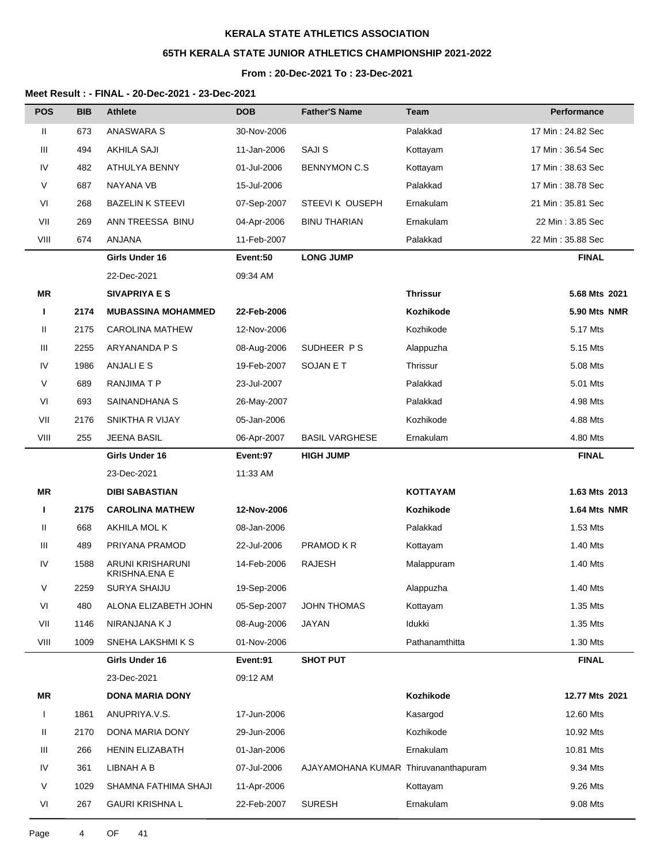# **65TH KERALA STATE JUNIOR ATHLETICS CHAMPIONSHIP 2021-2022**

### **From : 20-Dec-2021 To : 23-Dec-2021**

| <b>POS</b>   | <b>BIB</b> | <b>Athlete</b>                           | <b>DOB</b>  | <b>Father'S Name</b>                 | Team            | Performance       |
|--------------|------------|------------------------------------------|-------------|--------------------------------------|-----------------|-------------------|
| Ш            | 673        | <b>ANASWARA S</b>                        | 30-Nov-2006 |                                      | Palakkad        | 17 Min: 24.82 Sec |
| Ш            | 494        | <b>AKHILA SAJI</b>                       | 11-Jan-2006 | SAJI S                               | Kottayam        | 17 Min: 36.54 Sec |
| IV           | 482        | ATHULYA BENNY                            | 01-Jul-2006 | <b>BENNYMON C.S</b>                  | Kottayam        | 17 Min: 38.63 Sec |
| V            | 687        | NAYANA VB                                | 15-Jul-2006 |                                      | Palakkad        | 17 Min: 38.78 Sec |
| VI           | 268        | <b>BAZELIN K STEEVI</b>                  | 07-Sep-2007 | STEEVIK OUSEPH                       | Ernakulam       | 21 Min: 35.81 Sec |
| VII          | 269        | ANN TREESSA BINU                         | 04-Apr-2006 | <b>BINU THARIAN</b>                  | Ernakulam       | 22 Min: 3.85 Sec  |
| VIII         | 674        | ANJANA                                   | 11-Feb-2007 |                                      | Palakkad        | 22 Min: 35.88 Sec |
|              |            | Girls Under 16                           | Event:50    | <b>LONG JUMP</b>                     |                 | <b>FINAL</b>      |
|              |            | 22-Dec-2021                              | 09:34 AM    |                                      |                 |                   |
| ΜR           |            | <b>SIVAPRIYA E S</b>                     |             |                                      | <b>Thrissur</b> | 5.68 Mts 2021     |
| п            | 2174       | <b>MUBASSINA MOHAMMED</b>                | 22-Feb-2006 |                                      | Kozhikode       | 5.90 Mts NMR      |
| Ш            | 2175       | CAROLINA MATHEW                          | 12-Nov-2006 |                                      | Kozhikode       | 5.17 Mts          |
| Ш            | 2255       | ARYANANDA P S                            | 08-Aug-2006 | SUDHEER PS                           | Alappuzha       | 5.15 Mts          |
| IV           | 1986       | ANJALI E S                               | 19-Feb-2007 | SOJAN E T                            | Thrissur        | 5.08 Mts          |
| $\vee$       | 689        | RANJIMA T P                              | 23-Jul-2007 |                                      | Palakkad        | 5.01 Mts          |
| VI           | 693        | SAINANDHANA S                            | 26-May-2007 |                                      | Palakkad        | 4.98 Mts          |
| VII          | 2176       | SNIKTHA R VIJAY                          | 05-Jan-2006 |                                      | Kozhikode       | 4.88 Mts          |
| VIII         | 255        | <b>JEENA BASIL</b>                       | 06-Apr-2007 | <b>BASIL VARGHESE</b>                | Ernakulam       | 4.80 Mts          |
|              |            | Girls Under 16                           | Event:97    | <b>HIGH JUMP</b>                     |                 | <b>FINAL</b>      |
|              |            | 23-Dec-2021                              | 11:33 AM    |                                      |                 |                   |
| <b>MR</b>    |            | <b>DIBI SABASTIAN</b>                    |             |                                      | <b>KOTTAYAM</b> | 1.63 Mts 2013     |
| п            | 2175       | <b>CAROLINA MATHEW</b>                   | 12-Nov-2006 |                                      | Kozhikode       | 1.64 Mts NMR      |
| Ш            | 668        | AKHILA MOL K                             | 08-Jan-2006 |                                      | Palakkad        | 1.53 Mts          |
| Ш            | 489        | PRIYANA PRAMOD                           | 22-Jul-2006 | PRAMOD K R                           | Kottayam        | 1.40 Mts          |
| IV           | 1588       | ARUNI KRISHARUNI<br><b>KRISHNA.ENA E</b> | 14-Feb-2006 | <b>RAJESH</b>                        | Malappuram      | 1.40 Mts          |
| V            | 2259       | SURYA SHAIJU                             | 19-Sep-2006 |                                      | Alappuzha       | 1.40 Mts          |
| VI           | 480        | ALONA ELIZABETH JOHN                     | 05-Sep-2007 | <b>JOHN THOMAS</b>                   | Kottayam        | 1.35 Mts          |
| VII          | 1146       | NIRANJANA K J                            | 08-Aug-2006 | JAYAN                                | Idukki          | 1.35 Mts          |
| VIII         | 1009       | SNEHA LAKSHMI K S                        | 01-Nov-2006 |                                      | Pathanamthitta  | 1.30 Mts          |
|              |            | Girls Under 16                           | Event:91    | <b>SHOT PUT</b>                      |                 | <b>FINAL</b>      |
|              |            | 23-Dec-2021                              | 09:12 AM    |                                      |                 |                   |
| MR           |            | <b>DONA MARIA DONY</b>                   |             |                                      | Kozhikode       | 12.77 Mts 2021    |
| $\mathbf{I}$ | 1861       | ANUPRIYA.V.S.                            | 17-Jun-2006 |                                      | Kasargod        | 12.60 Mts         |
| Ш            | 2170       | DONA MARIA DONY                          | 29-Jun-2006 |                                      | Kozhikode       | 10.92 Mts         |
| Ш            | 266        | <b>HENIN ELIZABATH</b>                   | 01-Jan-2006 |                                      | Ernakulam       | 10.81 Mts         |
| IV           | 361        | LIBNAH A B                               | 07-Jul-2006 | AJAYAMOHANA KUMAR Thiruvananthapuram |                 | 9.34 Mts          |
| $\vee$       | 1029       | SHAMNA FATHIMA SHAJI                     | 11-Apr-2006 |                                      | Kottayam        | 9.26 Mts          |
| VI           | 267        | <b>GAURI KRISHNA L</b>                   | 22-Feb-2007 | <b>SURESH</b>                        | Ernakulam       | 9.08 Mts          |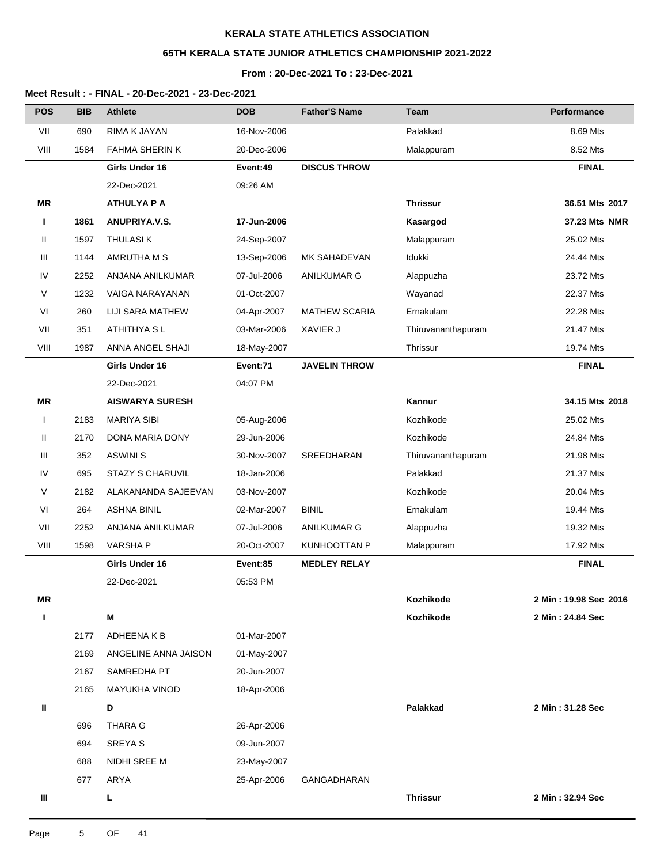## **65TH KERALA STATE JUNIOR ATHLETICS CHAMPIONSHIP 2021-2022**

#### **From : 20-Dec-2021 To : 23-Dec-2021**

| <b>POS</b> | <b>BIB</b> | <b>Athlete</b>         | <b>DOB</b>  | <b>Father'S Name</b> | Team               | Performance           |
|------------|------------|------------------------|-------------|----------------------|--------------------|-----------------------|
| VII        | 690        | RIMA K JAYAN           | 16-Nov-2006 |                      | Palakkad           | 8.69 Mts              |
| VIII       | 1584       | FAHMA SHERIN K         | 20-Dec-2006 |                      | Malappuram         | 8.52 Mts              |
|            |            | Girls Under 16         | Event:49    | <b>DISCUS THROW</b>  |                    | <b>FINAL</b>          |
|            |            | 22-Dec-2021            | 09:26 AM    |                      |                    |                       |
| <b>MR</b>  |            | <b>ATHULYA P A</b>     |             |                      | <b>Thrissur</b>    | 36.51 Mts 2017        |
| п          | 1861       | ANUPRIYA.V.S.          | 17-Jun-2006 |                      | Kasargod           | 37.23 Mts NMR         |
| Ш          | 1597       | <b>THULASIK</b>        | 24-Sep-2007 |                      | Malappuram         | 25.02 Mts             |
| Ш          | 1144       | AMRUTHA M S            | 13-Sep-2006 | MK SAHADEVAN         | Idukki             | 24.44 Mts             |
| IV         | 2252       | ANJANA ANILKUMAR       | 07-Jul-2006 | ANILKUMAR G          | Alappuzha          | 23.72 Mts             |
| V          | 1232       | VAIGA NARAYANAN        | 01-Oct-2007 |                      | Wayanad            | 22.37 Mts             |
| VI         | 260        | LIJI SARA MATHEW       | 04-Apr-2007 | <b>MATHEW SCARIA</b> | Ernakulam          | 22.28 Mts             |
| VII        | 351        | ATHITHYA S L           | 03-Mar-2006 | XAVIER J             | Thiruvananthapuram | 21.47 Mts             |
| VIII       | 1987       | ANNA ANGEL SHAJI       | 18-May-2007 |                      | Thrissur           | 19.74 Mts             |
|            |            | Girls Under 16         | Event:71    | <b>JAVELIN THROW</b> |                    | <b>FINAL</b>          |
|            |            | 22-Dec-2021            | 04:07 PM    |                      |                    |                       |
| <b>MR</b>  |            | <b>AISWARYA SURESH</b> |             |                      | Kannur             | 34.15 Mts 2018        |
| I          | 2183       | <b>MARIYA SIBI</b>     | 05-Aug-2006 |                      | Kozhikode          | 25.02 Mts             |
| Ш          | 2170       | DONA MARIA DONY        | 29-Jun-2006 |                      | Kozhikode          | 24.84 Mts             |
| Ш          | 352        | <b>ASWINI S</b>        | 30-Nov-2007 | SREEDHARAN           | Thiruvananthapuram | 21.98 Mts             |
| IV         | 695        | STAZY S CHARUVIL       | 18-Jan-2006 |                      | Palakkad           | 21.37 Mts             |
| V          | 2182       | ALAKANANDA SAJEEVAN    | 03-Nov-2007 |                      | Kozhikode          | 20.04 Mts             |
| VI         | 264        | <b>ASHNA BINIL</b>     | 02-Mar-2007 | <b>BINIL</b>         | Ernakulam          | 19.44 Mts             |
| VII        | 2252       | ANJANA ANILKUMAR       | 07-Jul-2006 | ANILKUMAR G          | Alappuzha          | 19.32 Mts             |
| VIII       | 1598       | <b>VARSHAP</b>         | 20-Oct-2007 | KUNHOOTTAN P         | Malappuram         | 17.92 Mts             |
|            |            | Girls Under 16         | Event:85    | <b>MEDLEY RELAY</b>  |                    | <b>FINAL</b>          |
|            |            | 22-Dec-2021            | 05:53 PM    |                      |                    |                       |
| <b>MR</b>  |            |                        |             |                      | Kozhikode          | 2 Min: 19.98 Sec 2016 |
| п          |            | M                      |             |                      | Kozhikode          | 2 Min: 24.84 Sec      |
|            | 2177       | ADHEENAKB              | 01-Mar-2007 |                      |                    |                       |
|            | 2169       | ANGELINE ANNA JAISON   | 01-May-2007 |                      |                    |                       |
|            | 2167       | SAMREDHA PT            | 20-Jun-2007 |                      |                    |                       |
|            | 2165       | <b>MAYUKHA VINOD</b>   | 18-Apr-2006 |                      |                    |                       |
| Ш          |            | D                      |             |                      | Palakkad           | 2 Min: 31.28 Sec      |
|            | 696        | <b>THARA G</b>         | 26-Apr-2006 |                      |                    |                       |
|            | 694        | SREYA S                | 09-Jun-2007 |                      |                    |                       |
|            | 688        | NIDHI SREE M           | 23-May-2007 |                      |                    |                       |
|            | 677        | ARYA                   | 25-Apr-2006 | GANGADHARAN          |                    |                       |
| Ш          |            | L                      |             |                      | <b>Thrissur</b>    | 2 Min: 32.94 Sec      |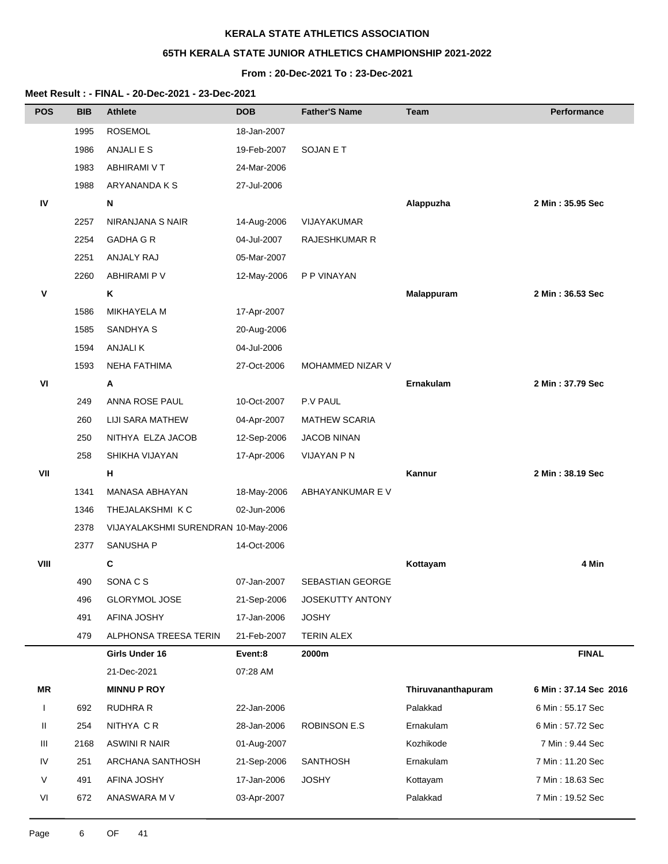## **65TH KERALA STATE JUNIOR ATHLETICS CHAMPIONSHIP 2021-2022**

## **From : 20-Dec-2021 To : 23-Dec-2021**

| <b>POS</b>   | <b>BIB</b> | <b>Athlete</b>                      | <b>DOB</b>  | <b>Father'S Name</b>    | Team               | <b>Performance</b>    |
|--------------|------------|-------------------------------------|-------------|-------------------------|--------------------|-----------------------|
|              | 1995       | <b>ROSEMOL</b>                      | 18-Jan-2007 |                         |                    |                       |
|              | 1986       | ANJALI E S                          | 19-Feb-2007 | SOJAN E T               |                    |                       |
|              | 1983       | ABHIRAMI V T                        | 24-Mar-2006 |                         |                    |                       |
|              | 1988       | ARYANANDA K S                       | 27-Jul-2006 |                         |                    |                       |
| IV           |            | N                                   |             |                         | Alappuzha          | 2 Min: 35.95 Sec      |
|              | 2257       | NIRANJANA S NAIR                    | 14-Aug-2006 | VIJAYAKUMAR             |                    |                       |
|              | 2254       | <b>GADHA G R</b>                    | 04-Jul-2007 | <b>RAJESHKUMAR R</b>    |                    |                       |
|              | 2251       | ANJALY RAJ                          | 05-Mar-2007 |                         |                    |                       |
|              | 2260       | ABHIRAMI P V                        | 12-May-2006 | P P VINAYAN             |                    |                       |
| v            |            | Κ                                   |             |                         | Malappuram         | 2 Min: 36.53 Sec      |
|              | 1586       | <b>MIKHAYELA M</b>                  | 17-Apr-2007 |                         |                    |                       |
|              | 1585       | SANDHYA S                           | 20-Aug-2006 |                         |                    |                       |
|              | 1594       | ANJALI K                            | 04-Jul-2006 |                         |                    |                       |
|              | 1593       | <b>NEHA FATHIMA</b>                 | 27-Oct-2006 | MOHAMMED NIZAR V        |                    |                       |
| VI           |            | Α                                   |             |                         | <b>Ernakulam</b>   | 2 Min: 37.79 Sec      |
|              | 249        | <b>ANNA ROSE PAUL</b>               | 10-Oct-2007 | P.V PAUL                |                    |                       |
|              | 260        | LIJI SARA MATHEW                    | 04-Apr-2007 | <b>MATHEW SCARIA</b>    |                    |                       |
|              | 250        | NITHYA ELZA JACOB                   | 12-Sep-2006 | <b>JACOB NINAN</b>      |                    |                       |
|              | 258        | SHIKHA VIJAYAN                      | 17-Apr-2006 | <b>VIJAYAN P N</b>      |                    |                       |
| VII          |            | н                                   |             |                         | Kannur             | 2 Min: 38.19 Sec      |
|              | 1341       | MANASA ABHAYAN                      | 18-May-2006 | ABHAYANKUMAR E V        |                    |                       |
|              | 1346       | THEJALAKSHMI K C                    | 02-Jun-2006 |                         |                    |                       |
|              | 2378       | VIJAYALAKSHMI SURENDRAN 10-May-2006 |             |                         |                    |                       |
|              | 2377       | SANUSHA P                           | 14-Oct-2006 |                         |                    |                       |
| VIII         |            | $\mathbf{C}$                        |             |                         | Kottayam           | 4 Min                 |
|              | 490        | SONA C S                            | 07-Jan-2007 | <b>SEBASTIAN GEORGE</b> |                    |                       |
|              | 496        | <b>GLORYMOL JOSE</b>                | 21-Sep-2006 | JOSEKUTTY ANTONY        |                    |                       |
|              | 491        | AFINA JOSHY                         | 17-Jan-2006 | <b>JOSHY</b>            |                    |                       |
|              | 479        | ALPHONSA TREESA TERIN               | 21-Feb-2007 | <b>TERIN ALEX</b>       |                    |                       |
|              |            | Girls Under 16                      | Event:8     | 2000m                   |                    | <b>FINAL</b>          |
|              |            | 21-Dec-2021                         | 07:28 AM    |                         |                    |                       |
| MR           |            | <b>MINNU P ROY</b>                  |             |                         | Thiruvananthapuram | 6 Min: 37.14 Sec 2016 |
| $\mathbf{I}$ | 692        | RUDHRA R                            | 22-Jan-2006 |                         | Palakkad           | 6 Min: 55.17 Sec      |
| Ш            | 254        | NITHYA CR                           | 28-Jan-2006 | <b>ROBINSON E.S</b>     | Ernakulam          | 6 Min: 57.72 Sec      |
| Ш            | 2168       | <b>ASWINI R NAIR</b>                | 01-Aug-2007 |                         | Kozhikode          | 7 Min: 9.44 Sec       |
| IV           | 251        | ARCHANA SANTHOSH                    | 21-Sep-2006 | <b>SANTHOSH</b>         | Ernakulam          | 7 Min: 11.20 Sec      |
| V            | 491        | AFINA JOSHY                         | 17-Jan-2006 | <b>JOSHY</b>            | Kottayam           | 7 Min: 18.63 Sec      |
| VI           | 672        | ANASWARA M V                        | 03-Apr-2007 |                         | Palakkad           | 7 Min: 19.52 Sec      |
|              |            |                                     |             |                         |                    |                       |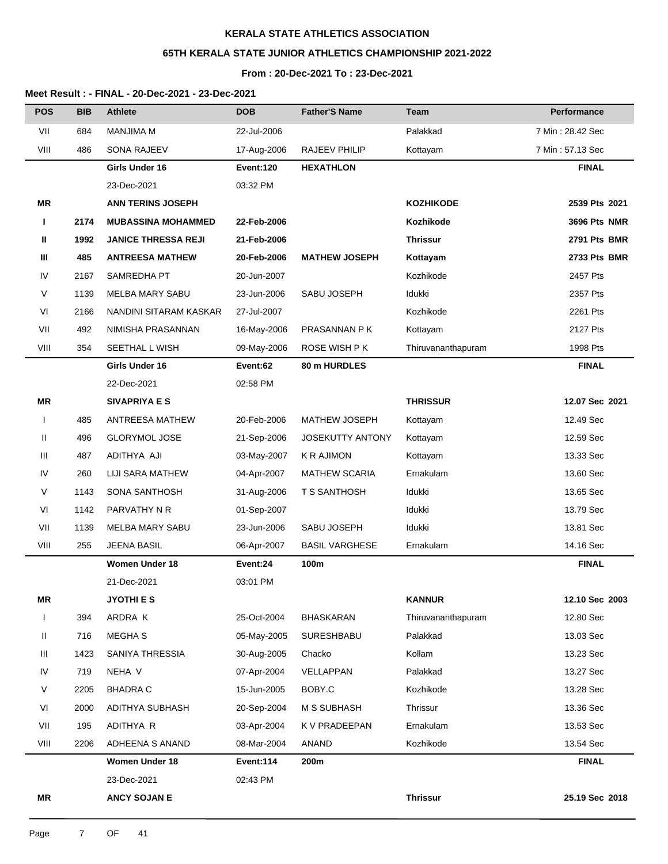# **65TH KERALA STATE JUNIOR ATHLETICS CHAMPIONSHIP 2021-2022**

## **From : 20-Dec-2021 To : 23-Dec-2021**

| <b>POS</b>   | <b>BIB</b> | <b>Athlete</b>             | <b>DOB</b>  | <b>Father'S Name</b>    | Team               | Performance      |
|--------------|------------|----------------------------|-------------|-------------------------|--------------------|------------------|
| VII          | 684        | <b>MANJIMA M</b>           | 22-Jul-2006 |                         | Palakkad           | 7 Min: 28.42 Sec |
| VIII         | 486        | SONA RAJEEV                | 17-Aug-2006 | RAJEEV PHILIP           | Kottayam           | 7 Min: 57.13 Sec |
|              |            | Girls Under 16             | Event:120   | <b>HEXATHLON</b>        |                    | <b>FINAL</b>     |
|              |            | 23-Dec-2021                | 03:32 PM    |                         |                    |                  |
| ΜR           |            | <b>ANN TERINS JOSEPH</b>   |             |                         | <b>KOZHIKODE</b>   | 2539 Pts 2021    |
| п            | 2174       | <b>MUBASSINA MOHAMMED</b>  | 22-Feb-2006 |                         | Kozhikode          | 3696 Pts NMR     |
| Ш            | 1992       | <b>JANICE THRESSA REJI</b> | 21-Feb-2006 |                         | <b>Thrissur</b>    | 2791 Pts BMR     |
| Ш            | 485        | <b>ANTREESA MATHEW</b>     | 20-Feb-2006 | <b>MATHEW JOSEPH</b>    | Kottayam           | 2733 Pts BMR     |
| IV           | 2167       | SAMREDHA PT                | 20-Jun-2007 |                         | Kozhikode          | 2457 Pts         |
| V            | 1139       | MELBA MARY SABU            | 23-Jun-2006 | SABU JOSEPH             | Idukki             | 2357 Pts         |
| VI           | 2166       | NANDINI SITARAM KASKAR     | 27-Jul-2007 |                         | Kozhikode          | 2261 Pts         |
| VII          | 492        | NIMISHA PRASANNAN          | 16-May-2006 | PRASANNAN P K           | Kottayam           | 2127 Pts         |
| VIII         | 354        | SEETHAL L WISH             | 09-May-2006 | ROSE WISH P K           | Thiruvananthapuram | 1998 Pts         |
|              |            | Girls Under 16             | Event:62    | 80 m HURDLES            |                    | <b>FINAL</b>     |
|              |            | 22-Dec-2021                | 02:58 PM    |                         |                    |                  |
| <b>MR</b>    |            | <b>SIVAPRIYA E S</b>       |             |                         | <b>THRISSUR</b>    | 12.07 Sec 2021   |
| $\mathbf{I}$ | 485        | ANTREESA MATHEW            | 20-Feb-2006 | <b>MATHEW JOSEPH</b>    | Kottayam           | 12.49 Sec        |
| Ш            | 496        | <b>GLORYMOL JOSE</b>       | 21-Sep-2006 | <b>JOSEKUTTY ANTONY</b> | Kottayam           | 12.59 Sec        |
| Ш            | 487        | ADITHYA AJI                | 03-May-2007 | <b>K R AJIMON</b>       | Kottayam           | 13.33 Sec        |
| IV           | 260        | LIJI SARA MATHEW           | 04-Apr-2007 | <b>MATHEW SCARIA</b>    | Ernakulam          | 13.60 Sec        |
| V            | 1143       | SONA SANTHOSH              | 31-Aug-2006 | <b>T S SANTHOSH</b>     | Idukki             | 13.65 Sec        |
| VI           | 1142       | PARVATHY N R               | 01-Sep-2007 |                         | Idukki             | 13.79 Sec        |
| VII          | 1139       | MELBA MARY SABU            | 23-Jun-2006 | SABU JOSEPH             | Idukki             | 13.81 Sec        |
| VIII         | 255        | <b>JEENA BASIL</b>         | 06-Apr-2007 | <b>BASIL VARGHESE</b>   | Ernakulam          | 14.16 Sec        |
|              |            | <b>Women Under 18</b>      | Event:24    | 100m                    |                    | <b>FINAL</b>     |
|              |            | 21-Dec-2021                | 03:01 PM    |                         |                    |                  |
| MR           |            | <b>JYOTHI E S</b>          |             |                         | <b>KANNUR</b>      | 12.10 Sec 2003   |
| $\mathbf{I}$ | 394        | ARDRA K                    | 25-Oct-2004 | <b>BHASKARAN</b>        | Thiruvananthapuram | 12.80 Sec        |
| Ш            | 716        | MEGHA S                    | 05-May-2005 | SURESHBABU              | Palakkad           | 13.03 Sec        |
| Ш            | 1423       | SANIYA THRESSIA            | 30-Aug-2005 | Chacko                  | Kollam             | 13.23 Sec        |
| IV           | 719        | NEHA V                     | 07-Apr-2004 | VELLAPPAN               | Palakkad           | 13.27 Sec        |
| V            | 2205       | <b>BHADRA C</b>            | 15-Jun-2005 | BOBY.C                  | Kozhikode          | 13.28 Sec        |
| VI           | 2000       | ADITHYA SUBHASH            | 20-Sep-2004 | M S SUBHASH             | Thrissur           | 13.36 Sec        |
| VII          | 195        | ADITHYA R                  | 03-Apr-2004 | K V PRADEEPAN           | Ernakulam          | 13.53 Sec        |
| VIII         | 2206       | ADHEENA S ANAND            | 08-Mar-2004 | ANAND                   | Kozhikode          | 13.54 Sec        |
|              |            | <b>Women Under 18</b>      | Event:114   | 200m                    |                    | <b>FINAL</b>     |
|              |            | 23-Dec-2021                | 02:43 PM    |                         |                    |                  |
| ΜR           |            | <b>ANCY SOJAN E</b>        |             |                         | <b>Thrissur</b>    | 25.19 Sec 2018   |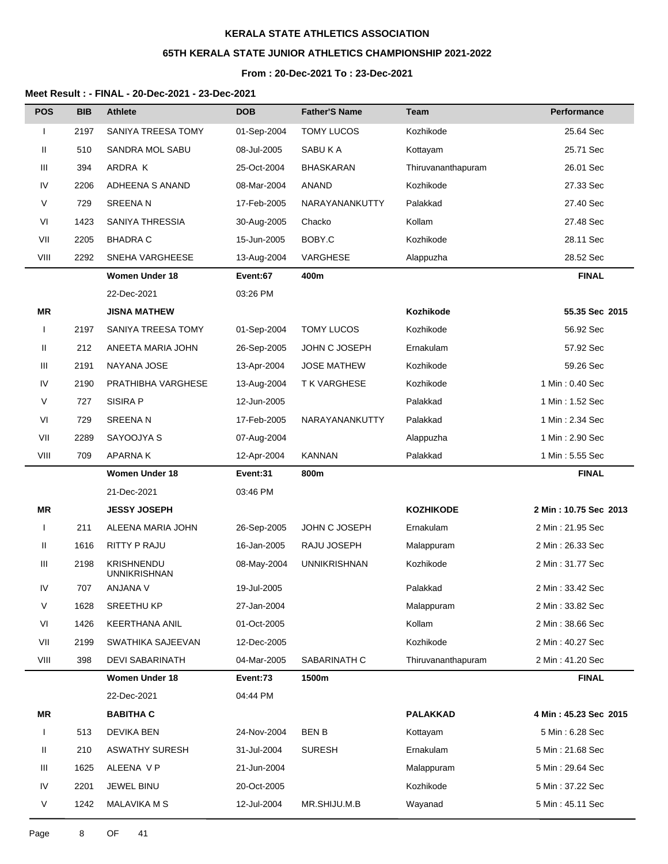# **65TH KERALA STATE JUNIOR ATHLETICS CHAMPIONSHIP 2021-2022**

### **From : 20-Dec-2021 To : 23-Dec-2021**

| <b>POS</b>   | <b>BIB</b> | <b>Athlete</b>                           | <b>DOB</b>  | <b>Father'S Name</b> | <b>Team</b>        | <b>Performance</b>    |
|--------------|------------|------------------------------------------|-------------|----------------------|--------------------|-----------------------|
| $\mathbf{I}$ | 2197       | SANIYA TREESA TOMY                       | 01-Sep-2004 | TOMY LUCOS           | Kozhikode          | 25.64 Sec             |
| Ш            | 510        | SANDRA MOL SABU                          | 08-Jul-2005 | SABU K A             | Kottayam           | 25.71 Sec             |
| Ш            | 394        | ARDRA K                                  | 25-Oct-2004 | <b>BHASKARAN</b>     | Thiruvananthapuram | 26.01 Sec             |
| IV           | 2206       | ADHEENA S ANAND                          | 08-Mar-2004 | ANAND                | Kozhikode          | 27.33 Sec             |
| V            | 729        | <b>SREENAN</b>                           | 17-Feb-2005 | NARAYANANKUTTY       | Palakkad           | 27.40 Sec             |
| VI           | 1423       | SANIYA THRESSIA                          | 30-Aug-2005 | Chacko               | Kollam             | 27.48 Sec             |
| VII          | 2205       | <b>BHADRA C</b>                          | 15-Jun-2005 | BOBY.C               | Kozhikode          | 28.11 Sec             |
| VIII         | 2292       | SNEHA VARGHEESE                          | 13-Aug-2004 | VARGHESE             | Alappuzha          | 28.52 Sec             |
|              |            | <b>Women Under 18</b>                    | Event:67    | 400m                 |                    | <b>FINAL</b>          |
|              |            | 22-Dec-2021                              | 03:26 PM    |                      |                    |                       |
| ΜR           |            | <b>JISNA MATHEW</b>                      |             |                      | Kozhikode          | 55.35 Sec 2015        |
| $\mathbf{I}$ | 2197       | SANIYA TREESA TOMY                       | 01-Sep-2004 | TOMY LUCOS           | Kozhikode          | 56.92 Sec             |
| Ш            | 212        | ANEETA MARIA JOHN                        | 26-Sep-2005 | JOHN C JOSEPH        | Ernakulam          | 57.92 Sec             |
| Ш            | 2191       | NAYANA JOSE                              | 13-Apr-2004 | <b>JOSE MATHEW</b>   | Kozhikode          | 59.26 Sec             |
| IV           | 2190       | PRATHIBHA VARGHESE                       | 13-Aug-2004 | T K VARGHESE         | Kozhikode          | 1 Min: 0.40 Sec       |
| V            | 727        | SISIRA P                                 | 12-Jun-2005 |                      | Palakkad           | 1 Min: 1.52 Sec       |
| VI           | 729        | <b>SREENAN</b>                           | 17-Feb-2005 | NARAYANANKUTTY       | Palakkad           | 1 Min: 2.34 Sec       |
| VII          | 2289       | SAYOOJYA S                               | 07-Aug-2004 |                      | Alappuzha          | 1 Min: 2.90 Sec       |
| VIII         | 709        | <b>APARNAK</b>                           | 12-Apr-2004 | <b>KANNAN</b>        | Palakkad           | 1 Min: 5.55 Sec       |
|              |            | <b>Women Under 18</b>                    | Event:31    | 800m                 |                    | <b>FINAL</b>          |
|              |            | 21-Dec-2021                              | 03:46 PM    |                      |                    |                       |
| ΜR           |            | <b>JESSY JOSEPH</b>                      |             |                      | <b>KOZHIKODE</b>   | 2 Min: 10.75 Sec 2013 |
| $\mathbf{I}$ | 211        | ALEENA MARIA JOHN                        | 26-Sep-2005 | JOHN C JOSEPH        | Ernakulam          | 2 Min: 21.95 Sec      |
| Ш            | 1616       | RITTY P RAJU                             | 16-Jan-2005 | RAJU JOSEPH          | Malappuram         | 2 Min: 26.33 Sec      |
| Ш            | 2198       | <b>KRISHNENDU</b><br><b>UNNIKRISHNAN</b> | 08-May-2004 | <b>UNNIKRISHNAN</b>  | Kozhikode          | 2 Min: 31.77 Sec      |
| IV           | 707        | ANJANA V                                 | 19-Jul-2005 |                      | Palakkad           | 2 Min: 33.42 Sec      |
| V            | 1628       | <b>SREETHU KP</b>                        | 27-Jan-2004 |                      | Malappuram         | 2 Min: 33.82 Sec      |
| VI           | 1426       | <b>KEERTHANA ANIL</b>                    | 01-Oct-2005 |                      | Kollam             | 2 Min: 38.66 Sec      |
| VII          | 2199       | SWATHIKA SAJEEVAN                        | 12-Dec-2005 |                      | Kozhikode          | 2 Min: 40.27 Sec      |
| VIII         | 398        | <b>DEVI SABARINATH</b>                   | 04-Mar-2005 | SABARINATH C         | Thiruvananthapuram | 2 Min : 41.20 Sec     |
|              |            | Women Under 18                           | Event:73    | 1500m                |                    | <b>FINAL</b>          |
|              |            | 22-Dec-2021                              | 04:44 PM    |                      |                    |                       |
| MR           |            | <b>BABITHA C</b>                         |             |                      | <b>PALAKKAD</b>    | 4 Min: 45.23 Sec 2015 |
|              | 513        | <b>DEVIKA BEN</b>                        | 24-Nov-2004 | <b>BEN B</b>         | Kottayam           | 5 Min: 6.28 Sec       |
| Ш            | 210        | <b>ASWATHY SURESH</b>                    | 31-Jul-2004 | <b>SURESH</b>        | Ernakulam          | 5 Min: 21.68 Sec      |
| Ш            | 1625       | ALEENA V P                               | 21-Jun-2004 |                      | Malappuram         | 5 Min: 29.64 Sec      |
| IV           | 2201       | JEWEL BINU                               | 20-Oct-2005 |                      | Kozhikode          | 5 Min: 37.22 Sec      |
| V            | 1242       | <b>MALAVIKA M S</b>                      | 12-Jul-2004 | MR.SHIJU.M.B         | Wayanad            | 5 Min: 45.11 Sec      |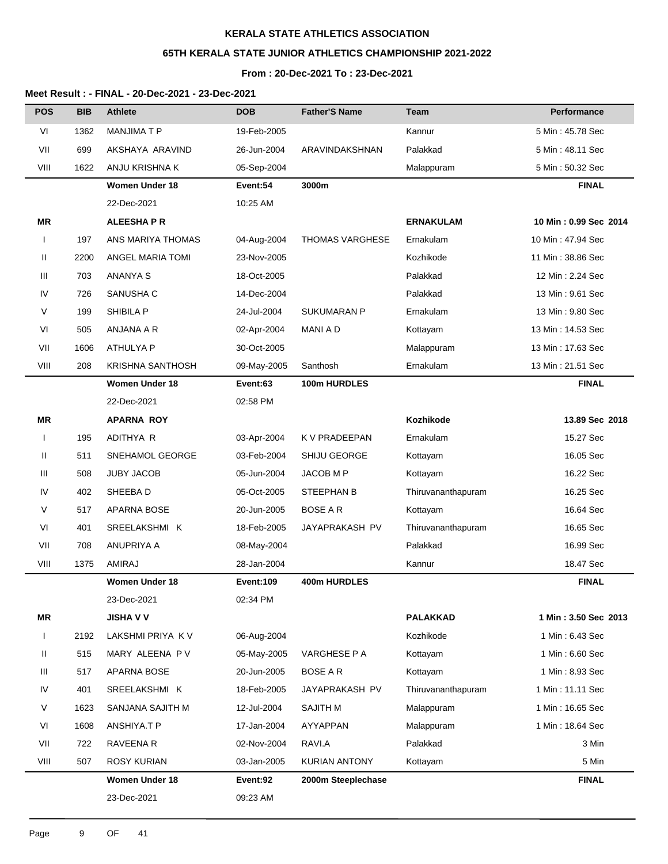# **65TH KERALA STATE JUNIOR ATHLETICS CHAMPIONSHIP 2021-2022**

# **From : 20-Dec-2021 To : 23-Dec-2021**

| <b>POS</b> | <b>BIB</b> | <b>Athlete</b>          | <b>DOB</b>       | <b>Father'S Name</b> | <b>Team</b>        | Performance           |
|------------|------------|-------------------------|------------------|----------------------|--------------------|-----------------------|
| VI         | 1362       | <b>MANJIMATP</b>        | 19-Feb-2005      |                      | Kannur             | 5 Min: 45.78 Sec      |
| VII        | 699        | AKSHAYA ARAVIND         | 26-Jun-2004      | ARAVINDAKSHNAN       | Palakkad           | 5 Min : 48.11 Sec     |
| VIII       | 1622       | ANJU KRISHNA K          | 05-Sep-2004      |                      | Malappuram         | 5 Min: 50.32 Sec      |
|            |            | <b>Women Under 18</b>   | Event:54         | 3000m                |                    | <b>FINAL</b>          |
|            |            | 22-Dec-2021             | 10:25 AM         |                      |                    |                       |
| <b>MR</b>  |            | <b>ALEESHAPR</b>        |                  |                      | <b>ERNAKULAM</b>   | 10 Min: 0.99 Sec 2014 |
|            | 197        | ANS MARIYA THOMAS       | 04-Aug-2004      | THOMAS VARGHESE      | Ernakulam          | 10 Min: 47.94 Sec     |
| Ш          | 2200       | ANGEL MARIA TOMI        | 23-Nov-2005      |                      | Kozhikode          | 11 Min: 38.86 Sec     |
| Ш          | 703        | <b>ANANYA S</b>         | 18-Oct-2005      |                      | Palakkad           | 12 Min: 2.24 Sec      |
| IV         | 726        | SANUSHA C               | 14-Dec-2004      |                      | Palakkad           | 13 Min: 9.61 Sec      |
| V          | 199        | SHIBILA P               | 24-Jul-2004      | <b>SUKUMARAN P</b>   | Ernakulam          | 13 Min: 9.80 Sec      |
| VI         | 505        | ANJANA A R              | 02-Apr-2004      | <b>MANI A D</b>      | Kottayam           | 13 Min: 14.53 Sec     |
| VII        | 1606       | ATHULYA P               | 30-Oct-2005      |                      | Malappuram         | 13 Min: 17.63 Sec     |
| VIII       | 208        | <b>KRISHNA SANTHOSH</b> | 09-May-2005      | Santhosh             | Ernakulam          | 13 Min: 21.51 Sec     |
|            |            | <b>Women Under 18</b>   | Event:63         | 100m HURDLES         |                    | <b>FINAL</b>          |
|            |            | 22-Dec-2021             | 02:58 PM         |                      |                    |                       |
| MR         |            | <b>APARNA ROY</b>       |                  |                      | Kozhikode          | 13.89 Sec 2018        |
|            | 195        | ADITHYA R               | 03-Apr-2004      | K V PRADEEPAN        | Ernakulam          | 15.27 Sec             |
| Ш          | 511        | SNEHAMOL GEORGE         | 03-Feb-2004      | SHIJU GEORGE         | Kottayam           | 16.05 Sec             |
| Ш          | 508        | <b>JUBY JACOB</b>       | 05-Jun-2004      | JACOB M P            | Kottayam           | 16.22 Sec             |
| IV         | 402        | SHEEBA D                | 05-Oct-2005      | STEEPHAN B           | Thiruvananthapuram | 16.25 Sec             |
| V          | 517        | APARNA BOSE             | 20-Jun-2005      | <b>BOSE AR</b>       | Kottayam           | 16.64 Sec             |
| VI         | 401        | SREELAKSHMI K           | 18-Feb-2005      | JAYAPRAKASH PV       | Thiruvananthapuram | 16.65 Sec             |
| VII        | 708        | ANUPRIYA A              | 08-May-2004      |                      | Palakkad           | 16.99 Sec             |
| VIII       | 1375       | <b>AMIRAJ</b>           | 28-Jan-2004      |                      | Kannur             | 18.47 Sec             |
|            |            | <b>Women Under 18</b>   | <b>Event:109</b> | 400m HURDLES         |                    | <b>FINAL</b>          |
|            |            | 23-Dec-2021             | 02:34 PM         |                      |                    |                       |
| <b>MR</b>  |            | <b>JISHA V V</b>        |                  |                      | <b>PALAKKAD</b>    | 1 Min: 3.50 Sec 2013  |
| L          | 2192       | LAKSHMI PRIYA KV        | 06-Aug-2004      |                      | Kozhikode          | 1 Min: 6.43 Sec       |
| Ш.         | 515        | MARY ALEENA PV          | 05-May-2005      | VARGHESE P A         | Kottayam           | 1 Min: 6.60 Sec       |
| Ш          | 517        | APARNA BOSE             | 20-Jun-2005      | <b>BOSE A R</b>      | Kottayam           | 1 Min: 8.93 Sec       |
| IV         | 401        | SREELAKSHMI K           | 18-Feb-2005      | JAYAPRAKASH PV       | Thiruvananthapuram | 1 Min: 11.11 Sec      |
| V          | 1623       | SANJANA SAJITH M        | 12-Jul-2004      | <b>SAJITH M</b>      | Malappuram         | 1 Min: 16.65 Sec      |
| VI         | 1608       | ANSHIYA.T P             | 17-Jan-2004      | AYYAPPAN             | Malappuram         | 1 Min: 18.64 Sec      |
| VII        | 722        | RAVEENA R               | 02-Nov-2004      | RAVI.A               | Palakkad           | 3 Min                 |
| VIII       | 507        | <b>ROSY KURIAN</b>      | 03-Jan-2005      | KURIAN ANTONY        | Kottayam           | 5 Min                 |
|            |            | Women Under 18          | Event:92         | 2000m Steeplechase   |                    | <b>FINAL</b>          |
|            |            | 23-Dec-2021             | 09:23 AM         |                      |                    |                       |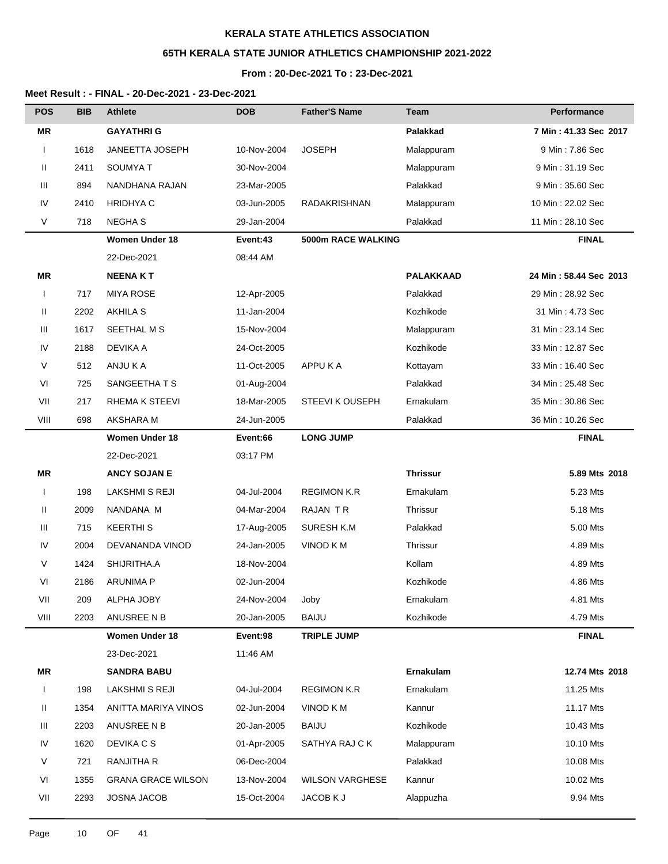# **65TH KERALA STATE JUNIOR ATHLETICS CHAMPIONSHIP 2021-2022**

#### **From : 20-Dec-2021 To : 23-Dec-2021**

| <b>POS</b>   | <b>BIB</b> | <b>Athlete</b>            | <b>DOB</b>  | <b>Father'S Name</b>   | Team             | Performance            |
|--------------|------------|---------------------------|-------------|------------------------|------------------|------------------------|
| <b>MR</b>    |            | <b>GAYATHRIG</b>          |             |                        | <b>Palakkad</b>  | 7 Min: 41.33 Sec 2017  |
|              | 1618       | JANEETTA JOSEPH           | 10-Nov-2004 | <b>JOSEPH</b>          | Malappuram       | 9 Min: 7.86 Sec        |
| Ш            | 2411       | <b>SOUMYAT</b>            | 30-Nov-2004 |                        | Malappuram       | 9 Min: 31.19 Sec       |
| Ш            | 894        | NANDHANA RAJAN            | 23-Mar-2005 |                        | Palakkad         | 9 Min: 35.60 Sec       |
| IV           | 2410       | <b>HRIDHYA C</b>          | 03-Jun-2005 | RADAKRISHNAN           | Malappuram       | 10 Min: 22.02 Sec      |
| V            | 718        | <b>NEGHAS</b>             | 29-Jan-2004 |                        | Palakkad         | 11 Min: 28.10 Sec      |
|              |            | <b>Women Under 18</b>     | Event:43    | 5000m RACE WALKING     |                  | <b>FINAL</b>           |
|              |            | 22-Dec-2021               | 08:44 AM    |                        |                  |                        |
| ΜR           |            | <b>NEENAKT</b>            |             |                        | <b>PALAKKAAD</b> | 24 Min: 58.44 Sec 2013 |
|              | 717        | <b>MIYA ROSE</b>          | 12-Apr-2005 |                        | Palakkad         | 29 Min: 28.92 Sec      |
| Ш            | 2202       | <b>AKHILA S</b>           | 11-Jan-2004 |                        | Kozhikode        | 31 Min: 4.73 Sec       |
| Ш            | 1617       | SEETHAL M S               | 15-Nov-2004 |                        | Malappuram       | 31 Min: 23.14 Sec      |
| IV           | 2188       | <b>DEVIKA A</b>           | 24-Oct-2005 |                        | Kozhikode        | 33 Min: 12.87 Sec      |
| V            | 512        | ANJU K A                  | 11-Oct-2005 | APPU K A               | Kottayam         | 33 Min: 16.40 Sec      |
| VI           | 725        | SANGEETHA T S             | 01-Aug-2004 |                        | Palakkad         | 34 Min: 25.48 Sec      |
| VII          | 217        | RHEMA K STEEVI            | 18-Mar-2005 | STEEVI K OUSEPH        | Ernakulam        | 35 Min: 30.86 Sec      |
| VIII         | 698        | AKSHARA M                 | 24-Jun-2005 |                        | Palakkad         | 36 Min: 10.26 Sec      |
|              |            | <b>Women Under 18</b>     | Event:66    | <b>LONG JUMP</b>       |                  | <b>FINAL</b>           |
|              |            | 22-Dec-2021               | 03:17 PM    |                        |                  |                        |
| ΜR           |            | <b>ANCY SOJAN E</b>       |             |                        | <b>Thrissur</b>  | 5.89 Mts 2018          |
| $\mathbf{I}$ | 198        | LAKSHMI S REJI            | 04-Jul-2004 | <b>REGIMON K.R</b>     | Ernakulam        | 5.23 Mts               |
| Ш            | 2009       | NANDANA M                 | 04-Mar-2004 | RAJAN TR               | Thrissur         | 5.18 Mts               |
| Ш            | 715        | <b>KEERTHIS</b>           | 17-Aug-2005 | SURESH K.M             | Palakkad         | 5.00 Mts               |
| IV           | 2004       | DEVANANDA VINOD           | 24-Jan-2005 | VINOD K M              | Thrissur         | 4.89 Mts               |
| V            | 1424       | SHIJRITHA.A               | 18-Nov-2004 |                        | Kollam           | 4.89 Mts               |
| VI           | 2186       | <b>ARUNIMA P</b>          | 02-Jun-2004 |                        | Kozhikode        | 4.86 Mts               |
| VII          | 209        | ALPHA JOBY                | 24-Nov-2004 | Joby                   | Ernakulam        | 4.81 Mts               |
| VIII         | 2203       | ANUSREE N B               | 20-Jan-2005 | <b>BAIJU</b>           | Kozhikode        | 4.79 Mts               |
|              |            | <b>Women Under 18</b>     | Event:98    | <b>TRIPLE JUMP</b>     |                  | <b>FINAL</b>           |
|              |            | 23-Dec-2021               | 11:46 AM    |                        |                  |                        |
| MR           |            | <b>SANDRA BABU</b>        |             |                        | Ernakulam        | 12.74 Mts 2018         |
| $\mathbf{I}$ | 198        | <b>LAKSHMI S REJI</b>     | 04-Jul-2004 | <b>REGIMON K.R</b>     | Ernakulam        | 11.25 Mts              |
| Ш            | 1354       | ANITTA MARIYA VINOS       | 02-Jun-2004 | VINOD K M              | Kannur           | 11.17 Mts              |
| Ш            | 2203       | ANUSREE N B               | 20-Jan-2005 | <b>BAIJU</b>           | Kozhikode        | 10.43 Mts              |
| IV           | 1620       | DEVIKA C S                | 01-Apr-2005 | SATHYA RAJ C K         | Malappuram       | 10.10 Mts              |
| V            | 721        | RANJITHA R                | 06-Dec-2004 |                        | Palakkad         | 10.08 Mts              |
| VI           | 1355       | <b>GRANA GRACE WILSON</b> | 13-Nov-2004 | <b>WILSON VARGHESE</b> | Kannur           | 10.02 Mts              |
| VII          | 2293       | <b>JOSNA JACOB</b>        | 15-Oct-2004 | JACOB K J              | Alappuzha        | 9.94 Mts               |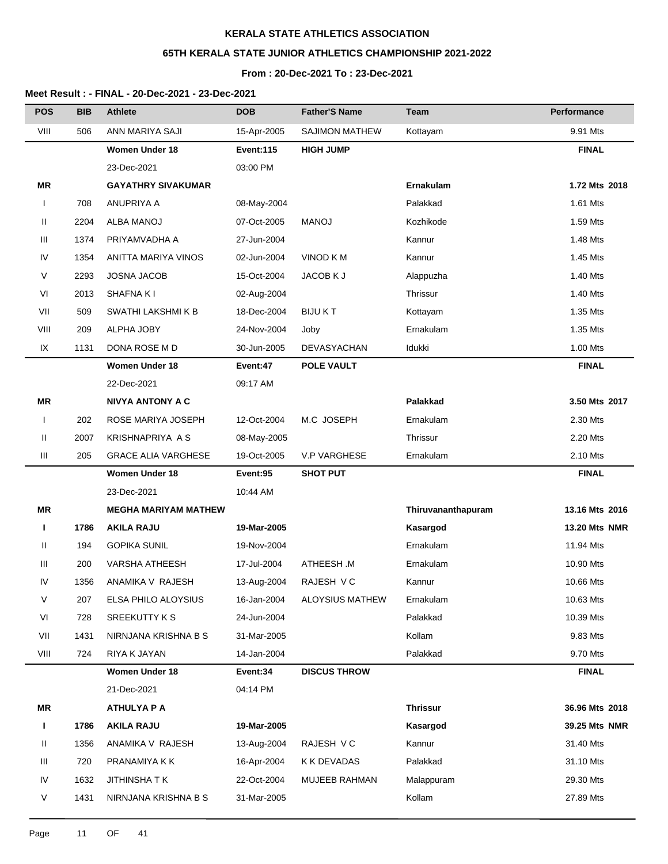# **65TH KERALA STATE JUNIOR ATHLETICS CHAMPIONSHIP 2021-2022**

### **From : 20-Dec-2021 To : 23-Dec-2021**

| ANN MARIYA SAJI<br>VIII<br>506<br><b>SAJIMON MATHEW</b><br>15-Apr-2005<br>9.91 Mts<br>Kottayam<br><b>Women Under 18</b><br><b>FINAL</b><br><b>Event:115</b><br><b>HIGH JUMP</b><br>03:00 PM<br>23-Dec-2021<br>ΜR<br><b>GAYATHRY SIVAKUMAR</b><br>Ernakulam<br>1.72 Mts 2018<br>ANUPRIYA A<br>1.61 Mts<br>708<br>Palakkad<br>08-May-2004<br>$\mathbf{I}$<br>Ш<br>2204<br>1.59 Mts<br>ALBA MANOJ<br>07-Oct-2005<br><b>MANOJ</b><br>Kozhikode<br>Ш<br>1374<br>PRIYAMVADHA A<br>Kannur<br>1.48 Mts<br>27-Jun-2004<br>IV<br>1354<br>ANITTA MARIYA VINOS<br>02-Jun-2004<br>VINOD K M<br>Kannur<br>1.45 Mts<br>V<br>1.40 Mts<br>2293<br><b>JOSNA JACOB</b><br>15-Oct-2004<br>JACOB K J<br>Alappuzha<br>VI<br>2013<br><b>SHAFNA KI</b><br>02-Aug-2004<br>Thrissur<br>1.40 Mts<br>VII<br>509<br>SWATHI LAKSHMI K B<br>18-Dec-2004<br><b>BIJUKT</b><br>Kottayam<br>1.35 Mts<br>VIII<br>209<br>ALPHA JOBY<br>24-Nov-2004<br>Ernakulam<br>1.35 Mts<br>Joby |  |
|------------------------------------------------------------------------------------------------------------------------------------------------------------------------------------------------------------------------------------------------------------------------------------------------------------------------------------------------------------------------------------------------------------------------------------------------------------------------------------------------------------------------------------------------------------------------------------------------------------------------------------------------------------------------------------------------------------------------------------------------------------------------------------------------------------------------------------------------------------------------------------------------------------------------------------------------|--|
|                                                                                                                                                                                                                                                                                                                                                                                                                                                                                                                                                                                                                                                                                                                                                                                                                                                                                                                                                |  |
|                                                                                                                                                                                                                                                                                                                                                                                                                                                                                                                                                                                                                                                                                                                                                                                                                                                                                                                                                |  |
|                                                                                                                                                                                                                                                                                                                                                                                                                                                                                                                                                                                                                                                                                                                                                                                                                                                                                                                                                |  |
|                                                                                                                                                                                                                                                                                                                                                                                                                                                                                                                                                                                                                                                                                                                                                                                                                                                                                                                                                |  |
|                                                                                                                                                                                                                                                                                                                                                                                                                                                                                                                                                                                                                                                                                                                                                                                                                                                                                                                                                |  |
|                                                                                                                                                                                                                                                                                                                                                                                                                                                                                                                                                                                                                                                                                                                                                                                                                                                                                                                                                |  |
|                                                                                                                                                                                                                                                                                                                                                                                                                                                                                                                                                                                                                                                                                                                                                                                                                                                                                                                                                |  |
|                                                                                                                                                                                                                                                                                                                                                                                                                                                                                                                                                                                                                                                                                                                                                                                                                                                                                                                                                |  |
|                                                                                                                                                                                                                                                                                                                                                                                                                                                                                                                                                                                                                                                                                                                                                                                                                                                                                                                                                |  |
|                                                                                                                                                                                                                                                                                                                                                                                                                                                                                                                                                                                                                                                                                                                                                                                                                                                                                                                                                |  |
|                                                                                                                                                                                                                                                                                                                                                                                                                                                                                                                                                                                                                                                                                                                                                                                                                                                                                                                                                |  |
|                                                                                                                                                                                                                                                                                                                                                                                                                                                                                                                                                                                                                                                                                                                                                                                                                                                                                                                                                |  |
| Idukki<br>1.00 Mts<br>IX<br>1131<br>DONA ROSE M D<br><b>DEVASYACHAN</b><br>30-Jun-2005                                                                                                                                                                                                                                                                                                                                                                                                                                                                                                                                                                                                                                                                                                                                                                                                                                                         |  |
| <b>Women Under 18</b><br><b>FINAL</b><br>Event:47<br>POLE VAULT                                                                                                                                                                                                                                                                                                                                                                                                                                                                                                                                                                                                                                                                                                                                                                                                                                                                                |  |
| 22-Dec-2021<br>09:17 AM                                                                                                                                                                                                                                                                                                                                                                                                                                                                                                                                                                                                                                                                                                                                                                                                                                                                                                                        |  |
| Palakkad<br><b>MR</b><br><b>NIVYA ANTONY A C</b><br>3.50 Mts 2017                                                                                                                                                                                                                                                                                                                                                                                                                                                                                                                                                                                                                                                                                                                                                                                                                                                                              |  |
| 202<br>ROSE MARIYA JOSEPH<br>M.C JOSEPH<br>12-Oct-2004<br>Ernakulam<br>2.30 Mts<br>$\mathbf{I}$                                                                                                                                                                                                                                                                                                                                                                                                                                                                                                                                                                                                                                                                                                                                                                                                                                                |  |
| Ш<br>2007<br>KRISHNAPRIYA A S<br>Thrissur<br>2.20 Mts<br>08-May-2005                                                                                                                                                                                                                                                                                                                                                                                                                                                                                                                                                                                                                                                                                                                                                                                                                                                                           |  |
| Ш<br>205<br><b>GRACE ALIA VARGHESE</b><br>19-Oct-2005<br><b>V.P VARGHESE</b><br>Ernakulam<br>2.10 Mts                                                                                                                                                                                                                                                                                                                                                                                                                                                                                                                                                                                                                                                                                                                                                                                                                                          |  |
| <b>Women Under 18</b><br>Event:95<br><b>SHOT PUT</b><br><b>FINAL</b>                                                                                                                                                                                                                                                                                                                                                                                                                                                                                                                                                                                                                                                                                                                                                                                                                                                                           |  |
| 23-Dec-2021<br>10:44 AM                                                                                                                                                                                                                                                                                                                                                                                                                                                                                                                                                                                                                                                                                                                                                                                                                                                                                                                        |  |
| <b>MEGHA MARIYAM MATHEW</b><br>13.16 Mts 2016<br>ΜR<br>Thiruvananthapuram                                                                                                                                                                                                                                                                                                                                                                                                                                                                                                                                                                                                                                                                                                                                                                                                                                                                      |  |
| 1786<br><b>AKILA RAJU</b><br>19-Mar-2005<br><b>13.20 Mts NMR</b><br>Kasargod<br>L                                                                                                                                                                                                                                                                                                                                                                                                                                                                                                                                                                                                                                                                                                                                                                                                                                                              |  |
| Ш<br>194<br><b>GOPIKA SUNIL</b><br>19-Nov-2004<br>Ernakulam<br>11.94 Mts                                                                                                                                                                                                                                                                                                                                                                                                                                                                                                                                                                                                                                                                                                                                                                                                                                                                       |  |
| ATHEESH.M<br>Ш<br>200<br><b>VARSHA ATHEESH</b><br>Ernakulam<br>10.90 Mts<br>17-Jul-2004                                                                                                                                                                                                                                                                                                                                                                                                                                                                                                                                                                                                                                                                                                                                                                                                                                                        |  |
| IV<br>RAJESH V C<br>1356<br>ANAMIKA V RAJESH<br>13-Aug-2004<br>Kannur<br>10.66 Mts                                                                                                                                                                                                                                                                                                                                                                                                                                                                                                                                                                                                                                                                                                                                                                                                                                                             |  |
| V<br>207<br>ELSA PHILO ALOYSIUS<br>16-Jan-2004<br><b>ALOYSIUS MATHEW</b><br>10.63 Mts<br>Ernakulam                                                                                                                                                                                                                                                                                                                                                                                                                                                                                                                                                                                                                                                                                                                                                                                                                                             |  |
| VI<br>728<br>SREEKUTTY K S<br>24-Jun-2004<br>Palakkad<br>10.39 Mts                                                                                                                                                                                                                                                                                                                                                                                                                                                                                                                                                                                                                                                                                                                                                                                                                                                                             |  |
| VII<br>NIRNJANA KRISHNA B S<br>Kollam<br>9.83 Mts<br>1431<br>31-Mar-2005                                                                                                                                                                                                                                                                                                                                                                                                                                                                                                                                                                                                                                                                                                                                                                                                                                                                       |  |
| VIII<br>724<br>RIYA K JAYAN<br>14-Jan-2004<br>Palakkad<br>9.70 Mts                                                                                                                                                                                                                                                                                                                                                                                                                                                                                                                                                                                                                                                                                                                                                                                                                                                                             |  |
| <b>Women Under 18</b><br>Event:34<br><b>DISCUS THROW</b><br><b>FINAL</b>                                                                                                                                                                                                                                                                                                                                                                                                                                                                                                                                                                                                                                                                                                                                                                                                                                                                       |  |
| 21-Dec-2021<br>04:14 PM                                                                                                                                                                                                                                                                                                                                                                                                                                                                                                                                                                                                                                                                                                                                                                                                                                                                                                                        |  |
| MR<br><b>ATHULYA P A</b><br><b>Thrissur</b><br>36.96 Mts 2018                                                                                                                                                                                                                                                                                                                                                                                                                                                                                                                                                                                                                                                                                                                                                                                                                                                                                  |  |
| <b>AKILA RAJU</b><br>19-Mar-2005<br>Kasargod<br>39.25 Mts NMR<br>L<br>1786                                                                                                                                                                                                                                                                                                                                                                                                                                                                                                                                                                                                                                                                                                                                                                                                                                                                     |  |
| 1356<br>ANAMIKA V RAJESH<br>RAJESH V C<br>Kannur<br>31.40 Mts<br>Ш<br>13-Aug-2004                                                                                                                                                                                                                                                                                                                                                                                                                                                                                                                                                                                                                                                                                                                                                                                                                                                              |  |
| Ш<br>720<br>K K DEVADAS<br>Palakkad<br>31.10 Mts<br>PRANAMIYA K K<br>16-Apr-2004                                                                                                                                                                                                                                                                                                                                                                                                                                                                                                                                                                                                                                                                                                                                                                                                                                                               |  |
| IV<br>1632<br><b>JITHINSHATK</b><br>22-Oct-2004<br>MUJEEB RAHMAN<br>Malappuram<br>29.30 Mts                                                                                                                                                                                                                                                                                                                                                                                                                                                                                                                                                                                                                                                                                                                                                                                                                                                    |  |
| V<br>1431<br>Kollam<br>27.89 Mts<br>NIRNJANA KRISHNA B S<br>31-Mar-2005                                                                                                                                                                                                                                                                                                                                                                                                                                                                                                                                                                                                                                                                                                                                                                                                                                                                        |  |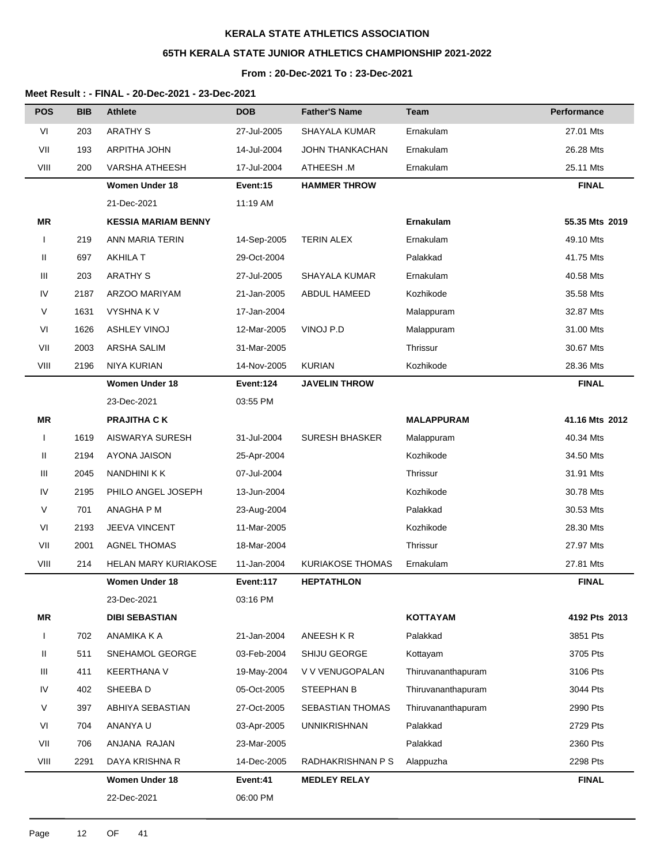# **65TH KERALA STATE JUNIOR ATHLETICS CHAMPIONSHIP 2021-2022**

## **From : 20-Dec-2021 To : 23-Dec-2021**

| <b>POS</b>   | <b>BIB</b> | <b>Athlete</b>              | <b>DOB</b>  | <b>Father'S Name</b>    | <b>Team</b>        | Performance    |
|--------------|------------|-----------------------------|-------------|-------------------------|--------------------|----------------|
| VI           | 203        | <b>ARATHY S</b>             | 27-Jul-2005 | SHAYALA KUMAR           | Ernakulam          | 27.01 Mts      |
| VII          | 193        | ARPITHA JOHN                | 14-Jul-2004 | <b>JOHN THANKACHAN</b>  | Ernakulam          | 26.28 Mts      |
| VIII         | 200        | <b>VARSHA ATHEESH</b>       | 17-Jul-2004 | ATHEESH .M              | Ernakulam          | 25.11 Mts      |
|              |            | <b>Women Under 18</b>       | Event:15    | <b>HAMMER THROW</b>     |                    | <b>FINAL</b>   |
|              |            | 21-Dec-2021                 | 11:19 AM    |                         |                    |                |
| <b>MR</b>    |            | <b>KESSIA MARIAM BENNY</b>  |             |                         | Ernakulam          | 55.35 Mts 2019 |
| $\mathbf{I}$ | 219        | ANN MARIA TERIN             | 14-Sep-2005 | <b>TERIN ALEX</b>       | Ernakulam          | 49.10 Mts      |
| Ш            | 697        | <b>AKHILA T</b>             | 29-Oct-2004 |                         | Palakkad           | 41.75 Mts      |
| Ш            | 203        | <b>ARATHY S</b>             | 27-Jul-2005 | SHAYALA KUMAR           | Ernakulam          | 40.58 Mts      |
| IV           | 2187       | ARZOO MARIYAM               | 21-Jan-2005 | ABDUL HAMEED            | Kozhikode          | 35.58 Mts      |
| V            | 1631       | <b>VYSHNAKV</b>             | 17-Jan-2004 |                         | Malappuram         | 32.87 Mts      |
| VI           | 1626       | <b>ASHLEY VINOJ</b>         | 12-Mar-2005 | VINOJ P.D               | Malappuram         | 31.00 Mts      |
| VII          | 2003       | ARSHA SALIM                 | 31-Mar-2005 |                         | Thrissur           | 30.67 Mts      |
| VIII         | 2196       | <b>NIYA KURIAN</b>          | 14-Nov-2005 | <b>KURIAN</b>           | Kozhikode          | 28.36 Mts      |
|              |            | <b>Women Under 18</b>       | Event:124   | <b>JAVELIN THROW</b>    |                    | <b>FINAL</b>   |
|              |            | 23-Dec-2021                 | 03:55 PM    |                         |                    |                |
| <b>MR</b>    |            | <b>PRAJITHA CK</b>          |             |                         | <b>MALAPPURAM</b>  | 41.16 Mts 2012 |
|              | 1619       | AISWARYA SURESH             | 31-Jul-2004 | <b>SURESH BHASKER</b>   | Malappuram         | 40.34 Mts      |
| Ш            | 2194       | AYONA JAISON                | 25-Apr-2004 |                         | Kozhikode          | 34.50 Mts      |
| Ш            | 2045       | NANDHINI K K                | 07-Jul-2004 |                         | Thrissur           | 31.91 Mts      |
| IV           | 2195       | PHILO ANGEL JOSEPH          | 13-Jun-2004 |                         | Kozhikode          | 30.78 Mts      |
| V            | 701        | ANAGHA P M                  | 23-Aug-2004 |                         | Palakkad           | 30.53 Mts      |
| VI           | 2193       | <b>JEEVA VINCENT</b>        | 11-Mar-2005 |                         | Kozhikode          | 28.30 Mts      |
| VII          | 2001       | <b>AGNEL THOMAS</b>         | 18-Mar-2004 |                         | Thrissur           | 27.97 Mts      |
| VIII         | 214        | <b>HELAN MARY KURIAKOSE</b> | 11-Jan-2004 | <b>KURIAKOSE THOMAS</b> | Ernakulam          | 27.81 Mts      |
|              |            | <b>Women Under 18</b>       | Event:117   | <b>HEPTATHLON</b>       |                    | <b>FINAL</b>   |
|              |            | 23-Dec-2021                 | 03:16 PM    |                         |                    |                |
| MR           |            | <b>DIBI SEBASTIAN</b>       |             |                         | <b>KOTTAYAM</b>    | 4192 Pts 2013  |
| $\mathbf{I}$ | 702        | ANAMIKA K A                 | 21-Jan-2004 | ANEESH KR               | Palakkad           | 3851 Pts       |
| Ш            | 511        | SNEHAMOL GEORGE             | 03-Feb-2004 | SHIJU GEORGE            | Kottayam           | 3705 Pts       |
| Ш            | 411        | <b>KEERTHANA V</b>          | 19-May-2004 | V V VENUGOPALAN         | Thiruvananthapuram | 3106 Pts       |
| IV           | 402        | SHEEBA D                    | 05-Oct-2005 | STEEPHAN B              | Thiruvananthapuram | 3044 Pts       |
| V            | 397        | ABHIYA SEBASTIAN            | 27-Oct-2005 | SEBASTIAN THOMAS        | Thiruvananthapuram | 2990 Pts       |
| VI           | 704        | ANANYA U                    | 03-Apr-2005 | <b>UNNIKRISHNAN</b>     | Palakkad           | 2729 Pts       |
| VII          | 706        | ANJANA RAJAN                | 23-Mar-2005 |                         | Palakkad           | 2360 Pts       |
| VIII         | 2291       | DAYA KRISHNA R              | 14-Dec-2005 | RADHAKRISHNAN P S       | Alappuzha          | 2298 Pts       |
|              |            | <b>Women Under 18</b>       | Event:41    | <b>MEDLEY RELAY</b>     |                    | <b>FINAL</b>   |
|              |            | 22-Dec-2021                 | 06:00 PM    |                         |                    |                |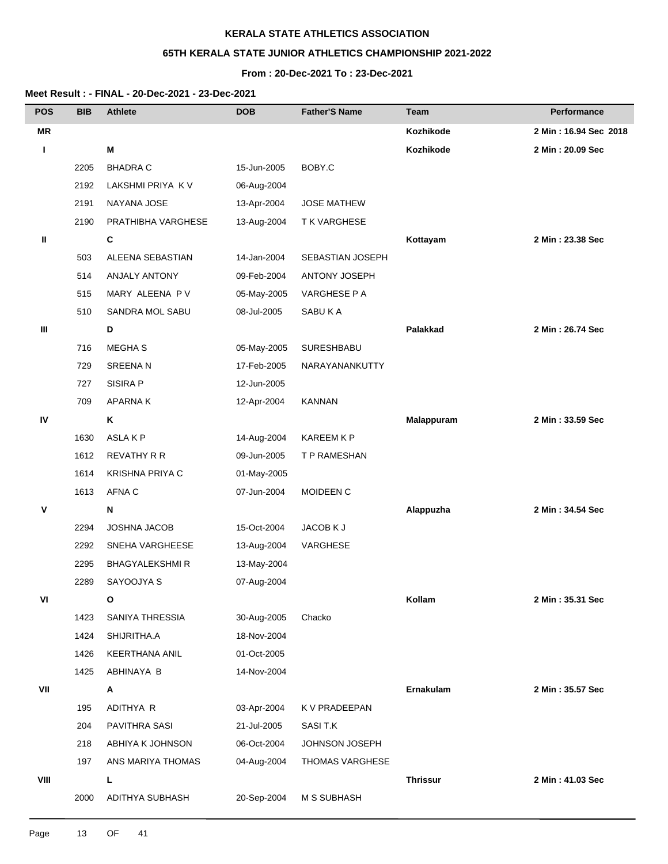# **65TH KERALA STATE JUNIOR ATHLETICS CHAMPIONSHIP 2021-2022**

## **From : 20-Dec-2021 To : 23-Dec-2021**

| <b>POS</b> | <b>BIB</b> | <b>Athlete</b>        | <b>DOB</b>  | <b>Father'S Name</b> | Team            | Performance           |
|------------|------------|-----------------------|-------------|----------------------|-----------------|-----------------------|
| <b>MR</b>  |            |                       |             |                      | Kozhikode       | 2 Min: 16.94 Sec 2018 |
| L          |            | M                     |             |                      | Kozhikode       | 2 Min: 20.09 Sec      |
|            | 2205       | <b>BHADRA C</b>       | 15-Jun-2005 | BOBY.C               |                 |                       |
|            | 2192       | LAKSHMI PRIYA KV      | 06-Aug-2004 |                      |                 |                       |
|            | 2191       | NAYANA JOSE           | 13-Apr-2004 | <b>JOSE MATHEW</b>   |                 |                       |
|            | 2190       | PRATHIBHA VARGHESE    | 13-Aug-2004 | <b>TK VARGHESE</b>   |                 |                       |
| Ш          |            | C                     |             |                      | Kottayam        | 2 Min: 23.38 Sec      |
|            | 503        | ALEENA SEBASTIAN      | 14-Jan-2004 | SEBASTIAN JOSEPH     |                 |                       |
|            | 514        | ANJALY ANTONY         | 09-Feb-2004 | ANTONY JOSEPH        |                 |                       |
|            | 515        | MARY ALEENA PV        | 05-May-2005 | VARGHESE P A         |                 |                       |
|            | 510        | SANDRA MOL SABU       | 08-Jul-2005 | SABUKA               |                 |                       |
| Ш          |            | D                     |             |                      | Palakkad        | 2 Min: 26.74 Sec      |
|            | 716        | <b>MEGHAS</b>         | 05-May-2005 | SURESHBABU           |                 |                       |
|            | 729        | <b>SREENAN</b>        | 17-Feb-2005 | NARAYANANKUTTY       |                 |                       |
|            | 727        | <b>SISIRA P</b>       | 12-Jun-2005 |                      |                 |                       |
|            | 709        | <b>APARNAK</b>        | 12-Apr-2004 | <b>KANNAN</b>        |                 |                       |
| IV         |            | Κ                     |             |                      | Malappuram      | 2 Min: 33.59 Sec      |
|            | 1630       | ASLAKP                | 14-Aug-2004 | <b>KAREEM K P</b>    |                 |                       |
|            | 1612       | <b>REVATHY R R</b>    | 09-Jun-2005 | T P RAMESHAN         |                 |                       |
|            | 1614       | KRISHNA PRIYA C       | 01-May-2005 |                      |                 |                       |
|            | 1613       | AFNA C                | 07-Jun-2004 | MOIDEEN C            |                 |                       |
| ٧          |            | N                     |             |                      | Alappuzha       | 2 Min: 34.54 Sec      |
|            | 2294       | JOSHNA JACOB          | 15-Oct-2004 | JACOB K J            |                 |                       |
|            | 2292       | SNEHA VARGHEESE       | 13-Aug-2004 | VARGHESE             |                 |                       |
|            | 2295       | <b>BHAGYALEKSHMIR</b> | 13-May-2004 |                      |                 |                       |
|            | 2289       | SAYOOJYA S            | 07-Aug-2004 |                      |                 |                       |
| VI         |            | О                     |             |                      | Kollam          | 2 Min: 35.31 Sec      |
|            | 1423       | SANIYA THRESSIA       | 30-Aug-2005 | Chacko               |                 |                       |
|            | 1424       | SHIJRITHA.A           | 18-Nov-2004 |                      |                 |                       |
|            | 1426       | KEERTHANA ANIL        | 01-Oct-2005 |                      |                 |                       |
|            | 1425       | ABHINAYA B            | 14-Nov-2004 |                      |                 |                       |
| VII        |            | Α                     |             |                      | Ernakulam       | 2 Min: 35.57 Sec      |
|            | 195        | ADITHYA R             | 03-Apr-2004 | K V PRADEEPAN        |                 |                       |
|            | 204        | PAVITHRA SASI         | 21-Jul-2005 | SASI T.K             |                 |                       |
|            | 218        | ABHIYA K JOHNSON      | 06-Oct-2004 | JOHNSON JOSEPH       |                 |                       |
|            | 197        | ANS MARIYA THOMAS     | 04-Aug-2004 | THOMAS VARGHESE      |                 |                       |
| VIII       |            | L.                    |             |                      | <b>Thrissur</b> | 2 Min: 41.03 Sec      |
|            | 2000       | ADITHYA SUBHASH       | 20-Sep-2004 | <b>M S SUBHASH</b>   |                 |                       |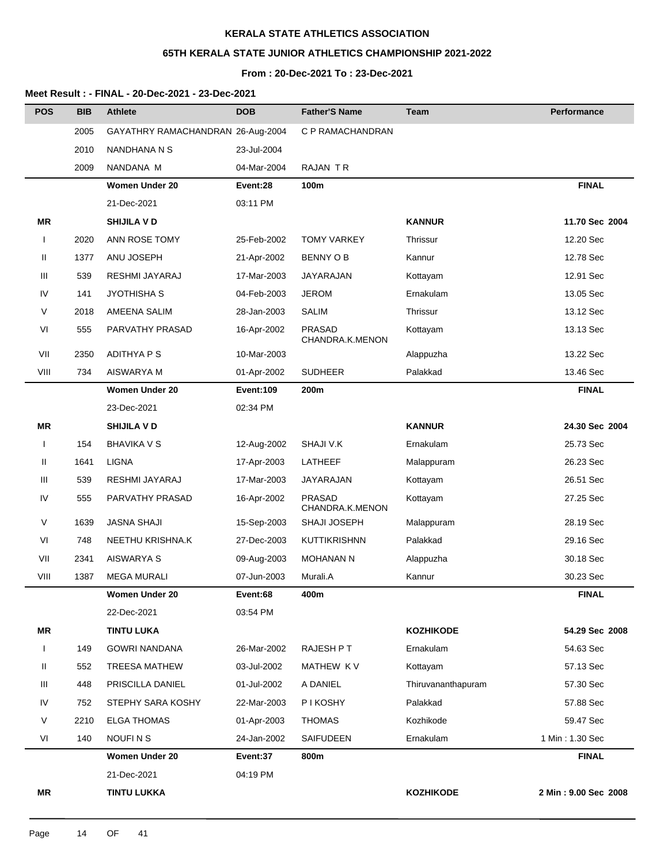## **65TH KERALA STATE JUNIOR ATHLETICS CHAMPIONSHIP 2021-2022**

# **From : 20-Dec-2021 To : 23-Dec-2021**

| <b>POS</b>   | <b>BIB</b> | <b>Athlete</b>                    | <b>DOB</b>       | <b>Father'S Name</b>             | Team               | Performance          |
|--------------|------------|-----------------------------------|------------------|----------------------------------|--------------------|----------------------|
|              | 2005       | GAYATHRY RAMACHANDRAN 26-Aug-2004 |                  | C P RAMACHANDRAN                 |                    |                      |
|              | 2010       | NANDHANA N S                      | 23-Jul-2004      |                                  |                    |                      |
|              | 2009       | NANDANA M                         | 04-Mar-2004      | RAJAN TR                         |                    |                      |
|              |            | <b>Women Under 20</b>             | Event:28         | 100m                             |                    | <b>FINAL</b>         |
|              |            | 21-Dec-2021                       | 03:11 PM         |                                  |                    |                      |
| ΜR           |            | <b>SHIJILA V D</b>                |                  |                                  | <b>KANNUR</b>      | 11.70 Sec 2004       |
| $\mathbf{I}$ | 2020       | ANN ROSE TOMY                     | 25-Feb-2002      | <b>TOMY VARKEY</b>               | Thrissur           | 12.20 Sec            |
| Ш            | 1377       | ANU JOSEPH                        | 21-Apr-2002      | <b>BENNY OB</b>                  | Kannur             | 12.78 Sec            |
| Ш            | 539        | RESHMI JAYARAJ                    | 17-Mar-2003      | JAYARAJAN                        | Kottayam           | 12.91 Sec            |
| IV           | 141        | <b>JYOTHISHA S</b>                | 04-Feb-2003      | <b>JEROM</b>                     | Ernakulam          | 13.05 Sec            |
| V            | 2018       | AMEENA SALIM                      | 28-Jan-2003      | <b>SALIM</b>                     | Thrissur           | 13.12 Sec            |
| VI           | 555        | PARVATHY PRASAD                   | 16-Apr-2002      | <b>PRASAD</b><br>CHANDRA.K.MENON | Kottayam           | 13.13 Sec            |
| VII          | 2350       | <b>ADITHYA P S</b>                | 10-Mar-2003      |                                  | Alappuzha          | 13.22 Sec            |
| VIII         | 734        | AISWARYA M                        | 01-Apr-2002      | <b>SUDHEER</b>                   | Palakkad           | 13.46 Sec            |
|              |            | <b>Women Under 20</b>             | <b>Event:109</b> | 200m                             |                    | <b>FINAL</b>         |
|              |            | 23-Dec-2021                       | 02:34 PM         |                                  |                    |                      |
| ΜR           |            | <b>SHIJILA V D</b>                |                  |                                  | <b>KANNUR</b>      | 24.30 Sec 2004       |
| $\mathbf{I}$ | 154        | <b>BHAVIKA V S</b>                | 12-Aug-2002      | SHAJI V.K                        | Ernakulam          | 25.73 Sec            |
| Ш            | 1641       | <b>LIGNA</b>                      | 17-Apr-2003      | LATHEEF                          | Malappuram         | 26.23 Sec            |
| Ш            | 539        | RESHMI JAYARAJ                    | 17-Mar-2003      | JAYARAJAN                        | Kottayam           | 26.51 Sec            |
| IV           | 555        | PARVATHY PRASAD                   | 16-Apr-2002      | <b>PRASAD</b><br>CHANDRA.K.MENON | Kottayam           | 27.25 Sec            |
| V            | 1639       | <b>JASNA SHAJI</b>                | 15-Sep-2003      | SHAJI JOSEPH                     | Malappuram         | 28.19 Sec            |
| VI           | 748        | NEETHU KRISHNA.K                  | 27-Dec-2003      | <b>KUTTIKRISHNN</b>              | Palakkad           | 29.16 Sec            |
| VII          | 2341       | AISWARYA S                        | 09-Aug-2003      | <b>MOHANAN N</b>                 | Alappuzha          | 30.18 Sec            |
| VIII         | 1387       | <b>MEGA MURALI</b>                | 07-Jun-2003      | Murali.A                         | Kannur             | 30.23 Sec            |
|              |            | <b>Women Under 20</b>             | Event:68         | 400m                             |                    | <b>FINAL</b>         |
|              |            | 22-Dec-2021                       | 03:54 PM         |                                  |                    |                      |
| ΜR           |            | <b>TINTU LUKA</b>                 |                  |                                  | <b>KOZHIKODE</b>   | 54.29 Sec 2008       |
| $\mathbf{I}$ | 149        | <b>GOWRI NANDANA</b>              | 26-Mar-2002      | RAJESH P T                       | Ernakulam          | 54.63 Sec            |
| Ш            | 552        | <b>TREESA MATHEW</b>              | 03-Jul-2002      | MATHEW KV                        | Kottayam           | 57.13 Sec            |
| Ш            | 448        | PRISCILLA DANIEL                  | 01-Jul-2002      | A DANIEL                         | Thiruvananthapuram | 57.30 Sec            |
| IV           | 752        | STEPHY SARA KOSHY                 | 22-Mar-2003      | P I KOSHY                        | Palakkad           | 57.88 Sec            |
| V            | 2210       | <b>ELGA THOMAS</b>                | 01-Apr-2003      | <b>THOMAS</b>                    | Kozhikode          | 59.47 Sec            |
| VI           | 140        | NOUFIN <sub>S</sub>               | 24-Jan-2002      | SAIFUDEEN                        | Ernakulam          | 1 Min: 1.30 Sec      |
|              |            | <b>Women Under 20</b>             | Event:37         | 800m                             |                    | <b>FINAL</b>         |
|              |            | 21-Dec-2021                       | 04:19 PM         |                                  |                    |                      |
| ΜR           |            | <b>TINTU LUKKA</b>                |                  |                                  | <b>KOZHIKODE</b>   | 2 Min: 9.00 Sec 2008 |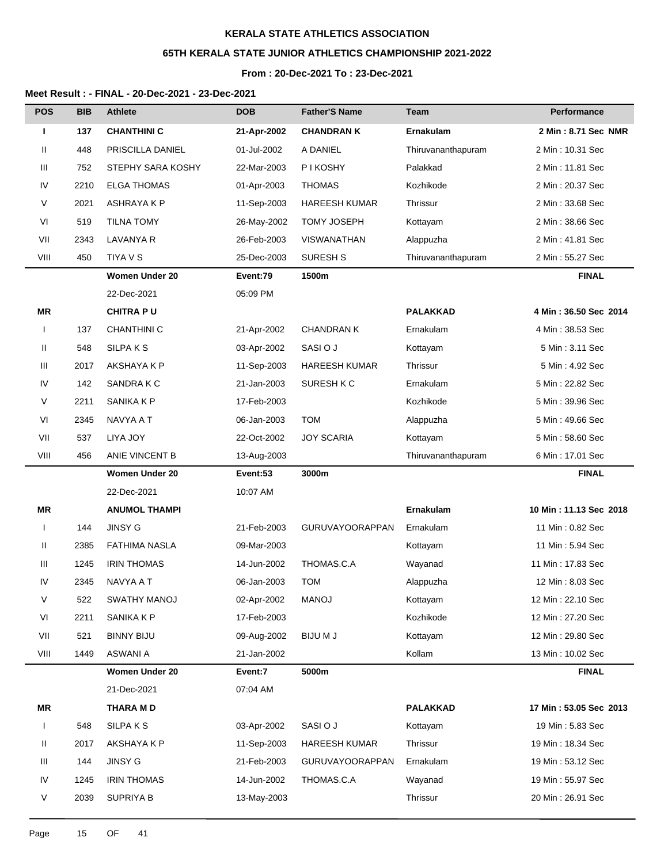## **65TH KERALA STATE JUNIOR ATHLETICS CHAMPIONSHIP 2021-2022**

#### **From : 20-Dec-2021 To : 23-Dec-2021**

| <b>POS</b>   | <b>BIB</b> | <b>Athlete</b>        | <b>DOB</b>  | <b>Father'S Name</b>   | <b>Team</b>        | Performance            |
|--------------|------------|-----------------------|-------------|------------------------|--------------------|------------------------|
| п            | 137        | <b>CHANTHINI C</b>    | 21-Apr-2002 | <b>CHANDRAN K</b>      | Ernakulam          | 2 Min: 8.71 Sec NMR    |
| Ш            | 448        | PRISCILLA DANIEL      | 01-Jul-2002 | A DANIEL               | Thiruvananthapuram | 2 Min : 10.31 Sec      |
| Ш            | 752        | STEPHY SARA KOSHY     | 22-Mar-2003 | <b>PIKOSHY</b>         | Palakkad           | 2 Min : 11.81 Sec      |
| IV           | 2210       | <b>ELGA THOMAS</b>    | 01-Apr-2003 | <b>THOMAS</b>          | Kozhikode          | 2 Min: 20.37 Sec       |
| V            | 2021       | ASHRAYA K P           | 11-Sep-2003 | <b>HAREESH KUMAR</b>   | Thrissur           | 2 Min: 33.68 Sec       |
| VI           | 519        | <b>TILNA TOMY</b>     | 26-May-2002 | <b>TOMY JOSEPH</b>     | Kottayam           | 2 Min : 38.66 Sec      |
| VII          | 2343       | <b>LAVANYA R</b>      | 26-Feb-2003 | <b>VISWANATHAN</b>     | Alappuzha          | 2 Min : 41.81 Sec      |
| VIII         | 450        | TIYA V S              | 25-Dec-2003 | <b>SURESH S</b>        | Thiruvananthapuram | 2 Min: 55.27 Sec       |
|              |            | <b>Women Under 20</b> | Event:79    | 1500m                  |                    | <b>FINAL</b>           |
|              |            | 22-Dec-2021           | 05:09 PM    |                        |                    |                        |
| ΜR           |            | <b>CHITRAPU</b>       |             |                        | <b>PALAKKAD</b>    | 4 Min: 36.50 Sec 2014  |
| $\mathsf{l}$ | 137        | <b>CHANTHINI C</b>    | 21-Apr-2002 | <b>CHANDRAN K</b>      | Ernakulam          | 4 Min : 38.53 Sec      |
| Ш            | 548        | <b>SILPAKS</b>        | 03-Apr-2002 | SASI O J               | Kottayam           | 5 Min: 3.11 Sec        |
| Ш            | 2017       | AKSHAYA K P           | 11-Sep-2003 | HAREESH KUMAR          | Thrissur           | 5 Min: 4.92 Sec        |
| IV           | 142        | SANDRA K C            | 21-Jan-2003 | SURESH K C             | Ernakulam          | 5 Min: 22.82 Sec       |
| $\vee$       | 2211       | <b>SANIKA K P</b>     | 17-Feb-2003 |                        | Kozhikode          | 5 Min: 39.96 Sec       |
| VI           | 2345       | NAVYA A T             | 06-Jan-2003 | <b>TOM</b>             | Alappuzha          | 5 Min: 49.66 Sec       |
| VII          | 537        | LIYA JOY              | 22-Oct-2002 | <b>JOY SCARIA</b>      | Kottayam           | 5 Min: 58.60 Sec       |
| VIII         | 456        | ANIE VINCENT B        | 13-Aug-2003 |                        | Thiruvananthapuram | 6 Min: 17.01 Sec       |
|              |            | <b>Women Under 20</b> | Event:53    | 3000m                  |                    | <b>FINAL</b>           |
|              |            | 22-Dec-2021           | 10:07 AM    |                        |                    |                        |
| <b>MR</b>    |            | <b>ANUMOL THAMPI</b>  |             |                        | <b>Ernakulam</b>   | 10 Min: 11.13 Sec 2018 |
| 1            | 144        | <b>JINSY G</b>        | 21-Feb-2003 | <b>GURUVAYOORAPPAN</b> | Ernakulam          | 11 Min: 0.82 Sec       |
| Ш            | 2385       | <b>FATHIMA NASLA</b>  | 09-Mar-2003 |                        | Kottayam           | 11 Min: 5.94 Sec       |
| Ш            | 1245       | <b>IRIN THOMAS</b>    | 14-Jun-2002 | THOMAS.C.A             | Wayanad            | 11 Min: 17.83 Sec      |
| IV           | 2345       | NAVYA A T             | 06-Jan-2003 | <b>TOM</b>             | Alappuzha          | 12 Min: 8.03 Sec       |
| $\vee$       | 522        | <b>SWATHY MANOJ</b>   | 02-Apr-2002 | <b>MANOJ</b>           | Kottayam           | 12 Min: 22.10 Sec      |
| VI           | 2211       | SANIKA K P            | 17-Feb-2003 |                        | Kozhikode          | 12 Min: 27.20 Sec      |
| VII          | 521        | <b>BINNY BIJU</b>     | 09-Aug-2002 | <b>BIJUMJ</b>          | Kottayam           | 12 Min: 29.80 Sec      |
| VIII         | 1449       | <b>ASWANI A</b>       | 21-Jan-2002 |                        | Kollam             | 13 Min: 10.02 Sec      |
|              |            | Women Under 20        | Event:7     | 5000m                  |                    | <b>FINAL</b>           |
|              |            | 21-Dec-2021           | 07:04 AM    |                        |                    |                        |
| MR           |            | <b>THARA MD</b>       |             |                        | <b>PALAKKAD</b>    | 17 Min: 53.05 Sec 2013 |
| $\mathbf{I}$ | 548        | SILPAKS               | 03-Apr-2002 | SASI O J               | Kottayam           | 19 Min: 5.83 Sec       |
| Ш            | 2017       | AKSHAYA K P           | 11-Sep-2003 | HAREESH KUMAR          | Thrissur           | 19 Min: 18.34 Sec      |
| Ш            | 144        | <b>JINSY G</b>        | 21-Feb-2003 | <b>GURUVAYOORAPPAN</b> | Ernakulam          | 19 Min: 53.12 Sec      |
| IV           | 1245       | <b>IRIN THOMAS</b>    | 14-Jun-2002 | THOMAS.C.A             | Wayanad            | 19 Min: 55.97 Sec      |
| $\vee$       | 2039       | <b>SUPRIYA B</b>      | 13-May-2003 |                        | Thrissur           | 20 Min: 26.91 Sec      |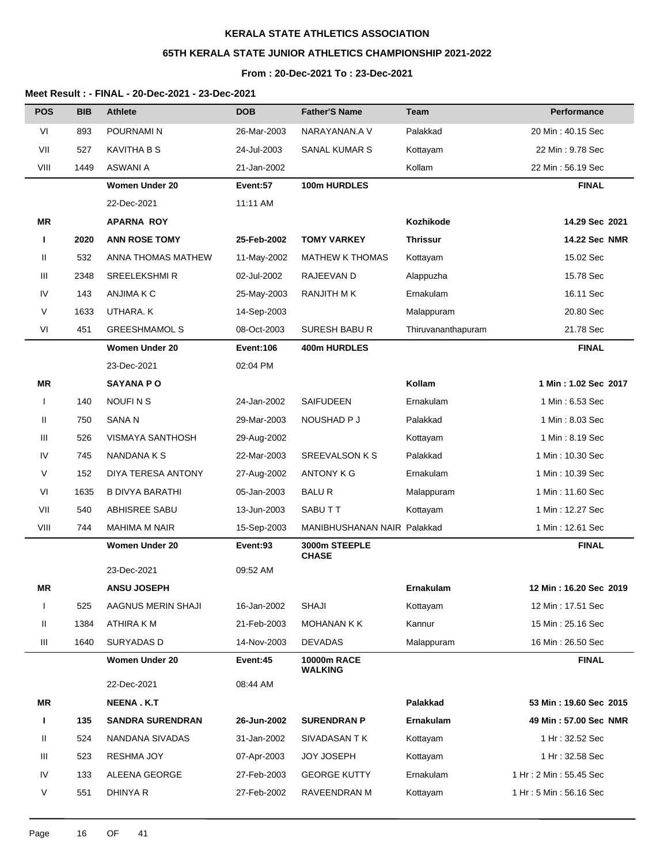# **65TH KERALA STATE JUNIOR ATHLETICS CHAMPIONSHIP 2021-2022**

## **From : 20-Dec-2021 To : 23-Dec-2021**

| <b>POS</b>   | <b>BIB</b> | <b>Athlete</b>          | <b>DOB</b>       | <b>Father'S Name</b>          | <b>Team</b>        | <b>Performance</b>      |
|--------------|------------|-------------------------|------------------|-------------------------------|--------------------|-------------------------|
| VI           | 893        | POURNAMI N              | 26-Mar-2003      | NARAYANAN.A V                 | Palakkad           | 20 Min: 40.15 Sec       |
| VII          | 527        | <b>KAVITHA B S</b>      | 24-Jul-2003      | SANAL KUMAR S                 | Kottayam           | 22 Min: 9.78 Sec        |
| VIII         | 1449       | <b>ASWANI A</b>         | 21-Jan-2002      |                               | Kollam             | 22 Min: 56.19 Sec       |
|              |            | <b>Women Under 20</b>   | Event:57         | 100m HURDLES                  |                    | <b>FINAL</b>            |
|              |            | 22-Dec-2021             | 11:11 AM         |                               |                    |                         |
| <b>MR</b>    |            | <b>APARNA ROY</b>       |                  |                               | Kozhikode          | 14.29 Sec 2021          |
| п            | 2020       | <b>ANN ROSE TOMY</b>    | 25-Feb-2002      | <b>TOMY VARKEY</b>            | <b>Thrissur</b>    | 14.22 Sec NMR           |
| Ш            | 532        | ANNA THOMAS MATHEW      | 11-May-2002      | <b>MATHEW K THOMAS</b>        | Kottayam           | 15.02 Sec               |
| Ш            | 2348       | <b>SREELEKSHMIR</b>     | 02-Jul-2002      | RAJEEVAN D                    | Alappuzha          | 15.78 Sec               |
| IV           | 143        | ANJIMA K C              | 25-May-2003      | RANJITH M K                   | Ernakulam          | 16.11 Sec               |
| V            | 1633       | UTHARA. K               | 14-Sep-2003      |                               | Malappuram         | 20.80 Sec               |
| VI           | 451        | <b>GREESHMAMOL S</b>    | 08-Oct-2003      | SURESH BABUR                  | Thiruvananthapuram | 21.78 Sec               |
|              |            | <b>Women Under 20</b>   | <b>Event:106</b> | 400m HURDLES                  |                    | <b>FINAL</b>            |
|              |            | 23-Dec-2021             | 02:04 PM         |                               |                    |                         |
| MR           |            | <b>SAYANA PO</b>        |                  |                               | Kollam             | 1 Min: 1.02 Sec 2017    |
| $\mathbf{I}$ | 140        | <b>NOUFINS</b>          | 24-Jan-2002      | SAIFUDEEN                     | Ernakulam          | 1 Min: 6.53 Sec         |
| Ш            | 750        | SANA <sub>N</sub>       | 29-Mar-2003      | NOUSHAD P J                   | Palakkad           | 1 Min: 8.03 Sec         |
| Ш            | 526        | VISMAYA SANTHOSH        | 29-Aug-2002      |                               | Kottayam           | 1 Min: 8.19 Sec         |
| IV           | 745        | NANDANA K S             | 22-Mar-2003      | <b>SREEVALSON K S</b>         | Palakkad           | 1 Min: 10.30 Sec        |
| V            | 152        | DIYA TERESA ANTONY      | 27-Aug-2002      | <b>ANTONY K G</b>             | Ernakulam          | 1 Min: 10.39 Sec        |
| VI           | 1635       | <b>B DIVYA BARATHI</b>  | 05-Jan-2003      | <b>BALUR</b>                  | Malappuram         | 1 Min: 11.60 Sec        |
| VII          | 540        | ABHISREE SABU           | 13-Jun-2003      | SABUTT                        | Kottayam           | 1 Min: 12.27 Sec        |
| VIII         | 744        | <b>MAHIMA M NAIR</b>    | 15-Sep-2003      | MANIBHUSHANAN NAIR Palakkad   |                    | 1 Min: 12.61 Sec        |
|              |            | Women Under 20          | Event:93         | 3000m STEEPLE<br><b>CHASE</b> |                    | <b>FINAL</b>            |
|              |            | 23-Dec-2021             | 09:52 AM         |                               |                    |                         |
| ΜR           |            | <b>ANSU JOSEPH</b>      |                  |                               | Ernakulam          | 12 Min : 16.20 Sec 2019 |
| $\mathbf{I}$ | 525        | AAGNUS MERIN SHAJI      | 16-Jan-2002      | <b>SHAJI</b>                  | Kottayam           | 12 Min: 17.51 Sec       |
| Ш            | 1384       | ATHIRA K M              | 21-Feb-2003      | <b>MOHANAN K K</b>            | Kannur             | 15 Min: 25.16 Sec       |
| Ш            | 1640       | SURYADAS D              | 14-Nov-2003      | <b>DEVADAS</b>                | Malappuram         | 16 Min: 26.50 Sec       |
|              |            | <b>Women Under 20</b>   | Event:45         | <b>10000m RACE</b><br>WALKING |                    | <b>FINAL</b>            |
|              |            | 22-Dec-2021             | 08:44 AM         |                               |                    |                         |
| <b>MR</b>    |            | <b>NEENA.K.T</b>        |                  |                               | Palakkad           | 53 Min: 19.60 Sec 2015  |
| I.           | 135        | <b>SANDRA SURENDRAN</b> | 26-Jun-2002      | <b>SURENDRAN P</b>            | Ernakulam          | 49 Min: 57.00 Sec NMR   |
| Ш            | 524        | NANDANA SIVADAS         | 31-Jan-2002      | SIVADASAN T K                 | Kottayam           | 1 Hr: 32.52 Sec         |
| Ш            | 523        | <b>RESHMA JOY</b>       | 07-Apr-2003      | <b>JOY JOSEPH</b>             | Kottayam           | 1 Hr: 32.58 Sec         |
| IV           | 133        | ALEENA GEORGE           | 27-Feb-2003      | <b>GEORGE KUTTY</b>           | Ernakulam          | 1 Hr: 2 Min: 55.45 Sec  |
| V            | 551        | <b>DHINYA R</b>         | 27-Feb-2002      | RAVEENDRAN M                  | Kottayam           | 1 Hr: 5 Min: 56.16 Sec  |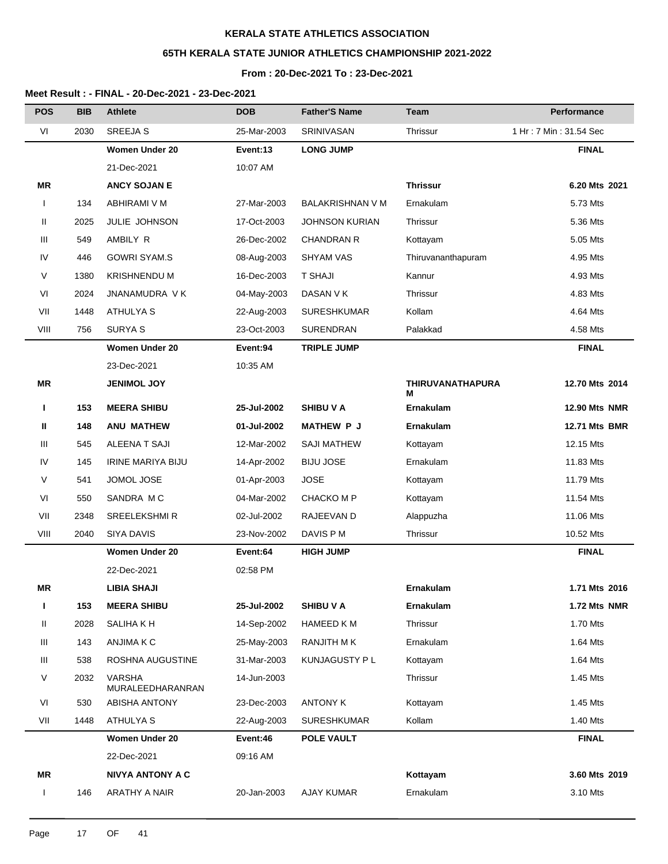# **65TH KERALA STATE JUNIOR ATHLETICS CHAMPIONSHIP 2021-2022**

## **From : 20-Dec-2021 To : 23-Dec-2021**

| <b>POS</b>   | <b>BIB</b> | <b>Athlete</b>                    | <b>DOB</b>  | <b>Father'S Name</b>  | <b>Team</b>                  | Performance            |
|--------------|------------|-----------------------------------|-------------|-----------------------|------------------------------|------------------------|
| VI           | 2030       | <b>SREEJA S</b>                   | 25-Mar-2003 | SRINIVASAN            | Thrissur                     | 1 Hr: 7 Min: 31.54 Sec |
|              |            | <b>Women Under 20</b>             | Event:13    | <b>LONG JUMP</b>      |                              | <b>FINAL</b>           |
|              |            | 21-Dec-2021                       | 10:07 AM    |                       |                              |                        |
| ΜR           |            | <b>ANCY SOJAN E</b>               |             |                       | <b>Thrissur</b>              | 6.20 Mts 2021          |
| $\mathbf{I}$ | 134        | ABHIRAMI V M                      | 27-Mar-2003 | BALAKRISHNAN V M      | Ernakulam                    | 5.73 Mts               |
| Ш            | 2025       | JULIE JOHNSON                     | 17-Oct-2003 | <b>JOHNSON KURIAN</b> | Thrissur                     | 5.36 Mts               |
| Ш            | 549        | AMBILY R                          | 26-Dec-2002 | <b>CHANDRAN R</b>     | Kottayam                     | 5.05 Mts               |
| IV           | 446        | <b>GOWRI SYAM.S</b>               | 08-Aug-2003 | <b>SHYAM VAS</b>      | Thiruvananthapuram           | 4.95 Mts               |
| V            | 1380       | <b>KRISHNENDU M</b>               | 16-Dec-2003 | <b>T SHAJI</b>        | Kannur                       | 4.93 Mts               |
| VI           | 2024       | JNANAMUDRA V K                    | 04-May-2003 | DASAN V K             | Thrissur                     | 4.83 Mts               |
| VII          | 1448       | <b>ATHULYA S</b>                  | 22-Aug-2003 | <b>SURESHKUMAR</b>    | Kollam                       | 4.64 Mts               |
| VIII         | 756        | <b>SURYAS</b>                     | 23-Oct-2003 | SURENDRAN             | Palakkad                     | 4.58 Mts               |
|              |            | <b>Women Under 20</b>             | Event:94    | <b>TRIPLE JUMP</b>    |                              | <b>FINAL</b>           |
|              |            | 23-Dec-2021                       | 10:35 AM    |                       |                              |                        |
| <b>MR</b>    |            | <b>JENIMOL JOY</b>                |             |                       | <b>THIRUVANATHAPURA</b><br>м | 12.70 Mts 2014         |
| L            | 153        | <b>MEERA SHIBU</b>                | 25-Jul-2002 | <b>SHIBU V A</b>      | Ernakulam                    | <b>12.90 Mts NMR</b>   |
| Ш            | 148        | <b>ANU MATHEW</b>                 | 01-Jul-2002 | <b>MATHEW P J</b>     | Ernakulam                    | <b>12.71 Mts BMR</b>   |
| Ш            | 545        | <b>ALEENA T SAJI</b>              | 12-Mar-2002 | <b>SAJI MATHEW</b>    | Kottayam                     | 12.15 Mts              |
| IV           | 145        | <b>IRINE MARIYA BIJU</b>          | 14-Apr-2002 | <b>BIJU JOSE</b>      | Ernakulam                    | 11.83 Mts              |
| V            | 541        | JOMOL JOSE                        | 01-Apr-2003 | <b>JOSE</b>           | Kottayam                     | 11.79 Mts              |
| VI           | 550        | SANDRA MC                         | 04-Mar-2002 | <b>CHACKO M P</b>     | Kottayam                     | 11.54 Mts              |
| VII          | 2348       | <b>SREELEKSHMIR</b>               | 02-Jul-2002 | RAJEEVAN D            | Alappuzha                    | 11.06 Mts              |
| VIII         | 2040       | <b>SIYA DAVIS</b>                 | 23-Nov-2002 | DAVIS P M             | Thrissur                     | 10.52 Mts              |
|              |            | <b>Women Under 20</b>             | Event:64    | <b>HIGH JUMP</b>      |                              | <b>FINAL</b>           |
|              |            | 22-Dec-2021                       | 02:58 PM    |                       |                              |                        |
| ΜR           |            | LIBIA SHAJI                       |             |                       | <b>Ernakulam</b>             | 1.71 Mts 2016          |
| L            | 153        | <b>MEERA SHIBU</b>                | 25-Jul-2002 | <b>SHIBU V A</b>      | Ernakulam                    | 1.72 Mts NMR           |
| Ш            | 2028       | SALIHA KH                         | 14-Sep-2002 | HAMEED K M            | Thrissur                     | 1.70 Mts               |
| Ш            | 143        | ANJIMA K C                        | 25-May-2003 | RANJITH M K           | Ernakulam                    | 1.64 Mts               |
| Ш            | 538        | ROSHNA AUGUSTINE                  | 31-Mar-2003 | KUNJAGUSTY P L        | Kottayam                     | 1.64 Mts               |
| V            | 2032       | <b>VARSHA</b><br>MURALEEDHARANRAN | 14-Jun-2003 |                       | Thrissur                     | 1.45 Mts               |
| VI           | 530        | ABISHA ANTONY                     | 23-Dec-2003 | <b>ANTONY K</b>       | Kottayam                     | 1.45 Mts               |
| VII          | 1448       | ATHULYA S                         | 22-Aug-2003 | <b>SURESHKUMAR</b>    | Kollam                       | 1.40 Mts               |
|              |            | Women Under 20                    | Event:46    | POLE VAULT            |                              | <b>FINAL</b>           |
|              |            | 22-Dec-2021                       | 09:16 AM    |                       |                              |                        |
| MR           |            | <b>NIVYA ANTONY A C</b>           |             |                       | Kottayam                     | 3.60 Mts 2019          |
| $\mathsf{L}$ | 146        | ARATHY A NAIR                     | 20-Jan-2003 | <b>AJAY KUMAR</b>     | Ernakulam                    | 3.10 Mts               |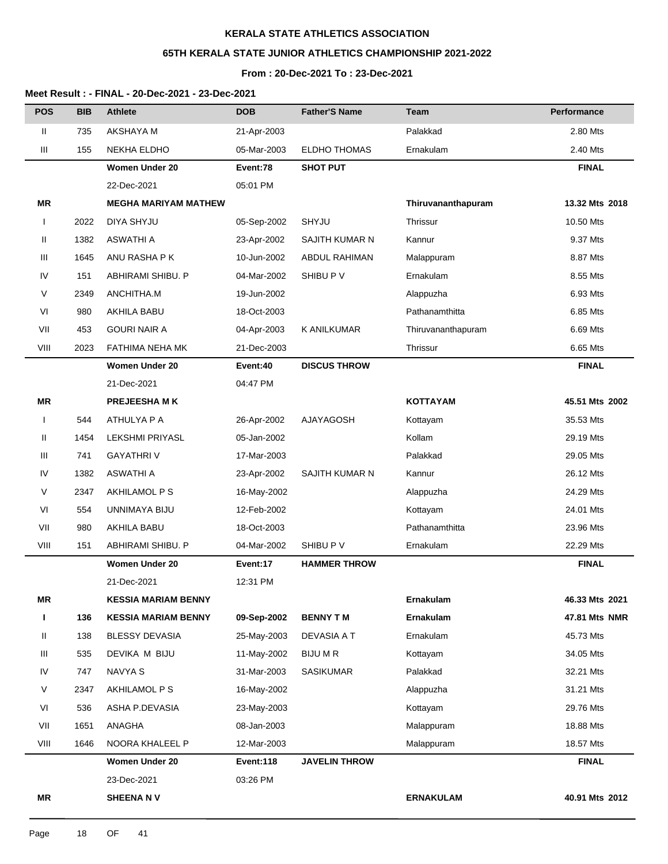# **65TH KERALA STATE JUNIOR ATHLETICS CHAMPIONSHIP 2021-2022**

### **From : 20-Dec-2021 To : 23-Dec-2021**

| <b>POS</b>   | <b>BIB</b> | <b>Athlete</b>              | <b>DOB</b>  | <b>Father'S Name</b> | Team               | Performance    |
|--------------|------------|-----------------------------|-------------|----------------------|--------------------|----------------|
| Ш            | 735        | AKSHAYA M                   | 21-Apr-2003 |                      | Palakkad           | 2.80 Mts       |
| Ш            | 155        | NEKHA ELDHO                 | 05-Mar-2003 | <b>ELDHO THOMAS</b>  | Ernakulam          | 2.40 Mts       |
|              |            | Women Under 20              | Event:78    | <b>SHOT PUT</b>      |                    | <b>FINAL</b>   |
|              |            | 22-Dec-2021                 | 05:01 PM    |                      |                    |                |
| ΜR           |            | <b>MEGHA MARIYAM MATHEW</b> |             |                      | Thiruvananthapuram | 13.32 Mts 2018 |
| I            | 2022       | <b>DIYA SHYJU</b>           | 05-Sep-2002 | SHYJU                | <b>Thrissur</b>    | 10.50 Mts      |
| Ш            | 1382       | ASWATHI A                   | 23-Apr-2002 | SAJITH KUMAR N       | Kannur             | 9.37 Mts       |
| Ш            | 1645       | ANU RASHA P K               | 10-Jun-2002 | <b>ABDUL RAHIMAN</b> | Malappuram         | 8.87 Mts       |
| IV           | 151        | ABHIRAMI SHIBU. P           | 04-Mar-2002 | SHIBU P V            | Ernakulam          | 8.55 Mts       |
| V            | 2349       | ANCHITHA.M                  | 19-Jun-2002 |                      | Alappuzha          | 6.93 Mts       |
| VI           | 980        | AKHILA BABU                 | 18-Oct-2003 |                      | Pathanamthitta     | 6.85 Mts       |
| VII          | 453        | <b>GOURI NAIR A</b>         | 04-Apr-2003 | K ANILKUMAR          | Thiruvananthapuram | 6.69 Mts       |
| VIII         | 2023       | FATHIMA NEHA MK             | 21-Dec-2003 |                      | Thrissur           | 6.65 Mts       |
|              |            | <b>Women Under 20</b>       | Event:40    | <b>DISCUS THROW</b>  |                    | <b>FINAL</b>   |
|              |            | 21-Dec-2021                 | 04:47 PM    |                      |                    |                |
| <b>MR</b>    |            | <b>PREJEESHAMK</b>          |             |                      | <b>KOTTAYAM</b>    | 45.51 Mts 2002 |
| $\mathbf{I}$ | 544        | ATHULYA P A                 | 26-Apr-2002 | <b>AJAYAGOSH</b>     | Kottayam           | 35.53 Mts      |
| Ш            | 1454       | <b>LEKSHMI PRIYASL</b>      | 05-Jan-2002 |                      | Kollam             | 29.19 Mts      |
| Ш            | 741        | <b>GAYATHRIV</b>            | 17-Mar-2003 |                      | Palakkad           | 29.05 Mts      |
| IV           | 1382       | ASWATHI A                   | 23-Apr-2002 | SAJITH KUMAR N       | Kannur             | 26.12 Mts      |
| V            | 2347       | AKHILAMOL P S               | 16-May-2002 |                      | Alappuzha          | 24.29 Mts      |
| VI           | 554        | UNNIMAYA BIJU               | 12-Feb-2002 |                      | Kottayam           | 24.01 Mts      |
| VII          | 980        | AKHILA BABU                 | 18-Oct-2003 |                      | Pathanamthitta     | 23.96 Mts      |
| VIII         | 151        | ABHIRAMI SHIBU. P           | 04-Mar-2002 | SHIBU P V            | Ernakulam          | 22.29 Mts      |
|              |            | <b>Women Under 20</b>       | Event:17    | <b>HAMMER THROW</b>  |                    | <b>FINAL</b>   |
|              |            | 21-Dec-2021                 | 12:31 PM    |                      |                    |                |
| MR           |            | <b>KESSIA MARIAM BENNY</b>  |             |                      | Ernakulam          | 46.33 Mts 2021 |
| L            | 136        | <b>KESSIA MARIAM BENNY</b>  | 09-Sep-2002 | <b>BENNY TM</b>      | Ernakulam          | 47.81 Mts NMR  |
| Ш            | 138        | <b>BLESSY DEVASIA</b>       | 25-May-2003 | DEVASIA A T          | Ernakulam          | 45.73 Mts      |
| Ш            | 535        | DEVIKA M BIJU               | 11-May-2002 | <b>BIJU M R</b>      | Kottayam           | 34.05 Mts      |
| IV           | 747        | NAVYA S                     | 31-Mar-2003 | <b>SASIKUMAR</b>     | Palakkad           | 32.21 Mts      |
| V            | 2347       | AKHILAMOL P S               | 16-May-2002 |                      | Alappuzha          | 31.21 Mts      |
| VI           | 536        | ASHA P.DEVASIA              | 23-May-2003 |                      | Kottayam           | 29.76 Mts      |
| VII          | 1651       | ANAGHA                      | 08-Jan-2003 |                      | Malappuram         | 18.88 Mts      |
| VIII         | 1646       | NOORA KHALEEL P             | 12-Mar-2003 |                      | Malappuram         | 18.57 Mts      |
|              |            | <b>Women Under 20</b>       | Event:118   | <b>JAVELIN THROW</b> |                    | <b>FINAL</b>   |
|              |            | 23-Dec-2021                 | 03:26 PM    |                      |                    |                |
| ΜR           |            | <b>SHEENA NV</b>            |             |                      | <b>ERNAKULAM</b>   | 40.91 Mts 2012 |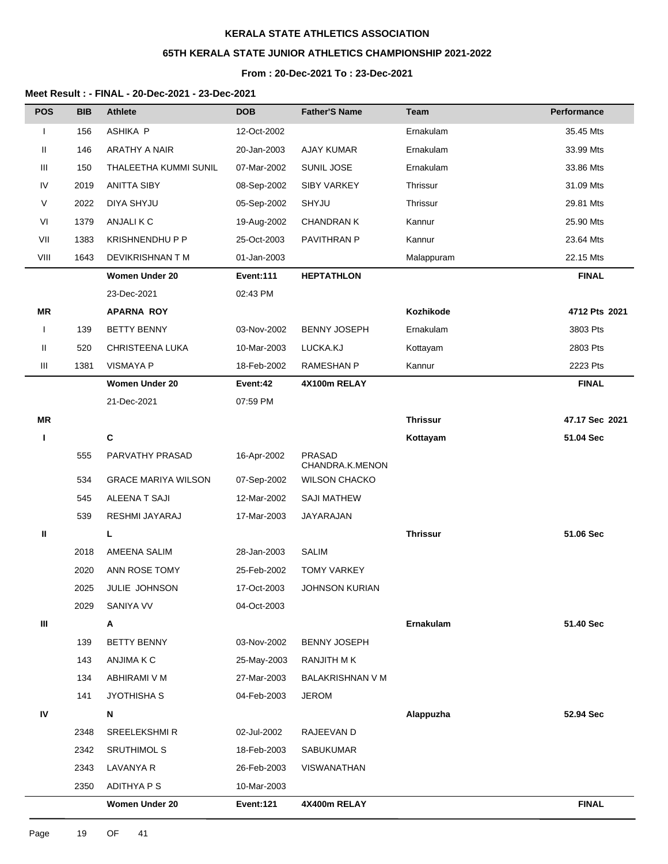# **65TH KERALA STATE JUNIOR ATHLETICS CHAMPIONSHIP 2021-2022**

#### **From : 20-Dec-2021 To : 23-Dec-2021**

| <b>POS</b>   | <b>BIB</b> | <b>Athlete</b>             | <b>DOB</b>  | <b>Father'S Name</b>             | <b>Team</b>     | Performance    |
|--------------|------------|----------------------------|-------------|----------------------------------|-----------------|----------------|
| T            | 156        | ASHIKA P                   | 12-Oct-2002 |                                  | Ernakulam       | 35.45 Mts      |
| Ш            | 146        | ARATHY A NAIR              | 20-Jan-2003 | AJAY KUMAR                       | Ernakulam       | 33.99 Mts      |
| Ш            | 150        | THALEETHA KUMMI SUNIL      | 07-Mar-2002 | SUNIL JOSE                       | Ernakulam       | 33.86 Mts      |
| IV           | 2019       | <b>ANITTA SIBY</b>         | 08-Sep-2002 | <b>SIBY VARKEY</b>               | Thrissur        | 31.09 Mts      |
| V            | 2022       | DIYA SHYJU                 | 05-Sep-2002 | SHYJU                            | Thrissur        | 29.81 Mts      |
| VI           | 1379       | ANJALI K C                 | 19-Aug-2002 | <b>CHANDRAN K</b>                | Kannur          | 25.90 Mts      |
| VII          | 1383       | <b>KRISHNENDHUPP</b>       | 25-Oct-2003 | PAVITHRAN P                      | Kannur          | 23.64 Mts      |
| VIII         | 1643       | DEVIKRISHNAN T M           | 01-Jan-2003 |                                  | Malappuram      | 22.15 Mts      |
|              |            | Women Under 20             | Event:111   | <b>HEPTATHLON</b>                |                 | <b>FINAL</b>   |
|              |            | 23-Dec-2021                | 02:43 PM    |                                  |                 |                |
| <b>MR</b>    |            | <b>APARNA ROY</b>          |             |                                  | Kozhikode       | 4712 Pts 2021  |
| $\mathbf{I}$ | 139        | <b>BETTY BENNY</b>         | 03-Nov-2002 | <b>BENNY JOSEPH</b>              | Ernakulam       | 3803 Pts       |
| Ш            | 520        | CHRISTEENA LUKA            | 10-Mar-2003 | LUCKA.KJ                         | Kottayam        | 2803 Pts       |
| Ш            | 1381       | <b>VISMAYA P</b>           | 18-Feb-2002 | <b>RAMESHAN P</b>                | Kannur          | 2223 Pts       |
|              |            | <b>Women Under 20</b>      | Event:42    | 4X100m RELAY                     |                 | <b>FINAL</b>   |
|              |            | 21-Dec-2021                | 07:59 PM    |                                  |                 |                |
| MR           |            |                            |             |                                  | <b>Thrissur</b> | 47.17 Sec 2021 |
| L            |            | $\mathbf{C}$               |             |                                  | Kottayam        | 51.04 Sec      |
|              | 555        | PARVATHY PRASAD            | 16-Apr-2002 | <b>PRASAD</b><br>CHANDRA.K.MENON |                 |                |
|              | 534        | <b>GRACE MARIYA WILSON</b> | 07-Sep-2002 | <b>WILSON CHACKO</b>             |                 |                |
|              | 545        | ALEENA T SAJI              | 12-Mar-2002 | <b>SAJI MATHEW</b>               |                 |                |
|              | 539        | RESHMI JAYARAJ             | 17-Mar-2003 | JAYARAJAN                        |                 |                |
| Ш            |            | L.                         |             |                                  | <b>Thrissur</b> | 51.06 Sec      |
|              | 2018       | AMEENA SALIM               | 28-Jan-2003 | <b>SALIM</b>                     |                 |                |
|              | 2020       | ANN ROSE TOMY              | 25-Feb-2002 | <b>TOMY VARKEY</b>               |                 |                |
|              | 2025       | JULIE JOHNSON              | 17-Oct-2003 | <b>JOHNSON KURIAN</b>            |                 |                |
|              | 2029       | SANIYA VV                  | 04-Oct-2003 |                                  |                 |                |
| Ш            |            | Α                          |             |                                  | Ernakulam       | 51.40 Sec      |
|              | 139        | <b>BETTY BENNY</b>         | 03-Nov-2002 | <b>BENNY JOSEPH</b>              |                 |                |
|              | 143        | ANJIMA K C                 | 25-May-2003 | RANJITH MK                       |                 |                |
|              | 134        | ABHIRAMI V M               | 27-Mar-2003 | BALAKRISHNAN V M                 |                 |                |
|              | 141        | JYOTHISHA S                | 04-Feb-2003 | <b>JEROM</b>                     |                 |                |
| ${\sf IV}$   |            | N                          |             |                                  | Alappuzha       | 52.94 Sec      |
|              | 2348       | <b>SREELEKSHMIR</b>        | 02-Jul-2002 | RAJEEVAN D                       |                 |                |
|              | 2342       | <b>SRUTHIMOL S</b>         | 18-Feb-2003 | SABUKUMAR                        |                 |                |
|              | 2343       | LAVANYA R                  | 26-Feb-2003 | VISWANATHAN                      |                 |                |
|              | 2350       | ADITHYA P S                | 10-Mar-2003 |                                  |                 |                |
|              |            | <b>Women Under 20</b>      | Event:121   | 4X400m RELAY                     |                 | <b>FINAL</b>   |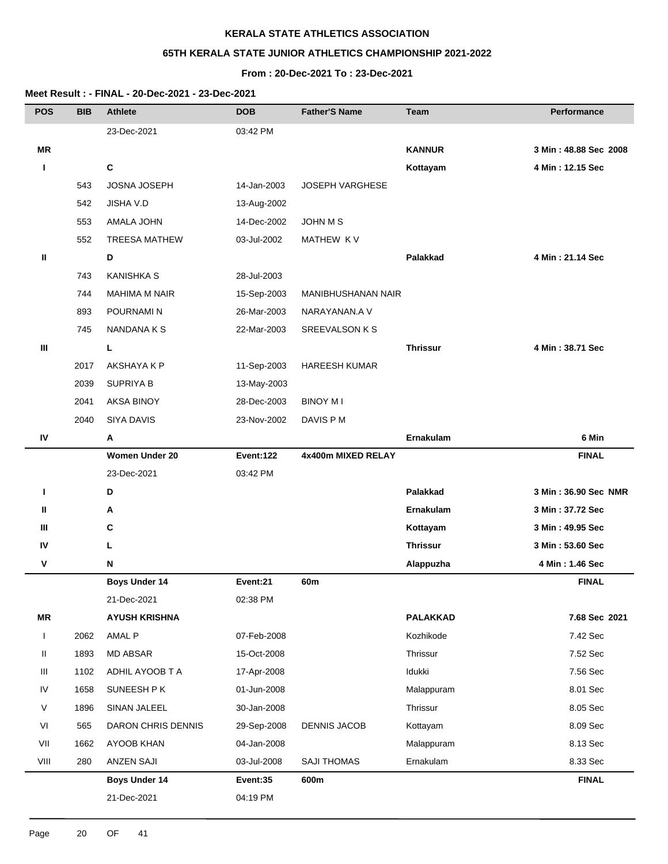# **65TH KERALA STATE JUNIOR ATHLETICS CHAMPIONSHIP 2021-2022**

### **From : 20-Dec-2021 To : 23-Dec-2021**

| <b>POS</b>   | <b>BIB</b> | <b>Athlete</b>        | <b>DOB</b>  | <b>Father'S Name</b>   | <b>Team</b>      | <b>Performance</b>    |
|--------------|------------|-----------------------|-------------|------------------------|------------------|-----------------------|
|              |            | 23-Dec-2021           | 03:42 PM    |                        |                  |                       |
| <b>MR</b>    |            |                       |             |                        | <b>KANNUR</b>    | 3 Min: 48.88 Sec 2008 |
| п            |            | C                     |             |                        | Kottayam         | 4 Min: 12.15 Sec      |
|              | 543        | JOSNA JOSEPH          | 14-Jan-2003 | <b>JOSEPH VARGHESE</b> |                  |                       |
|              | 542        | JISHA V.D             | 13-Aug-2002 |                        |                  |                       |
|              | 553        | <b>AMALA JOHN</b>     | 14-Dec-2002 | <b>JOHN M S</b>        |                  |                       |
|              | 552        | <b>TREESA MATHEW</b>  | 03-Jul-2002 | MATHEW KV              |                  |                       |
| Ш            |            | D                     |             |                        | <b>Palakkad</b>  | 4 Min: 21.14 Sec      |
|              | 743        | <b>KANISHKA S</b>     | 28-Jul-2003 |                        |                  |                       |
|              | 744        | <b>MAHIMA M NAIR</b>  | 15-Sep-2003 | MANIBHUSHANAN NAIR     |                  |                       |
|              | 893        | POURNAMI N            | 26-Mar-2003 | NARAYANAN.A V          |                  |                       |
|              | 745        | <b>NANDANAKS</b>      | 22-Mar-2003 | <b>SREEVALSON K S</b>  |                  |                       |
| Ш            |            | L                     |             |                        | <b>Thrissur</b>  | 4 Min: 38.71 Sec      |
|              | 2017       | AKSHAYA K P           | 11-Sep-2003 | <b>HAREESH KUMAR</b>   |                  |                       |
|              | 2039       | <b>SUPRIYA B</b>      | 13-May-2003 |                        |                  |                       |
|              | 2041       | <b>AKSA BINOY</b>     | 28-Dec-2003 | <b>BINOY MI</b>        |                  |                       |
|              | 2040       | <b>SIYA DAVIS</b>     | 23-Nov-2002 | DAVIS P M              |                  |                       |
| IV           |            | Α                     |             |                        | Ernakulam        | 6 Min                 |
|              |            | <b>Women Under 20</b> | Event:122   | 4x400m MIXED RELAY     |                  | <b>FINAL</b>          |
|              |            | 23-Dec-2021           | 03:42 PM    |                        |                  |                       |
| п            |            | D                     |             |                        | Palakkad         | 3 Min: 36.90 Sec NMR  |
| Ш            |            | Α                     |             |                        | <b>Ernakulam</b> | 3 Min: 37.72 Sec      |
| Ш            |            | С                     |             |                        | Kottayam         | 3 Min: 49.95 Sec      |
| IV           |            | L                     |             |                        | <b>Thrissur</b>  | 3 Min: 53.60 Sec      |
| V            |            | ${\sf N}$             |             |                        | Alappuzha        | 4 Min: 1.46 Sec       |
|              |            | <b>Boys Under 14</b>  | Event:21    | 60m                    |                  | <b>FINAL</b>          |
|              |            | 21-Dec-2021           | 02:38 PM    |                        |                  |                       |
| MR           |            | <b>AYUSH KRISHNA</b>  |             |                        | <b>PALAKKAD</b>  | 7.68 Sec 2021         |
| $\mathsf{L}$ | 2062       | AMAL P                | 07-Feb-2008 |                        | Kozhikode        | 7.42 Sec              |
| Ш            | 1893       | MD ABSAR              | 15-Oct-2008 |                        | Thrissur         | 7.52 Sec              |
| Ш            | 1102       | ADHIL AYOOB T A       | 17-Apr-2008 |                        | Idukki           | 7.56 Sec              |
| IV           | 1658       | SUNEESH P K           | 01-Jun-2008 |                        | Malappuram       | 8.01 Sec              |
| V            | 1896       | SINAN JALEEL          | 30-Jan-2008 |                        | Thrissur         | 8.05 Sec              |
| VI           | 565        | DARON CHRIS DENNIS    | 29-Sep-2008 | <b>DENNIS JACOB</b>    | Kottayam         | 8.09 Sec              |
| VII          | 1662       | AYOOB KHAN            | 04-Jan-2008 |                        | Malappuram       | 8.13 Sec              |
| VIII         | 280        | <b>ANZEN SAJI</b>     | 03-Jul-2008 | SAJI THOMAS            | Ernakulam        | 8.33 Sec              |
|              |            | <b>Boys Under 14</b>  | Event:35    | 600m                   |                  | <b>FINAL</b>          |
|              |            | 21-Dec-2021           | 04:19 PM    |                        |                  |                       |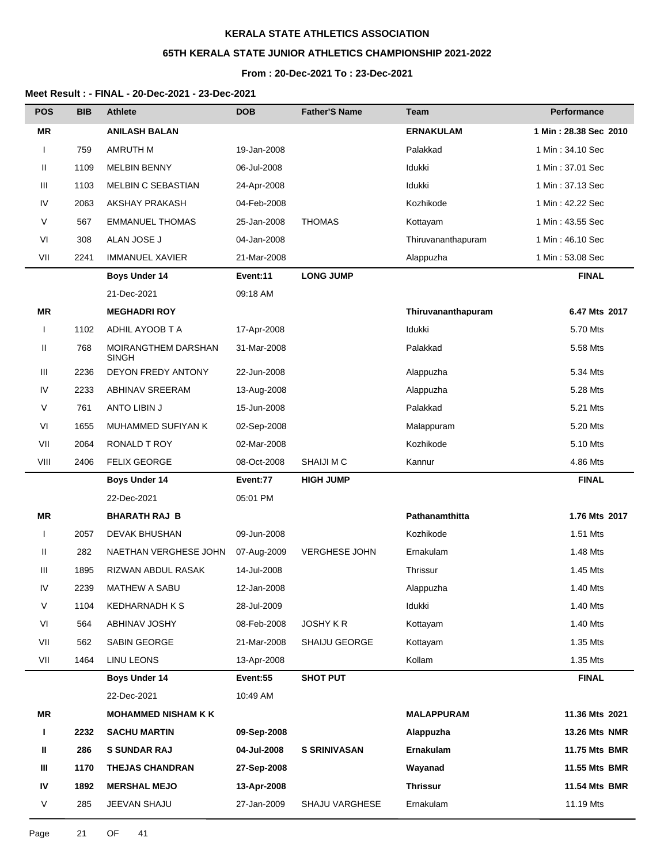# **65TH KERALA STATE JUNIOR ATHLETICS CHAMPIONSHIP 2021-2022**

### **From : 20-Dec-2021 To : 23-Dec-2021**

| <b>POS</b>   | <b>BIB</b> | <b>Athlete</b>                      | <b>DOB</b>  | <b>Father'S Name</b>  | Team               | Performance           |
|--------------|------------|-------------------------------------|-------------|-----------------------|--------------------|-----------------------|
| <b>MR</b>    |            | <b>ANILASH BALAN</b>                |             |                       | <b>ERNAKULAM</b>   | 1 Min: 28.38 Sec 2010 |
| $\mathbf{I}$ | 759        | <b>AMRUTH M</b>                     | 19-Jan-2008 |                       | Palakkad           | 1 Min: 34.10 Sec      |
| Ш            | 1109       | <b>MELBIN BENNY</b>                 | 06-Jul-2008 |                       | Idukki             | 1 Min: 37.01 Sec      |
| Ш            | 1103       | <b>MELBIN C SEBASTIAN</b>           | 24-Apr-2008 |                       | Idukki             | 1 Min: 37.13 Sec      |
| IV           | 2063       | AKSHAY PRAKASH                      | 04-Feb-2008 |                       | Kozhikode          | 1 Min: 42.22 Sec      |
| $\vee$       | 567        | <b>EMMANUEL THOMAS</b>              | 25-Jan-2008 | <b>THOMAS</b>         | Kottayam           | 1 Min: 43.55 Sec      |
| VI           | 308        | ALAN JOSE J                         | 04-Jan-2008 |                       | Thiruvananthapuram | 1 Min: 46.10 Sec      |
| VII          | 2241       | <b>IMMANUEL XAVIER</b>              | 21-Mar-2008 |                       | Alappuzha          | 1 Min: 53.08 Sec      |
|              |            | <b>Boys Under 14</b>                | Event:11    | <b>LONG JUMP</b>      |                    | <b>FINAL</b>          |
|              |            | 21-Dec-2021                         | 09:18 AM    |                       |                    |                       |
| <b>MR</b>    |            | <b>MEGHADRI ROY</b>                 |             |                       | Thiruvananthapuram | 6.47 Mts 2017         |
| $\mathbf{I}$ | 1102       | ADHIL AYOOB T A                     | 17-Apr-2008 |                       | Idukki             | 5.70 Mts              |
| Ш            | 768        | MOIRANGTHEM DARSHAN<br><b>SINGH</b> | 31-Mar-2008 |                       | Palakkad           | 5.58 Mts              |
| Ш            | 2236       | DEYON FREDY ANTONY                  | 22-Jun-2008 |                       | Alappuzha          | 5.34 Mts              |
| IV           | 2233       | <b>ABHINAV SREERAM</b>              | 13-Aug-2008 |                       | Alappuzha          | 5.28 Mts              |
| $\vee$       | 761        | ANTO LIBIN J                        | 15-Jun-2008 |                       | Palakkad           | 5.21 Mts              |
| VI           | 1655       | MUHAMMED SUFIYAN K                  | 02-Sep-2008 |                       | Malappuram         | 5.20 Mts              |
| VII          | 2064       | RONALD T ROY                        | 02-Mar-2008 |                       | Kozhikode          | 5.10 Mts              |
| VIII         | 2406       | <b>FELIX GEORGE</b>                 | 08-Oct-2008 | SHAIJI M C            | Kannur             | 4.86 Mts              |
|              |            | <b>Boys Under 14</b>                | Event:77    | <b>HIGH JUMP</b>      |                    | <b>FINAL</b>          |
|              |            | 22-Dec-2021                         | 05:01 PM    |                       |                    |                       |
| ΜR           |            | <b>BHARATH RAJ B</b>                |             |                       | Pathanamthitta     | 1.76 Mts 2017         |
| $\mathbf{I}$ | 2057       | <b>DEVAK BHUSHAN</b>                | 09-Jun-2008 |                       | Kozhikode          | 1.51 Mts              |
| Ш            | 282        | NAETHAN VERGHESE JOHN               | 07-Aug-2009 | <b>VERGHESE JOHN</b>  | Ernakulam          | 1.48 Mts              |
| Ш            | 1895       | RIZWAN ABDUL RASAK                  | 14-Jul-2008 |                       | Thrissur           | 1.45 Mts              |
| IV           | 2239       | MATHEW A SABU                       | 12-Jan-2008 |                       | Alappuzha          | 1.40 Mts              |
| V            | 1104       | <b>KEDHARNADH K S</b>               | 28-Jul-2009 |                       | ldukki             | 1.40 Mts              |
| VI           | 564        | ABHINAV JOSHY                       | 08-Feb-2008 | <b>JOSHY K R</b>      | Kottayam           | 1.40 Mts              |
| VII          | 562        | SABIN GEORGE                        | 21-Mar-2008 | <b>SHAIJU GEORGE</b>  | Kottayam           | 1.35 Mts              |
| VII          | 1464       | <b>LINU LEONS</b>                   | 13-Apr-2008 |                       | Kollam             | 1.35 Mts              |
|              |            | Boys Under 14                       | Event:55    | <b>SHOT PUT</b>       |                    | <b>FINAL</b>          |
|              |            | 22-Dec-2021                         | 10:49 AM    |                       |                    |                       |
| ΜR           |            | <b>MOHAMMED NISHAM K K</b>          |             |                       | <b>MALAPPURAM</b>  | 11.36 Mts 2021        |
| L            | 2232       | <b>SACHU MARTIN</b>                 | 09-Sep-2008 |                       | Alappuzha          | <b>13.26 Mts NMR</b>  |
| Ш            | 286        | <b>S SUNDAR RAJ</b>                 | 04-Jul-2008 | <b>S SRINIVASAN</b>   | Ernakulam          | 11.75 Mts BMR         |
| Ш            | 1170       | <b>THEJAS CHANDRAN</b>              | 27-Sep-2008 |                       | Wayanad            | 11.55 Mts BMR         |
| IV           | 1892       | <b>MERSHAL MEJO</b>                 | 13-Apr-2008 |                       | <b>Thrissur</b>    | 11.54 Mts BMR         |
| $\vee$       | 285        | JEEVAN SHAJU                        | 27-Jan-2009 | <b>SHAJU VARGHESE</b> | Ernakulam          | 11.19 Mts             |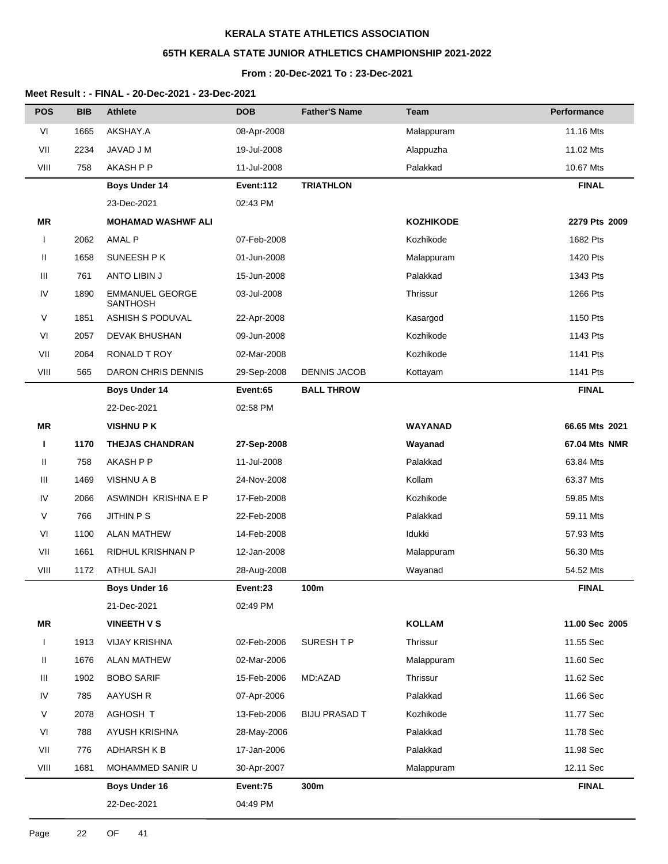# **65TH KERALA STATE JUNIOR ATHLETICS CHAMPIONSHIP 2021-2022**

# **From : 20-Dec-2021 To : 23-Dec-2021**

| <b>POS</b>   | <b>BIB</b> | <b>Athlete</b>                            | <b>DOB</b>  | <b>Father'S Name</b> | Team             | Performance    |
|--------------|------------|-------------------------------------------|-------------|----------------------|------------------|----------------|
| VI           | 1665       | AKSHAY.A                                  | 08-Apr-2008 |                      | Malappuram       | 11.16 Mts      |
| VII          | 2234       | JAVAD J M                                 | 19-Jul-2008 |                      | Alappuzha        | 11.02 Mts      |
| VIII         | 758        | AKASH P P                                 | 11-Jul-2008 |                      | Palakkad         | 10.67 Mts      |
|              |            | <b>Boys Under 14</b>                      | Event:112   | <b>TRIATHLON</b>     |                  | <b>FINAL</b>   |
|              |            | 23-Dec-2021                               | 02:43 PM    |                      |                  |                |
| MR           |            | <b>MOHAMAD WASHWF ALI</b>                 |             |                      | <b>KOZHIKODE</b> | 2279 Pts 2009  |
| $\mathbf{I}$ | 2062       | <b>AMAL P</b>                             | 07-Feb-2008 |                      | Kozhikode        | 1682 Pts       |
| Ш            | 1658       | SUNEESH P K                               | 01-Jun-2008 |                      | Malappuram       | 1420 Pts       |
| Ш            | 761        | ANTO LIBIN J                              | 15-Jun-2008 |                      | Palakkad         | 1343 Pts       |
| ${\sf IV}$   | 1890       | <b>EMMANUEL GEORGE</b><br><b>SANTHOSH</b> | 03-Jul-2008 |                      | Thrissur         | 1266 Pts       |
| V            | 1851       | ASHISH S PODUVAL                          | 22-Apr-2008 |                      | Kasargod         | 1150 Pts       |
| VI           | 2057       | <b>DEVAK BHUSHAN</b>                      | 09-Jun-2008 |                      | Kozhikode        | 1143 Pts       |
| VII          | 2064       | <b>RONALD T ROY</b>                       | 02-Mar-2008 |                      | Kozhikode        | 1141 Pts       |
| VIII         | 565        | <b>DARON CHRIS DENNIS</b>                 | 29-Sep-2008 | <b>DENNIS JACOB</b>  | Kottayam         | 1141 Pts       |
|              |            | <b>Boys Under 14</b>                      | Event:65    | <b>BALL THROW</b>    |                  | <b>FINAL</b>   |
|              |            | 22-Dec-2021                               | 02:58 PM    |                      |                  |                |
| <b>MR</b>    |            | <b>VISHNUPK</b>                           |             |                      | <b>WAYANAD</b>   | 66.65 Mts 2021 |
| п            | 1170       | <b>THEJAS CHANDRAN</b>                    | 27-Sep-2008 |                      | Wayanad          | 67.04 Mts NMR  |
| Ш            | 758        | AKASH P P                                 | 11-Jul-2008 |                      | Palakkad         | 63.84 Mts      |
| Ш            | 1469       | VISHNU A B                                | 24-Nov-2008 |                      | Kollam           | 63.37 Mts      |
| IV           | 2066       | ASWINDH KRISHNA E P                       | 17-Feb-2008 |                      | Kozhikode        | 59.85 Mts      |
| V            | 766        | <b>JITHIN P S</b>                         | 22-Feb-2008 |                      | Palakkad         | 59.11 Mts      |
| VI           | 1100       | <b>ALAN MATHEW</b>                        | 14-Feb-2008 |                      | Idukki           | 57.93 Mts      |
| VII          | 1661       | RIDHUL KRISHNAN P                         | 12-Jan-2008 |                      | Malappuram       | 56.30 Mts      |
| VIII         | 1172       | <b>ATHUL SAJI</b>                         | 28-Aug-2008 |                      | Wayanad          | 54.52 Mts      |
|              |            | <b>Boys Under 16</b>                      | Event:23    | 100m                 |                  | <b>FINAL</b>   |
|              |            | 21-Dec-2021                               | 02:49 PM    |                      |                  |                |
| <b>MR</b>    |            | <b>VINEETH V S</b>                        |             |                      | <b>KOLLAM</b>    | 11.00 Sec 2005 |
|              | 1913       | <b>VIJAY KRISHNA</b>                      | 02-Feb-2006 | SURESH T P           | Thrissur         | 11.55 Sec      |
| Ш            | 1676       | <b>ALAN MATHEW</b>                        | 02-Mar-2006 |                      | Malappuram       | 11.60 Sec      |
| Ш            | 1902       | <b>BOBO SARIF</b>                         | 15-Feb-2006 | MD:AZAD              | Thrissur         | 11.62 Sec      |
| ${\sf IV}$   | 785        | <b>AAYUSH R</b>                           | 07-Apr-2006 |                      | Palakkad         | 11.66 Sec      |
| V            | 2078       | AGHOSH T                                  | 13-Feb-2006 | <b>BIJU PRASAD T</b> | Kozhikode        | 11.77 Sec      |
| VI           | 788        | AYUSH KRISHNA                             | 28-May-2006 |                      | Palakkad         | 11.78 Sec      |
| VII          | 776        | <b>ADHARSH K B</b>                        | 17-Jan-2006 |                      | Palakkad         | 11.98 Sec      |
| VIII         | 1681       | MOHAMMED SANIR U                          | 30-Apr-2007 |                      | Malappuram       | 12.11 Sec      |
|              |            | <b>Boys Under 16</b>                      | Event:75    | 300m                 |                  | <b>FINAL</b>   |
|              |            | 22-Dec-2021                               | 04:49 PM    |                      |                  |                |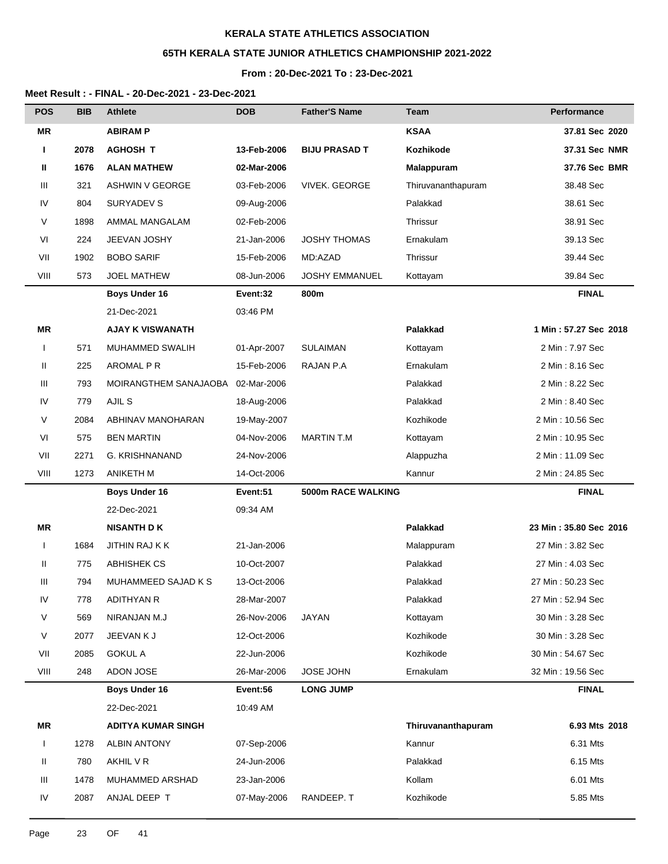# **65TH KERALA STATE JUNIOR ATHLETICS CHAMPIONSHIP 2021-2022**

#### **From : 20-Dec-2021 To : 23-Dec-2021**

| <b>POS</b>   | <b>BIB</b> | <b>Athlete</b>            | <b>DOB</b>  | <b>Father'S Name</b>  | Team               | Performance            |
|--------------|------------|---------------------------|-------------|-----------------------|--------------------|------------------------|
| ΜR           |            | <b>ABIRAM P</b>           |             |                       | <b>KSAA</b>        | 37.81 Sec 2020         |
| Т.           | 2078       | <b>AGHOSH T</b>           | 13-Feb-2006 | <b>BIJU PRASAD T</b>  | Kozhikode          | 37.31 Sec NMR          |
| Ш            | 1676       | <b>ALAN MATHEW</b>        | 02-Mar-2006 |                       | Malappuram         | 37.76 Sec BMR          |
| Ш            | 321        | <b>ASHWIN V GEORGE</b>    | 03-Feb-2006 | <b>VIVEK. GEORGE</b>  | Thiruvananthapuram | 38.48 Sec              |
| IV           | 804        | SURYADEV S                | 09-Aug-2006 |                       | Palakkad           | 38.61 Sec              |
| V            | 1898       | AMMAL MANGALAM            | 02-Feb-2006 |                       | Thrissur           | 38.91 Sec              |
| VI           | 224        | JEEVAN JOSHY              | 21-Jan-2006 | <b>JOSHY THOMAS</b>   | Ernakulam          | 39.13 Sec              |
| VII          | 1902       | <b>BOBO SARIF</b>         | 15-Feb-2006 | MD:AZAD               | Thrissur           | 39.44 Sec              |
| VIII         | 573        | <b>JOEL MATHEW</b>        | 08-Jun-2006 | <b>JOSHY EMMANUEL</b> | Kottayam           | 39.84 Sec              |
|              |            | <b>Boys Under 16</b>      | Event:32    | 800m                  |                    | <b>FINAL</b>           |
|              |            | 21-Dec-2021               | 03:46 PM    |                       |                    |                        |
| ΜR           |            | <b>AJAY K VISWANATH</b>   |             |                       | Palakkad           | 1 Min: 57.27 Sec 2018  |
| $\mathbf{I}$ | 571        | MUHAMMED SWALIH           | 01-Apr-2007 | <b>SULAIMAN</b>       | Kottayam           | 2 Min: 7.97 Sec        |
| Ш            | 225        | AROMAL P R                | 15-Feb-2006 | RAJAN P.A             | Ernakulam          | 2 Min: 8.16 Sec        |
| Ш            | 793        | MOIRANGTHEM SANAJAOBA     | 02-Mar-2006 |                       | Palakkad           | 2 Min : 8.22 Sec       |
| IV           | 779        | AJIL S                    | 18-Aug-2006 |                       | Palakkad           | 2 Min : 8.40 Sec       |
| V            | 2084       | ABHINAV MANOHARAN         | 19-May-2007 |                       | Kozhikode          | 2 Min: 10.56 Sec       |
| VI           | 575        | <b>BEN MARTIN</b>         | 04-Nov-2006 | MARTIN T.M            | Kottayam           | 2 Min: 10.95 Sec       |
| VII          | 2271       | G. KRISHNANAND            | 24-Nov-2006 |                       | Alappuzha          | 2 Min: 11.09 Sec       |
| VIII         | 1273       | ANIKETH M                 | 14-Oct-2006 |                       | Kannur             | 2 Min: 24.85 Sec       |
|              |            | <b>Boys Under 16</b>      | Event:51    | 5000m RACE WALKING    |                    | <b>FINAL</b>           |
|              |            | 22-Dec-2021               | 09:34 AM    |                       |                    |                        |
| ΜR           |            | <b>NISANTH DK</b>         |             |                       | Palakkad           | 23 Min: 35.80 Sec 2016 |
| $\mathbf{I}$ | 1684       | JITHIN RAJ K K            | 21-Jan-2006 |                       | Malappuram         | 27 Min: 3.82 Sec       |
| Ш            | 775        | <b>ABHISHEK CS</b>        | 10-Oct-2007 |                       | Palakkad           | 27 Min: 4.03 Sec       |
| Ш            | 794        | MUHAMMEED SAJAD K S       | 13-Oct-2006 |                       | Palakkad           | 27 Min: 50.23 Sec      |
| IV           | 778        | <b>ADITHYAN R</b>         | 28-Mar-2007 |                       | Palakkad           | 27 Min: 52.94 Sec      |
| V            | 569        | NIRANJAN M.J              | 26-Nov-2006 | JAYAN                 | Kottayam           | 30 Min: 3.28 Sec       |
| V            | 2077       | JEEVAN K J                | 12-Oct-2006 |                       | Kozhikode          | 30 Min: 3.28 Sec       |
| VII          | 2085       | <b>GOKUL A</b>            | 22-Jun-2006 |                       | Kozhikode          | 30 Min: 54.67 Sec      |
| VIII         | 248        | ADON JOSE                 | 26-Mar-2006 | <b>JOSE JOHN</b>      | Ernakulam          | 32 Min: 19.56 Sec      |
|              |            | <b>Boys Under 16</b>      | Event:56    | <b>LONG JUMP</b>      |                    | <b>FINAL</b>           |
|              |            | 22-Dec-2021               | 10:49 AM    |                       |                    |                        |
| ΜR           |            | <b>ADITYA KUMAR SINGH</b> |             |                       | Thiruvananthapuram | 6.93 Mts 2018          |
| $\mathbf{I}$ | 1278       | <b>ALBIN ANTONY</b>       | 07-Sep-2006 |                       | Kannur             | 6.31 Mts               |
| Ш            | 780        | AKHIL V R                 | 24-Jun-2006 |                       | Palakkad           | 6.15 Mts               |
| Ш            | 1478       | MUHAMMED ARSHAD           | 23-Jan-2006 |                       | Kollam             | 6.01 Mts               |
| IV           | 2087       | ANJAL DEEP T              | 07-May-2006 | RANDEEP. T            | Kozhikode          | 5.85 Mts               |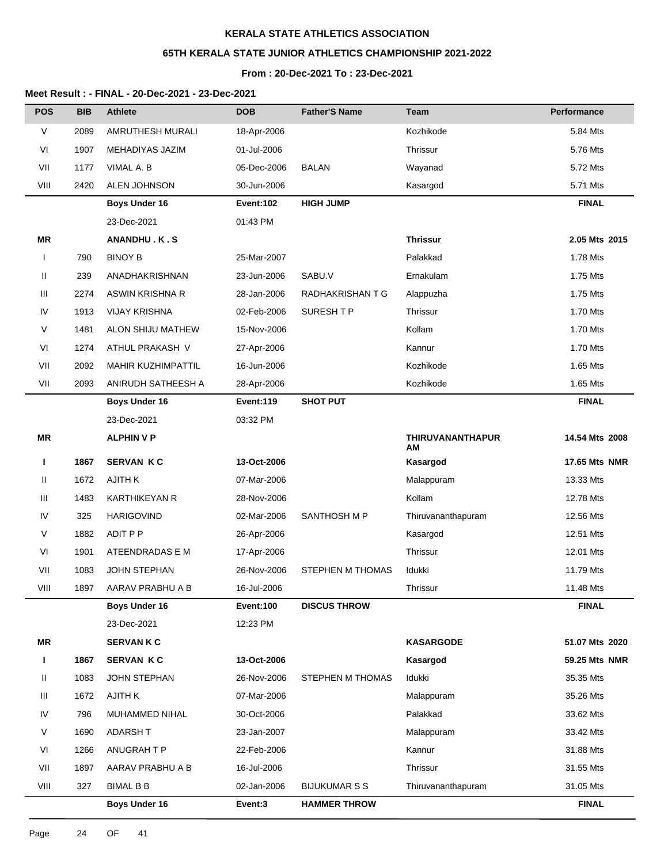# **65TH KERALA STATE JUNIOR ATHLETICS CHAMPIONSHIP 2021-2022**

# **From : 20-Dec-2021 To : 23-Dec-2021**

| <b>POS</b>   | <b>BIB</b> | <b>Athlete</b>       | <b>DOB</b>       | <b>Father'S Name</b> | <b>Team</b>                   | Performance    |
|--------------|------------|----------------------|------------------|----------------------|-------------------------------|----------------|
| $\vee$       | 2089       | AMRUTHESH MURALI     | 18-Apr-2006      |                      | Kozhikode                     | 5.84 Mts       |
| VI           | 1907       | MEHADIYAS JAZIM      | 01-Jul-2006      |                      | Thrissur                      | 5.76 Mts       |
| VII          | 1177       | VIMAL A. B           | 05-Dec-2006      | <b>BALAN</b>         | Wayanad                       | 5.72 Mts       |
| VIII         | 2420       | ALEN JOHNSON         | 30-Jun-2006      |                      | Kasargod                      | 5.71 Mts       |
|              |            | <b>Boys Under 16</b> | <b>Event:102</b> | <b>HIGH JUMP</b>     |                               | <b>FINAL</b>   |
|              |            | 23-Dec-2021          | 01:43 PM         |                      |                               |                |
| MR           |            | ANANDHU.K.S          |                  |                      | <b>Thrissur</b>               | 2.05 Mts 2015  |
| $\mathbf{I}$ | 790        | <b>BINOY B</b>       | 25-Mar-2007      |                      | Palakkad                      | 1.78 Mts       |
| Ш            | 239        | ANADHAKRISHNAN       | 23-Jun-2006      | SABU.V               | Ernakulam                     | 1.75 Mts       |
| Ш            | 2274       | ASWIN KRISHNA R      | 28-Jan-2006      | RADHAKRISHAN T G     | Alappuzha                     | 1.75 Mts       |
| IV           | 1913       | <b>VIJAY KRISHNA</b> | 02-Feb-2006      | SURESH T P           | Thrissur                      | 1.70 Mts       |
| $\vee$       | 1481       | ALON SHIJU MATHEW    | 15-Nov-2006      |                      | Kollam                        | 1.70 Mts       |
| VI           | 1274       | ATHUL PRAKASH V      | 27-Apr-2006      |                      | Kannur                        | 1.70 Mts       |
| VII          | 2092       | MAHIR KUZHIMPATTIL   | 16-Jun-2006      |                      | Kozhikode                     | 1.65 Mts       |
| VII          | 2093       | ANIRUDH SATHEESH A   | 28-Apr-2006      |                      | Kozhikode                     | 1.65 Mts       |
|              |            | <b>Boys Under 16</b> | Event:119        | <b>SHOT PUT</b>      |                               | <b>FINAL</b>   |
|              |            | 23-Dec-2021          | 03:32 PM         |                      |                               |                |
| <b>MR</b>    |            | <b>ALPHIN V P</b>    |                  |                      | <b>THIRUVANANTHAPUR</b><br>ΑM | 14.54 Mts 2008 |
| т            | 1867       | <b>SERVAN KC</b>     | 13-Oct-2006      |                      | Kasargod                      | 17.65 Mts NMR  |
| Ш            | 1672       | <b>AJITH K</b>       | 07-Mar-2006      |                      | Malappuram                    | 13.33 Mts      |
| Ш            | 1483       | <b>KARTHIKEYAN R</b> | 28-Nov-2006      |                      | Kollam                        | 12.78 Mts      |
| IV           | 325        | <b>HARIGOVIND</b>    | 02-Mar-2006      | SANTHOSH M P         | Thiruvananthapuram            | 12.56 Mts      |
| $\vee$       | 1882       | ADIT P P             | 26-Apr-2006      |                      | Kasargod                      | 12.51 Mts      |
| VI           | 1901       | ATEENDRADAS E M      | 17-Apr-2006      |                      | Thrissur                      | 12.01 Mts      |
| VII          | 1083       | JOHN STEPHAN         | 26-Nov-2006      | STEPHEN M THOMAS     | Idukki                        | 11.79 Mts      |
| VIII         | 1897       | AARAV PRABHU A B     | 16-Jul-2006      |                      | Thrissur                      | 11.48 Mts      |
|              |            | <b>Boys Under 16</b> | Event:100        | <b>DISCUS THROW</b>  |                               | <b>FINAL</b>   |
|              |            | 23-Dec-2021          | 12:23 PM         |                      |                               |                |
| MR           |            | <b>SERVANKC</b>      |                  |                      | <b>KASARGODE</b>              | 51.07 Mts 2020 |
| L            | 1867       | <b>SERVAN KC</b>     | 13-Oct-2006      |                      | Kasargod                      | 59.25 Mts NMR  |
| Ш            | 1083       | JOHN STEPHAN         | 26-Nov-2006      | STEPHEN M THOMAS     | Idukki                        | 35.35 Mts      |
| Ш            | 1672       | AJITH K              | 07-Mar-2006      |                      | Malappuram                    | 35.26 Mts      |
| IV           | 796        | MUHAMMED NIHAL       | 30-Oct-2006      |                      | Palakkad                      | 33.62 Mts      |
| V            | 1690       | ADARSH T             | 23-Jan-2007      |                      | Malappuram                    | 33.42 Mts      |
| VI           | 1266       | ANUGRAH T P          | 22-Feb-2006      |                      | Kannur                        | 31.88 Mts      |
| VII          | 1897       | AARAV PRABHU A B     | 16-Jul-2006      |                      | Thrissur                      | 31.55 Mts      |
| VIII         | 327        | <b>BIMAL B B</b>     | 02-Jan-2006      | <b>BIJUKUMAR S S</b> | Thiruvananthapuram            | 31.05 Mts      |
|              |            | Boys Under 16        | Event:3          | <b>HAMMER THROW</b>  |                               | <b>FINAL</b>   |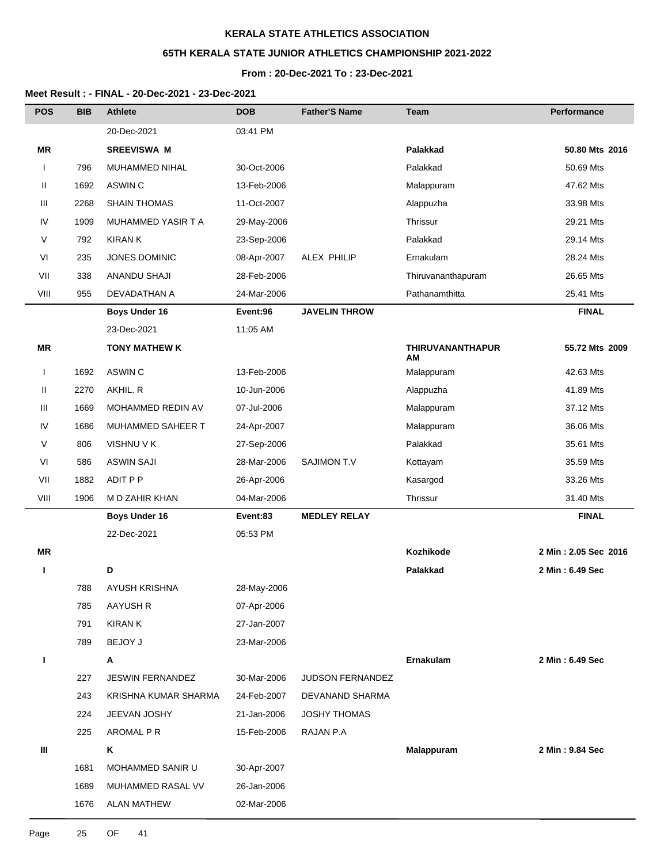# **65TH KERALA STATE JUNIOR ATHLETICS CHAMPIONSHIP 2021-2022**

### **From : 20-Dec-2021 To : 23-Dec-2021**

| <b>POS</b>   | <b>BIB</b> | <b>Athlete</b>       | <b>DOB</b>  | <b>Father'S Name</b> | <b>Team</b>                   | Performance          |
|--------------|------------|----------------------|-------------|----------------------|-------------------------------|----------------------|
|              |            | 20-Dec-2021          | 03:41 PM    |                      |                               |                      |
| <b>MR</b>    |            | <b>SREEVISWA M</b>   |             |                      | Palakkad                      | 50.80 Mts 2016       |
| I            | 796        | MUHAMMED NIHAL       | 30-Oct-2006 |                      | Palakkad                      | 50.69 Mts            |
| Ш            | 1692       | ASWIN C              | 13-Feb-2006 |                      | Malappuram                    | 47.62 Mts            |
| Ш            | 2268       | <b>SHAIN THOMAS</b>  | 11-Oct-2007 |                      | Alappuzha                     | 33.98 Mts            |
| IV           | 1909       | MUHAMMED YASIR T A   | 29-May-2006 |                      | Thrissur                      | 29.21 Mts            |
| V            | 792        | <b>KIRAN K</b>       | 23-Sep-2006 |                      | Palakkad                      | 29.14 Mts            |
| VI           | 235        | <b>JONES DOMINIC</b> | 08-Apr-2007 | ALEX PHILIP          | Ernakulam                     | 28.24 Mts            |
| VII          | 338        | ANANDU SHAJI         | 28-Feb-2006 |                      | Thiruvananthapuram            | 26.65 Mts            |
| VIII         | 955        | DEVADATHAN A         | 24-Mar-2006 |                      | Pathanamthitta                | 25.41 Mts            |
|              |            | <b>Boys Under 16</b> | Event:96    | <b>JAVELIN THROW</b> |                               | <b>FINAL</b>         |
|              |            | 23-Dec-2021          | 11:05 AM    |                      |                               |                      |
| <b>MR</b>    |            | <b>TONY MATHEW K</b> |             |                      | <b>THIRUVANANTHAPUR</b><br>АM | 55.72 Mts 2009       |
| $\mathbf{I}$ | 1692       | ASWIN C              | 13-Feb-2006 |                      | Malappuram                    | 42.63 Mts            |
| Ш            | 2270       | AKHIL. R             | 10-Jun-2006 |                      | Alappuzha                     | 41.89 Mts            |
| Ш            | 1669       | MOHAMMED REDIN AV    | 07-Jul-2006 |                      | Malappuram                    | 37.12 Mts            |
| ${\sf IV}$   | 1686       | MUHAMMED SAHEER T    | 24-Apr-2007 |                      | Malappuram                    | 36.06 Mts            |
| V            | 806        | VISHNU V K           | 27-Sep-2006 |                      | Palakkad                      | 35.61 Mts            |
| VI           | 586        | <b>ASWIN SAJI</b>    | 28-Mar-2006 | <b>SAJIMON T.V</b>   | Kottayam                      | 35.59 Mts            |
| VII          | 1882       | ADIT P P             | 26-Apr-2006 |                      | Kasargod                      | 33.26 Mts            |
| VIII         | 1906       | M D ZAHIR KHAN       | 04-Mar-2006 |                      | Thrissur                      | 31.40 Mts            |
|              |            | <b>Boys Under 16</b> | Event:83    | <b>MEDLEY RELAY</b>  |                               | <b>FINAL</b>         |
|              |            | 22-Dec-2021          | 05:53 PM    |                      |                               |                      |
| MR           |            |                      |             |                      | Kozhikode                     | 2 Min: 2.05 Sec 2016 |
| ı            |            | D                    |             |                      | Palakkad                      | 2 Min: 6.49 Sec      |
|              | 788        | AYUSH KRISHNA        | 28-May-2006 |                      |                               |                      |
|              | 785        | <b>AAYUSH R</b>      | 07-Apr-2006 |                      |                               |                      |
|              | 791        | <b>KIRAN K</b>       | 27-Jan-2007 |                      |                               |                      |
|              | 789        | <b>BEJOY J</b>       | 23-Mar-2006 |                      |                               |                      |
| ı            |            | Α                    |             |                      | Ernakulam                     | 2 Min: 6.49 Sec      |
|              | 227        | JESWIN FERNANDEZ     | 30-Mar-2006 | JUDSON FERNANDEZ     |                               |                      |
|              | 243        | KRISHNA KUMAR SHARMA | 24-Feb-2007 | DEVANAND SHARMA      |                               |                      |
|              | 224        | JEEVAN JOSHY         | 21-Jan-2006 | <b>JOSHY THOMAS</b>  |                               |                      |
|              | 225        | AROMAL P R           | 15-Feb-2006 | RAJAN P.A            |                               |                      |
| Ш            |            | Κ                    |             |                      | Malappuram                    | 2 Min: 9.84 Sec      |
|              | 1681       | MOHAMMED SANIR U     | 30-Apr-2007 |                      |                               |                      |
|              | 1689       | MUHAMMED RASAL VV    | 26-Jan-2006 |                      |                               |                      |
|              | 1676       | <b>ALAN MATHEW</b>   | 02-Mar-2006 |                      |                               |                      |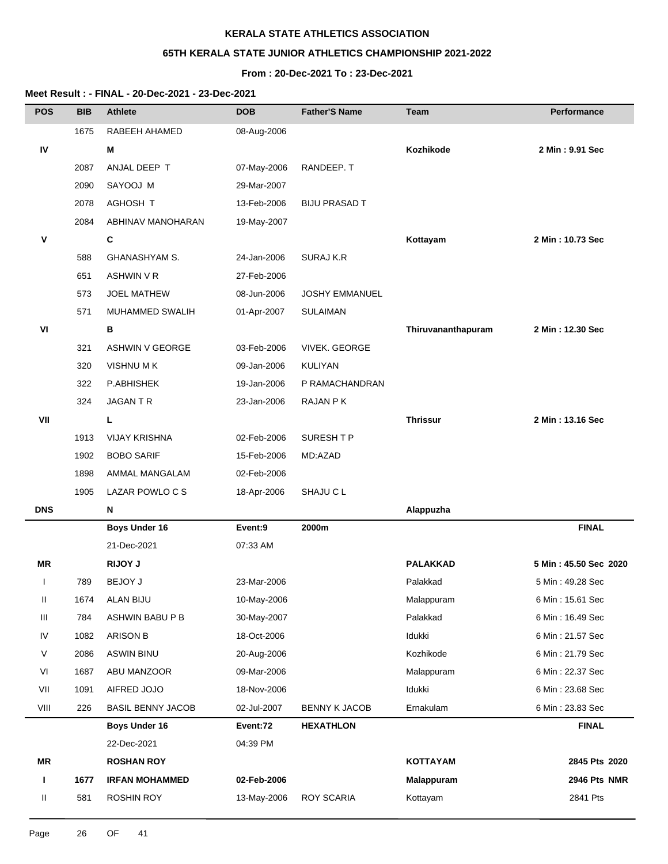# **65TH KERALA STATE JUNIOR ATHLETICS CHAMPIONSHIP 2021-2022**

### **From : 20-Dec-2021 To : 23-Dec-2021**

| <b>POS</b> | <b>BIB</b> | <b>Athlete</b>           | <b>DOB</b>  | <b>Father'S Name</b>  | Team               | <b>Performance</b>    |
|------------|------------|--------------------------|-------------|-----------------------|--------------------|-----------------------|
|            | 1675       | RABEEH AHAMED            | 08-Aug-2006 |                       |                    |                       |
| IV         |            | м                        |             |                       | Kozhikode          | 2 Min: 9.91 Sec       |
|            | 2087       | ANJAL DEEP T             | 07-May-2006 | RANDEEP.T             |                    |                       |
|            | 2090       | SAYOOJ M                 | 29-Mar-2007 |                       |                    |                       |
|            | 2078       | AGHOSH T                 | 13-Feb-2006 | <b>BIJU PRASAD T</b>  |                    |                       |
|            | 2084       | ABHINAV MANOHARAN        | 19-May-2007 |                       |                    |                       |
| ۷          |            | C                        |             |                       | Kottayam           | 2 Min: 10.73 Sec      |
|            | 588        | <b>GHANASHYAM S.</b>     | 24-Jan-2006 | SURAJ K.R             |                    |                       |
|            | 651        | <b>ASHWIN V R</b>        | 27-Feb-2006 |                       |                    |                       |
|            | 573        | <b>JOEL MATHEW</b>       | 08-Jun-2006 | <b>JOSHY EMMANUEL</b> |                    |                       |
|            | 571        | MUHAMMED SWALIH          | 01-Apr-2007 | <b>SULAIMAN</b>       |                    |                       |
| VI         |            | B                        |             |                       | Thiruvananthapuram | 2 Min: 12.30 Sec      |
|            | 321        | <b>ASHWIN V GEORGE</b>   | 03-Feb-2006 | <b>VIVEK, GEORGE</b>  |                    |                       |
|            | 320        | <b>VISHNUMK</b>          | 09-Jan-2006 | <b>KULIYAN</b>        |                    |                       |
|            | 322        | P.ABHISHEK               | 19-Jan-2006 | P RAMACHANDRAN        |                    |                       |
|            | 324        | <b>JAGANTR</b>           | 23-Jan-2006 | RAJAN P K             |                    |                       |
| VII        |            | L                        |             |                       | <b>Thrissur</b>    | 2 Min: 13.16 Sec      |
|            | 1913       | <b>VIJAY KRISHNA</b>     | 02-Feb-2006 | SURESH T P            |                    |                       |
|            | 1902       | <b>BOBO SARIF</b>        | 15-Feb-2006 | MD:AZAD               |                    |                       |
|            | 1898       | AMMAL MANGALAM           | 02-Feb-2006 |                       |                    |                       |
|            | 1905       | LAZAR POWLO C S          | 18-Apr-2006 | SHAJU C L             |                    |                       |
| <b>DNS</b> |            | N                        |             |                       | Alappuzha          |                       |
|            |            | <b>Boys Under 16</b>     | Event:9     | 2000m                 |                    | <b>FINAL</b>          |
|            |            | 21-Dec-2021              | 07:33 AM    |                       |                    |                       |
| ΜR         |            | <b>RIJOY J</b>           |             |                       | <b>PALAKKAD</b>    | 5 Min: 45.50 Sec 2020 |
| ı          | 789        | <b>BEJOY J</b>           | 23-Mar-2006 |                       | Palakkad           | 5 Min : 49.28 Sec     |
| Ш          | 1674       | ALAN BIJU                | 10-May-2006 |                       | Malappuram         | 6 Min: 15.61 Sec      |
| Ш          | 784        | ASHWIN BABU P B          | 30-May-2007 |                       | Palakkad           | 6 Min: 16.49 Sec      |
| IV         | 1082       | <b>ARISON B</b>          | 18-Oct-2006 |                       | Idukki             | 6 Min: 21.57 Sec      |
| V          | 2086       | <b>ASWIN BINU</b>        | 20-Aug-2006 |                       | Kozhikode          | 6 Min: 21.79 Sec      |
| VI         | 1687       | ABU MANZOOR              | 09-Mar-2006 |                       | Malappuram         | 6 Min: 22.37 Sec      |
| VII        | 1091       | AIFRED JOJO              | 18-Nov-2006 |                       | Idukki             | 6 Min: 23.68 Sec      |
| VIII       | 226        | <b>BASIL BENNY JACOB</b> | 02-Jul-2007 | <b>BENNY K JACOB</b>  | Ernakulam          | 6 Min: 23.83 Sec      |
|            |            | <b>Boys Under 16</b>     | Event:72    | <b>HEXATHLON</b>      |                    | <b>FINAL</b>          |
|            |            | 22-Dec-2021              | 04:39 PM    |                       |                    |                       |
| MR         |            | <b>ROSHAN ROY</b>        |             |                       | <b>KOTTAYAM</b>    | 2845 Pts 2020         |
| L          | 1677       | <b>IRFAN MOHAMMED</b>    | 02-Feb-2006 |                       | <b>Malappuram</b>  | 2946 Pts NMR          |
| Ш          | 581        | <b>ROSHIN ROY</b>        | 13-May-2006 | ROY SCARIA            | Kottayam           | 2841 Pts              |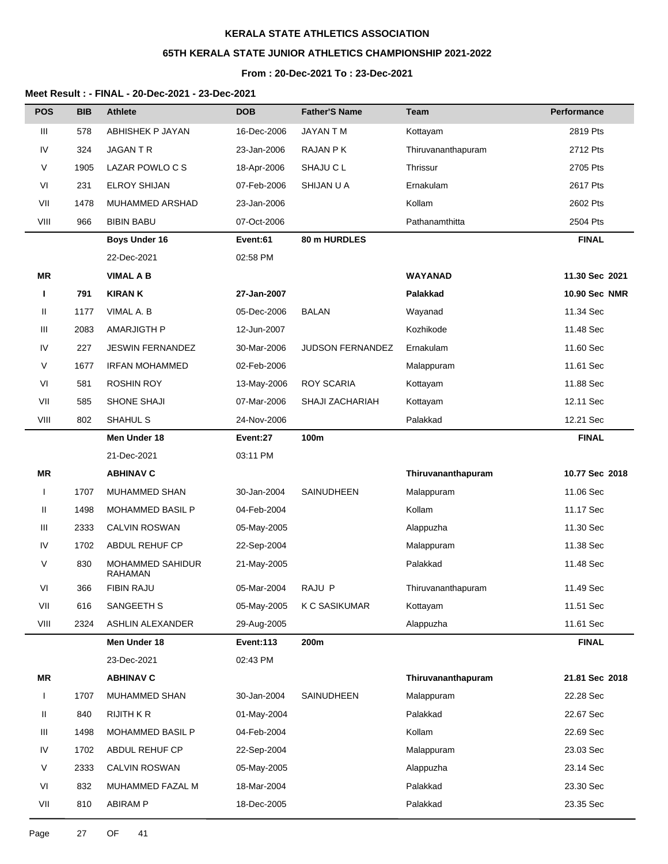## **65TH KERALA STATE JUNIOR ATHLETICS CHAMPIONSHIP 2021-2022**

## **From : 20-Dec-2021 To : 23-Dec-2021**

| <b>POS</b>   | <b>BIB</b> | <b>Athlete</b>                            | <b>DOB</b>       | <b>Father'S Name</b> | Team               | <b>Performance</b>   |
|--------------|------------|-------------------------------------------|------------------|----------------------|--------------------|----------------------|
| Ш            | 578        | ABHISHEK P JAYAN                          | 16-Dec-2006      | JAYAN T M            | Kottayam           | 2819 Pts             |
| IV           | 324        | JAGAN T R                                 | 23-Jan-2006      | RAJAN P K            | Thiruvananthapuram | 2712 Pts             |
| V            | 1905       | LAZAR POWLO C S                           | 18-Apr-2006      | SHAJU C L            | Thrissur           | 2705 Pts             |
| VI           | 231        | <b>ELROY SHIJAN</b>                       | 07-Feb-2006      | SHIJAN U A           | Ernakulam          | 2617 Pts             |
| VII          | 1478       | MUHAMMED ARSHAD                           | 23-Jan-2006      |                      | Kollam             | 2602 Pts             |
| VIII         | 966        | <b>BIBIN BABU</b>                         | 07-Oct-2006      |                      | Pathanamthitta     | 2504 Pts             |
|              |            | <b>Boys Under 16</b>                      | Event:61         | 80 m HURDLES         |                    | <b>FINAL</b>         |
|              |            | 22-Dec-2021                               | 02:58 PM         |                      |                    |                      |
| ΜR           |            | <b>VIMAL A B</b>                          |                  |                      | <b>WAYANAD</b>     | 11.30 Sec 2021       |
| Ш            | 791        | <b>KIRAN K</b>                            | 27-Jan-2007      |                      | Palakkad           | <b>10.90 Sec NMR</b> |
| Ш            | 1177       | VIMAL A. B                                | 05-Dec-2006      | <b>BALAN</b>         | Wayanad            | 11.34 Sec            |
| Ш            | 2083       | <b>AMARJIGTH P</b>                        | 12-Jun-2007      |                      | Kozhikode          | 11.48 Sec            |
| IV           | 227        | <b>JESWIN FERNANDEZ</b>                   | 30-Mar-2006      | JUDSON FERNANDEZ     | Ernakulam          | 11.60 Sec            |
| V            | 1677       | <b>IRFAN MOHAMMED</b>                     | 02-Feb-2006      |                      | Malappuram         | 11.61 Sec            |
| VI           | 581        | <b>ROSHIN ROY</b>                         | 13-May-2006      | <b>ROY SCARIA</b>    | Kottayam           | 11.88 Sec            |
| VII          | 585        | SHONE SHAJI                               | 07-Mar-2006      | SHAJI ZACHARIAH      | Kottayam           | 12.11 Sec            |
| VIII         | 802        | SHAHUL S                                  | 24-Nov-2006      |                      | Palakkad           | 12.21 Sec            |
|              |            | Men Under 18                              | Event:27         | 100m                 |                    | <b>FINAL</b>         |
|              |            | 21-Dec-2021                               | 03:11 PM         |                      |                    |                      |
| <b>MR</b>    |            | <b>ABHINAV C</b>                          |                  |                      | Thiruvananthapuram | 10.77 Sec 2018       |
| $\mathbf{I}$ | 1707       | MUHAMMED SHAN                             | 30-Jan-2004      | SAINUDHEEN           | Malappuram         | 11.06 Sec            |
| Ш            | 1498       | <b>MOHAMMED BASIL P</b>                   | 04-Feb-2004      |                      | Kollam             | 11.17 Sec            |
| Ш            | 2333       | <b>CALVIN ROSWAN</b>                      | 05-May-2005      |                      | Alappuzha          | 11.30 Sec            |
| IV           | 1702       | ABDUL REHUF CP                            | 22-Sep-2004      |                      | Malappuram         | 11.38 Sec            |
| V            | 830        | <b>MOHAMMED SAHIDUR</b><br><b>RAHAMAN</b> | 21-May-2005      |                      | Palakkad           | 11.48 Sec            |
| VI           | 366        | FIBIN RAJU                                | 05-Mar-2004      | RAJU P               | Thiruvananthapuram | 11.49 Sec            |
| VII          | 616        | SANGEETH S                                | 05-May-2005      | K C SASIKUMAR        | Kottayam           | 11.51 Sec            |
| VIII         | 2324       | ASHLIN ALEXANDER                          | 29-Aug-2005      |                      | Alappuzha          | 11.61 Sec            |
|              |            | Men Under 18                              | <b>Event:113</b> | 200m                 |                    | <b>FINAL</b>         |
|              |            | 23-Dec-2021                               | 02:43 PM         |                      |                    |                      |
| MR           |            | <b>ABHINAV C</b>                          |                  |                      | Thiruvananthapuram | 21.81 Sec 2018       |
| $\mathbf{I}$ | 1707       | MUHAMMED SHAN                             | 30-Jan-2004      | SAINUDHEEN           | Malappuram         | 22.28 Sec            |
| Ш            | 840        | <b>RIJITH K R</b>                         | 01-May-2004      |                      | Palakkad           | 22.67 Sec            |
| Ш            | 1498       | MOHAMMED BASIL P                          | 04-Feb-2004      |                      | Kollam             | 22.69 Sec            |
| IV           | 1702       | ABDUL REHUF CP                            | 22-Sep-2004      |                      | Malappuram         | 23.03 Sec            |
| V            | 2333       | <b>CALVIN ROSWAN</b>                      | 05-May-2005      |                      | Alappuzha          | 23.14 Sec            |
| VI           | 832        | MUHAMMED FAZAL M                          | 18-Mar-2004      |                      | Palakkad           | 23.30 Sec            |
| VII          | 810        | <b>ABIRAM P</b>                           | 18-Dec-2005      |                      | Palakkad           | 23.35 Sec            |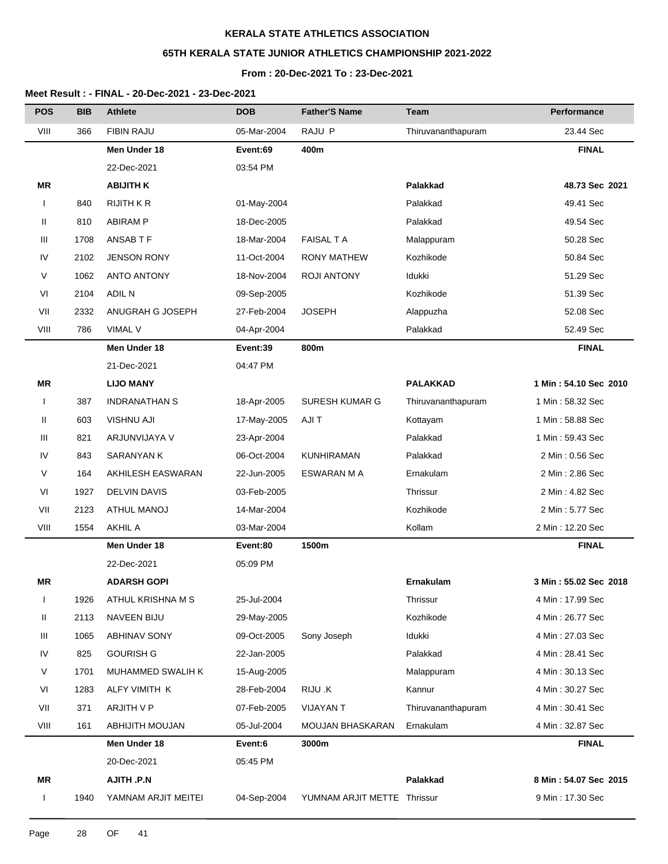# **65TH KERALA STATE JUNIOR ATHLETICS CHAMPIONSHIP 2021-2022**

### **From : 20-Dec-2021 To : 23-Dec-2021**

| <b>POS</b>   | <b>BIB</b> | <b>Athlete</b>       | <b>DOB</b>  | <b>Father'S Name</b>        | Team               | <b>Performance</b>    |
|--------------|------------|----------------------|-------------|-----------------------------|--------------------|-----------------------|
| VIII         | 366        | <b>FIBIN RAJU</b>    | 05-Mar-2004 | RAJU P                      | Thiruvananthapuram | 23.44 Sec             |
|              |            | Men Under 18         | Event:69    | 400m                        |                    | <b>FINAL</b>          |
|              |            | 22-Dec-2021          | 03:54 PM    |                             |                    |                       |
| ΜR           |            | <b>ABIJITH K</b>     |             |                             | Palakkad           | 48.73 Sec 2021        |
|              | 840        | <b>RIJITH K R</b>    | 01-May-2004 |                             | Palakkad           | 49.41 Sec             |
| Ш            | 810        | <b>ABIRAM P</b>      | 18-Dec-2005 |                             | Palakkad           | 49.54 Sec             |
| Ш            | 1708       | ANSAB T F            | 18-Mar-2004 | <b>FAISAL T A</b>           | Malappuram         | 50.28 Sec             |
| IV           | 2102       | <b>JENSON RONY</b>   | 11-Oct-2004 | <b>RONY MATHEW</b>          | Kozhikode          | 50.84 Sec             |
| V            | 1062       | <b>ANTO ANTONY</b>   | 18-Nov-2004 | <b>ROJI ANTONY</b>          | Idukki             | 51.29 Sec             |
| VI           | 2104       | <b>ADIL N</b>        | 09-Sep-2005 |                             | Kozhikode          | 51.39 Sec             |
| VII          | 2332       | ANUGRAH G JOSEPH     | 27-Feb-2004 | <b>JOSEPH</b>               | Alappuzha          | 52.08 Sec             |
| VIII         | 786        | <b>VIMAL V</b>       | 04-Apr-2004 |                             | Palakkad           | 52.49 Sec             |
|              |            | Men Under 18         | Event:39    | 800m                        |                    | <b>FINAL</b>          |
|              |            | 21-Dec-2021          | 04:47 PM    |                             |                    |                       |
| ΜR           |            | <b>LIJO MANY</b>     |             |                             | <b>PALAKKAD</b>    | 1 Min: 54.10 Sec 2010 |
| $\mathbf{I}$ | 387        | <b>INDRANATHAN S</b> | 18-Apr-2005 | SURESH KUMAR G              | Thiruvananthapuram | 1 Min: 58.32 Sec      |
| Ш            | 603        | <b>VISHNU AJI</b>    | 17-May-2005 | AJI T                       | Kottayam           | 1 Min: 58.88 Sec      |
| Ш            | 821        | ARJUNVIJAYA V        | 23-Apr-2004 |                             | Palakkad           | 1 Min: 59.43 Sec      |
| IV           | 843        | SARANYAN K           | 06-Oct-2004 | <b>KUNHIRAMAN</b>           | Palakkad           | 2 Min: 0.56 Sec       |
| V            | 164        | AKHILESH EASWARAN    | 22-Jun-2005 | ESWARAN M A                 | Ernakulam          | 2 Min: 2.86 Sec       |
| VI           | 1927       | <b>DELVIN DAVIS</b>  | 03-Feb-2005 |                             | Thrissur           | 2 Min: 4.82 Sec       |
| VII          | 2123       | <b>ATHUL MANOJ</b>   | 14-Mar-2004 |                             | Kozhikode          | 2 Min: 5.77 Sec       |
| VIII         | 1554       | <b>AKHIL A</b>       | 03-Mar-2004 |                             | Kollam             | 2 Min: 12.20 Sec      |
|              |            | Men Under 18         | Event:80    | 1500m                       |                    | <b>FINAL</b>          |
|              |            | 22-Dec-2021          | 05:09 PM    |                             |                    |                       |
| ΜR           |            | <b>ADARSH GOPI</b>   |             |                             | Ernakulam          | 3 Min: 55.02 Sec 2018 |
| I            | 1926       | ATHUL KRISHNA M S    | 25-Jul-2004 |                             | Thrissur           | 4 Min: 17.99 Sec      |
| Ш            | 2113       | <b>NAVEEN BIJU</b>   | 29-May-2005 |                             | Kozhikode          | 4 Min: 26.77 Sec      |
| Ш            | 1065       | <b>ABHINAV SONY</b>  | 09-Oct-2005 | Sony Joseph                 | Idukki             | 4 Min: 27.03 Sec      |
| IV           | 825        | <b>GOURISH G</b>     | 22-Jan-2005 |                             | Palakkad           | 4 Min: 28.41 Sec      |
| V            | 1701       | MUHAMMED SWALIH K    | 15-Aug-2005 |                             | Malappuram         | 4 Min: 30.13 Sec      |
| VI           | 1283       | ALFY VIMITH K        | 28-Feb-2004 | RIJU .K                     | Kannur             | 4 Min: 30.27 Sec      |
| VII          | 371        | ARJITH V P           | 07-Feb-2005 | <b>VIJAYAN T</b>            | Thiruvananthapuram | 4 Min: 30.41 Sec      |
| VIII         | 161        | ABHIJITH MOUJAN      | 05-Jul-2004 | <b>MOUJAN BHASKARAN</b>     | Ernakulam          | 4 Min: 32.87 Sec      |
|              |            | Men Under 18         | Event:6     | 3000m                       |                    | <b>FINAL</b>          |
|              |            | 20-Dec-2021          | 05:45 PM    |                             |                    |                       |
| ΜR           |            | AJITH .P.N           |             |                             | Palakkad           | 8 Min: 54.07 Sec 2015 |
| L            | 1940       | YAMNAM ARJIT MEITEI  | 04-Sep-2004 | YUMNAM ARJIT METTE Thrissur |                    | 9 Min: 17.30 Sec      |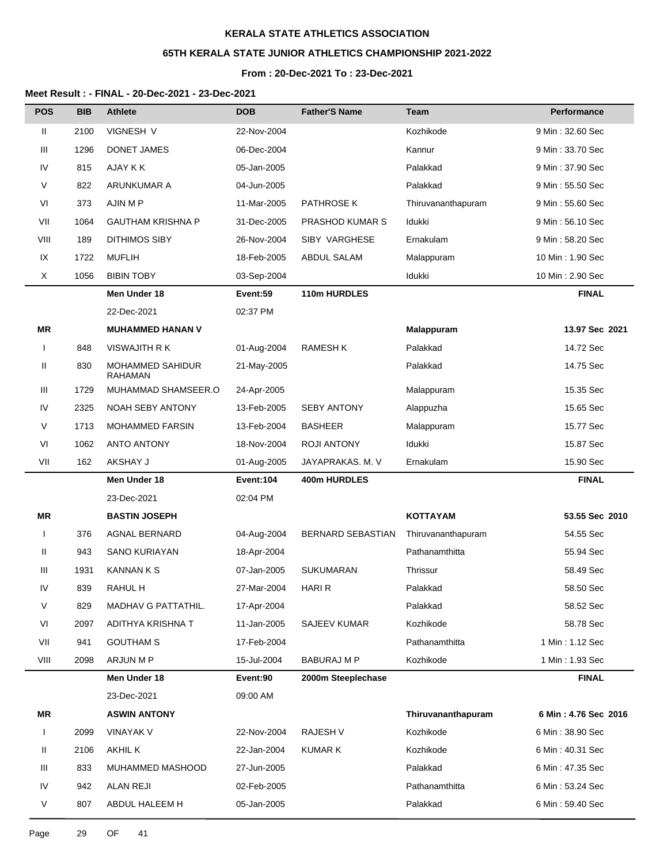# **65TH KERALA STATE JUNIOR ATHLETICS CHAMPIONSHIP 2021-2022**

### **From : 20-Dec-2021 To : 23-Dec-2021**

#### **Meet Result : - FINAL - 20-Dec-2021 - 23-Dec-2021**

| <b>POS</b>   | <b>BIB</b> | <b>Athlete</b>                            | <b>DOB</b>  | <b>Father'S Name</b> | Team               | Performance          |
|--------------|------------|-------------------------------------------|-------------|----------------------|--------------------|----------------------|
| Ш            | 2100       | VIGNESH V                                 | 22-Nov-2004 |                      | Kozhikode          | 9 Min: 32.60 Sec     |
| Ш            | 1296       | DONET JAMES                               | 06-Dec-2004 |                      | Kannur             | 9 Min: 33.70 Sec     |
| IV           | 815        | AJAY K K                                  | 05-Jan-2005 |                      | Palakkad           | 9 Min: 37.90 Sec     |
| V            | 822        | ARUNKUMAR A                               | 04-Jun-2005 |                      | Palakkad           | 9 Min: 55.50 Sec     |
| VI           | 373        | AJIN M P                                  | 11-Mar-2005 | PATHROSE K           | Thiruvananthapuram | 9 Min: 55.60 Sec     |
| VII          | 1064       | <b>GAUTHAM KRISHNA P</b>                  | 31-Dec-2005 | PRASHOD KUMAR S      | Idukki             | 9 Min: 56.10 Sec     |
| VIII         | 189        | <b>DITHIMOS SIBY</b>                      | 26-Nov-2004 | SIBY VARGHESE        | Ernakulam          | 9 Min: 58.20 Sec     |
| IX           | 1722       | <b>MUFLIH</b>                             | 18-Feb-2005 | <b>ABDUL SALAM</b>   | Malappuram         | 10 Min: 1.90 Sec     |
| X            | 1056       | <b>BIBIN TOBY</b>                         | 03-Sep-2004 |                      | Idukki             | 10 Min: 2.90 Sec     |
|              |            | Men Under 18                              | Event:59    | 110m HURDLES         |                    | <b>FINAL</b>         |
|              |            | 22-Dec-2021                               | 02:37 PM    |                      |                    |                      |
| ΜR           |            | <b>MUHAMMED HANAN V</b>                   |             |                      | <b>Malappuram</b>  | 13.97 Sec 2021       |
| $\mathbf{I}$ | 848        | VISWAJITH R K                             | 01-Aug-2004 | <b>RAMESH K</b>      | Palakkad           | 14.72 Sec            |
| Ш            | 830        | <b>MOHAMMED SAHIDUR</b><br><b>RAHAMAN</b> | 21-May-2005 |                      | Palakkad           | 14.75 Sec            |
| Ш            | 1729       | MUHAMMAD SHAMSEER.O                       | 24-Apr-2005 |                      | Malappuram         | 15.35 Sec            |
| IV           | 2325       | <b>NOAH SEBY ANTONY</b>                   | 13-Feb-2005 | <b>SEBY ANTONY</b>   | Alappuzha          | 15.65 Sec            |
| V            | 1713       | <b>MOHAMMED FARSIN</b>                    | 13-Feb-2004 | <b>BASHEER</b>       | Malappuram         | 15.77 Sec            |
| VI           | 1062       | <b>ANTO ANTONY</b>                        | 18-Nov-2004 | <b>ROJI ANTONY</b>   | Idukki             | 15.87 Sec            |
| VII          | 162        | AKSHAY J                                  | 01-Aug-2005 | JAYAPRAKAS. M. V     | Ernakulam          | 15.90 Sec            |
|              |            | Men Under 18                              | Event:104   | 400m HURDLES         |                    | <b>FINAL</b>         |
|              |            | 23-Dec-2021                               | 02:04 PM    |                      |                    |                      |
| ΜR           |            | <b>BASTIN JOSEPH</b>                      |             |                      | KOTTAYAM           | 53.55 Sec 2010       |
| $\mathbf{I}$ | 376        | <b>AGNAL BERNARD</b>                      | 04-Aug-2004 | BERNARD SEBASTIAN    | Thiruvananthapuram | 54.55 Sec            |
| Ш            | 943        | <b>SANO KURIAYAN</b>                      | 18-Apr-2004 |                      | Pathanamthitta     | 55.94 Sec            |
| Ш            | 1931       | <b>KANNAN K S</b>                         | 07-Jan-2005 | <b>SUKUMARAN</b>     | Thrissur           | 58.49 Sec            |
| IV           | 839        | RAHUL H                                   | 27-Mar-2004 | <b>HARI R</b>        | Palakkad           | 58.50 Sec            |
| V            | 829        | MADHAV G PATTATHIL.                       | 17-Apr-2004 |                      | Palakkad           | 58.52 Sec            |
| VI           | 2097       | ADITHYA KRISHNA T                         | 11-Jan-2005 | <b>SAJEEV KUMAR</b>  | Kozhikode          | 58.78 Sec            |
| VII          | 941        | <b>GOUTHAM S</b>                          | 17-Feb-2004 |                      | Pathanamthitta     | 1 Min : 1.12 Sec     |
| VIII         | 2098       | ARJUN M P                                 | 15-Jul-2004 | <b>BABURAJ M P</b>   | Kozhikode          | 1 Min: 1.93 Sec      |
|              |            | Men Under 18                              | Event:90    | 2000m Steeplechase   |                    | <b>FINAL</b>         |
|              |            | 23-Dec-2021                               | 09:00 AM    |                      |                    |                      |
| ΜR           |            | <b>ASWIN ANTONY</b>                       |             |                      | Thiruvananthapuram | 6 Min: 4.76 Sec 2016 |
| $\mathbf{I}$ | 2099       | <b>VINAYAK V</b>                          | 22-Nov-2004 | <b>RAJESH V</b>      | Kozhikode          | 6 Min: 38.90 Sec     |
| Ш            | 2106       | <b>AKHIL K</b>                            | 22-Jan-2004 | <b>KUMAR K</b>       | Kozhikode          | 6 Min: 40.31 Sec     |
| Ш            | 833        | MUHAMMED MASHOOD                          | 27-Jun-2005 |                      | Palakkad           | 6 Min: 47.35 Sec     |
| IV           | 942        | <b>ALAN REJI</b>                          | 02-Feb-2005 |                      | Pathanamthitta     | 6 Min: 53.24 Sec     |
| V            | 807        | ABDUL HALEEM H                            | 05-Jan-2005 |                      | Palakkad           | 6 Min: 59.40 Sec     |

Page 29 OF 41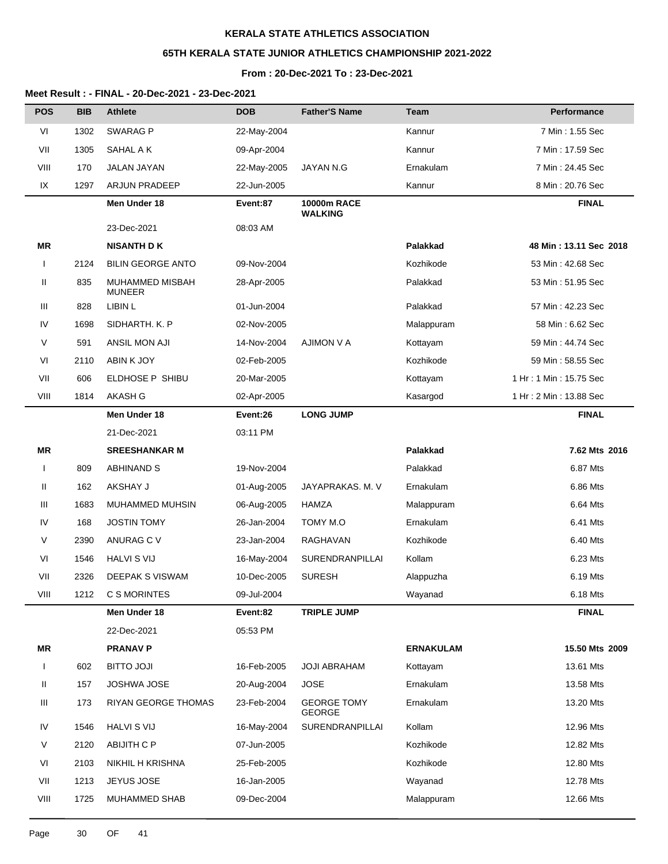# **65TH KERALA STATE JUNIOR ATHLETICS CHAMPIONSHIP 2021-2022**

## **From : 20-Dec-2021 To : 23-Dec-2021**

| <b>POS</b>   | <b>BIB</b> | <b>Athlete</b>                   | <b>DOB</b>  | <b>Father'S Name</b>                 | Team             | <b>Performance</b>     |
|--------------|------------|----------------------------------|-------------|--------------------------------------|------------------|------------------------|
| VI           | 1302       | <b>SWARAG P</b>                  | 22-May-2004 |                                      | Kannur           | 7 Min: 1.55 Sec        |
| VII          | 1305       | SAHAL A K                        | 09-Apr-2004 |                                      | Kannur           | 7 Min : 17.59 Sec      |
| VIII         | 170        | <b>JALAN JAYAN</b>               | 22-May-2005 | JAYAN N.G                            | Ernakulam        | 7 Min: 24.45 Sec       |
| IX           | 1297       | <b>ARJUN PRADEEP</b>             | 22-Jun-2005 |                                      | Kannur           | 8 Min : 20.76 Sec      |
|              |            | Men Under 18                     | Event:87    | <b>10000m RACE</b><br><b>WALKING</b> |                  | <b>FINAL</b>           |
|              |            | 23-Dec-2021                      | 08:03 AM    |                                      |                  |                        |
| <b>MR</b>    |            | <b>NISANTH DK</b>                |             |                                      | Palakkad         | 48 Min: 13.11 Sec 2018 |
| $\mathbf{I}$ | 2124       | <b>BILIN GEORGE ANTO</b>         | 09-Nov-2004 |                                      | Kozhikode        | 53 Min: 42.68 Sec      |
| Ш            | 835        | MUHAMMED MISBAH<br><b>MUNEER</b> | 28-Apr-2005 |                                      | Palakkad         | 53 Min: 51.95 Sec      |
| Ш            | 828        | LIBIN L                          | 01-Jun-2004 |                                      | Palakkad         | 57 Min: 42.23 Sec      |
| IV           | 1698       | SIDHARTH. K. P                   | 02-Nov-2005 |                                      | Malappuram       | 58 Min: 6.62 Sec       |
| V            | 591        | ANSIL MON AJI                    | 14-Nov-2004 | <b>AJIMON V A</b>                    | Kottayam         | 59 Min: 44.74 Sec      |
| VI           | 2110       | ABIN K JOY                       | 02-Feb-2005 |                                      | Kozhikode        | 59 Min: 58.55 Sec      |
| VII          | 606        | ELDHOSE P SHIBU                  | 20-Mar-2005 |                                      | Kottayam         | 1 Hr: 1 Min: 15.75 Sec |
| VIII         | 1814       | AKASH G                          | 02-Apr-2005 |                                      | Kasargod         | 1 Hr: 2 Min: 13.88 Sec |
|              |            | Men Under 18                     | Event:26    | <b>LONG JUMP</b>                     |                  | <b>FINAL</b>           |
|              |            | 21-Dec-2021                      | 03:11 PM    |                                      |                  |                        |
| <b>MR</b>    |            | <b>SREESHANKAR M</b>             |             |                                      | Palakkad         | 7.62 Mts 2016          |
| $\mathbf{I}$ | 809        | <b>ABHINAND S</b>                | 19-Nov-2004 |                                      | Palakkad         | 6.87 Mts               |
| Ш            | 162        | AKSHAY J                         | 01-Aug-2005 | JAYAPRAKAS. M. V                     | Ernakulam        | 6.86 Mts               |
| Ш            | 1683       | MUHAMMED MUHSIN                  | 06-Aug-2005 | HAMZA                                | Malappuram       | 6.64 Mts               |
| IV           | 168        | <b>JOSTIN TOMY</b>               | 26-Jan-2004 | TOMY M.O                             | Ernakulam        | 6.41 Mts               |
| V            | 2390       | ANURAG C V                       | 23-Jan-2004 | RAGHAVAN                             | Kozhikode        | 6.40 Mts               |
| VI           | 1546       | <b>HALVI S VIJ</b>               | 16-May-2004 | SURENDRANPILLAI                      | Kollam           | 6.23 Mts               |
| VII          | 2326       | DEEPAK S VISWAM                  | 10-Dec-2005 | <b>SURESH</b>                        | Alappuzha        | 6.19 Mts               |
| VIII         | 1212       | C S MORINTES                     | 09-Jul-2004 |                                      | Wayanad          | 6.18 Mts               |
|              |            | Men Under 18                     | Event:82    | <b>TRIPLE JUMP</b>                   |                  | <b>FINAL</b>           |
|              |            | 22-Dec-2021                      | 05:53 PM    |                                      |                  |                        |
| <b>MR</b>    |            | <b>PRANAV P</b>                  |             |                                      | <b>ERNAKULAM</b> | 15.50 Mts 2009         |
| $\mathbf{I}$ | 602        | <b>ILOL OTTIB</b>                | 16-Feb-2005 | <b>JOJI ABRAHAM</b>                  | Kottayam         | 13.61 Mts              |
| Ш            | 157        | <b>JOSHWA JOSE</b>               | 20-Aug-2004 | <b>JOSE</b>                          | Ernakulam        | 13.58 Mts              |
| Ш            | 173        | <b>RIYAN GEORGE THOMAS</b>       | 23-Feb-2004 | <b>GEORGE TOMY</b><br><b>GEORGE</b>  | Ernakulam        | 13.20 Mts              |
| IV           | 1546       | <b>HALVI S VIJ</b>               | 16-May-2004 | SURENDRANPILLAI                      | Kollam           | 12.96 Mts              |
| V            | 2120       | ABIJITH C P                      | 07-Jun-2005 |                                      | Kozhikode        | 12.82 Mts              |
| VI           | 2103       | NIKHIL H KRISHNA                 | 25-Feb-2005 |                                      | Kozhikode        | 12.80 Mts              |
| VII          | 1213       | JEYUS JOSE                       | 16-Jan-2005 |                                      | Wayanad          | 12.78 Mts              |
| VIII         | 1725       | MUHAMMED SHAB                    | 09-Dec-2004 |                                      | Malappuram       | 12.66 Mts              |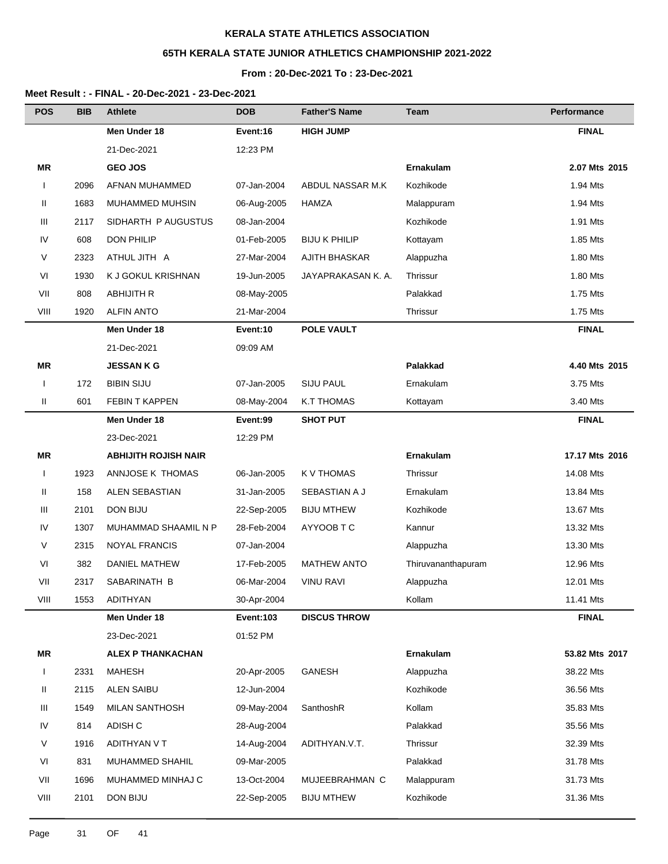# **65TH KERALA STATE JUNIOR ATHLETICS CHAMPIONSHIP 2021-2022**

## **From : 20-Dec-2021 To : 23-Dec-2021**

| <b>POS</b>   | <b>BIB</b> | <b>Athlete</b>              | <b>DOB</b>       | <b>Father'S Name</b> | Team               | Performance    |
|--------------|------------|-----------------------------|------------------|----------------------|--------------------|----------------|
|              |            | Men Under 18                | Event:16         | <b>HIGH JUMP</b>     |                    | <b>FINAL</b>   |
|              |            | 21-Dec-2021                 | 12:23 PM         |                      |                    |                |
| ΜR           |            | <b>GEO JOS</b>              |                  |                      | <b>Ernakulam</b>   | 2.07 Mts 2015  |
| $\mathbf{I}$ | 2096       | AFNAN MUHAMMED              | 07-Jan-2004      | ABDUL NASSAR M.K     | Kozhikode          | 1.94 Mts       |
| Ш            | 1683       | MUHAMMED MUHSIN             | 06-Aug-2005      | HAMZA                | Malappuram         | 1.94 Mts       |
| Ш            | 2117       | SIDHARTH P AUGUSTUS         | 08-Jan-2004      |                      | Kozhikode          | 1.91 Mts       |
| IV           | 608        | <b>DON PHILIP</b>           | 01-Feb-2005      | <b>BIJU K PHILIP</b> | Kottayam           | 1.85 Mts       |
| V            | 2323       | ATHUL JITH A                | 27-Mar-2004      | AJITH BHASKAR        | Alappuzha          | 1.80 Mts       |
| VI           | 1930       | K J GOKUL KRISHNAN          | 19-Jun-2005      | JAYAPRAKASAN K. A.   | Thrissur           | 1.80 Mts       |
| VII          | 808        | <b>ABHIJITH R</b>           | 08-May-2005      |                      | Palakkad           | 1.75 Mts       |
| VIII         | 1920       | <b>ALFIN ANTO</b>           | 21-Mar-2004      |                      | Thrissur           | 1.75 Mts       |
|              |            | Men Under 18                | Event:10         | <b>POLE VAULT</b>    |                    | <b>FINAL</b>   |
|              |            | 21-Dec-2021                 | 09:09 AM         |                      |                    |                |
| ΜR           |            | <b>JESSANKG</b>             |                  |                      | Palakkad           | 4.40 Mts 2015  |
| I            | 172        | <b>BIBIN SIJU</b>           | 07-Jan-2005      | <b>SIJU PAUL</b>     | Ernakulam          | 3.75 Mts       |
| Ш            | 601        | <b>FEBIN T KAPPEN</b>       | 08-May-2004      | K.T THOMAS           | Kottayam           | 3.40 Mts       |
|              |            | Men Under 18                | Event:99         | <b>SHOT PUT</b>      |                    | <b>FINAL</b>   |
|              |            | 23-Dec-2021                 | 12:29 PM         |                      |                    |                |
| ΜR           |            | <b>ABHIJITH ROJISH NAIR</b> |                  |                      | Ernakulam          | 17.17 Mts 2016 |
| $\mathbf{I}$ | 1923       | ANNJOSE K THOMAS            | 06-Jan-2005      | K V THOMAS           | Thrissur           | 14.08 Mts      |
| Ш            | 158        | ALEN SEBASTIAN              | 31-Jan-2005      | SEBASTIAN A J        | Ernakulam          | 13.84 Mts      |
| Ш            | 2101       | <b>DON BIJU</b>             | 22-Sep-2005      | <b>BIJU MTHEW</b>    | Kozhikode          | 13.67 Mts      |
| IV           | 1307       | MUHAMMAD SHAAMIL N P        | 28-Feb-2004      | AYYOOB T C           | Kannur             | 13.32 Mts      |
| V            | 2315       | <b>NOYAL FRANCIS</b>        | 07-Jan-2004      |                      | Alappuzha          | 13.30 Mts      |
| VI           | 382        | <b>DANIEL MATHEW</b>        | 17-Feb-2005      | <b>MATHEW ANTO</b>   | Thiruvananthapuram | 12.96 Mts      |
| VII          | 2317       | SABARINATH B                | 06-Mar-2004      | <b>VINU RAVI</b>     | Alappuzha          | 12.01 Mts      |
| VIII         | 1553       | <b>ADITHYAN</b>             | 30-Apr-2004      |                      | Kollam             | 11.41 Mts      |
|              |            | Men Under 18                | <b>Event:103</b> | <b>DISCUS THROW</b>  |                    | <b>FINAL</b>   |
|              |            | 23-Dec-2021                 | 01:52 PM         |                      |                    |                |
| MR           |            | <b>ALEX P THANKACHAN</b>    |                  |                      | Ernakulam          | 53.82 Mts 2017 |
| $\mathbf{I}$ | 2331       | <b>MAHESH</b>               | 20-Apr-2005      | GANESH               | Alappuzha          | 38.22 Mts      |
| Ш            | 2115       | <b>ALEN SAIBU</b>           | 12-Jun-2004      |                      | Kozhikode          | 36.56 Mts      |
| Ш            | 1549       | MILAN SANTHOSH              | 09-May-2004      | SanthoshR            | Kollam             | 35.83 Mts      |
| IV           | 814        | ADISH C                     | 28-Aug-2004      |                      | Palakkad           | 35.56 Mts      |
| V            | 1916       | ADITHYAN V T                | 14-Aug-2004      | ADITHYAN.V.T.        | Thrissur           | 32.39 Mts      |
| VI           | 831        | MUHAMMED SHAHIL             | 09-Mar-2005      |                      | Palakkad           | 31.78 Mts      |
| VII          | 1696       | MUHAMMED MINHAJ C           | 13-Oct-2004      | MUJEEBRAHMAN C       | Malappuram         | 31.73 Mts      |
| VIII         | 2101       | DON BIJU                    | 22-Sep-2005      | <b>BIJU MTHEW</b>    | Kozhikode          | 31.36 Mts      |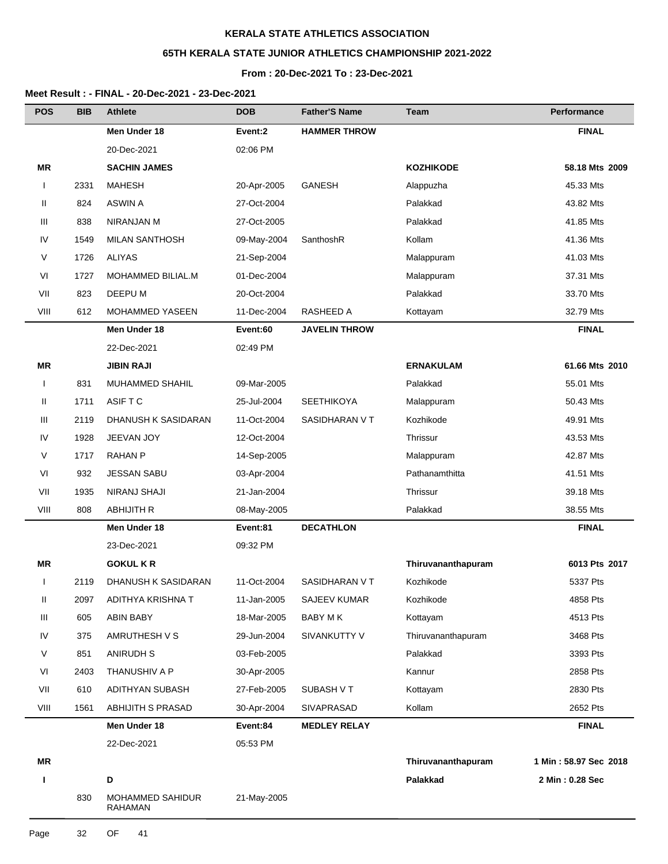# **65TH KERALA STATE JUNIOR ATHLETICS CHAMPIONSHIP 2021-2022**

## **From : 20-Dec-2021 To : 23-Dec-2021**

| <b>POS</b>   | <b>BIB</b> | <b>Athlete</b>                     | <b>DOB</b>  | <b>Father'S Name</b> | <b>Team</b>        | Performance           |
|--------------|------------|------------------------------------|-------------|----------------------|--------------------|-----------------------|
|              |            | Men Under 18                       | Event:2     | <b>HAMMER THROW</b>  |                    | <b>FINAL</b>          |
|              |            | 20-Dec-2021                        | 02:06 PM    |                      |                    |                       |
| ΜR           |            | <b>SACHIN JAMES</b>                |             |                      | <b>KOZHIKODE</b>   | 58.18 Mts 2009        |
| $\mathbf{I}$ | 2331       | <b>MAHESH</b>                      | 20-Apr-2005 | <b>GANESH</b>        | Alappuzha          | 45.33 Mts             |
| Ш            | 824        | <b>ASWIN A</b>                     | 27-Oct-2004 |                      | Palakkad           | 43.82 Mts             |
| Ш            | 838        | NIRANJAN M                         | 27-Oct-2005 |                      | Palakkad           | 41.85 Mts             |
| IV           | 1549       | <b>MILAN SANTHOSH</b>              | 09-May-2004 | SanthoshR            | Kollam             | 41.36 Mts             |
| V            | 1726       | <b>ALIYAS</b>                      | 21-Sep-2004 |                      | Malappuram         | 41.03 Mts             |
| VI           | 1727       | MOHAMMED BILIAL.M                  | 01-Dec-2004 |                      | Malappuram         | 37.31 Mts             |
| VII          | 823        | DEEPU M                            | 20-Oct-2004 |                      | Palakkad           | 33.70 Mts             |
| VIII         | 612        | MOHAMMED YASEEN                    | 11-Dec-2004 | RASHEED A            | Kottayam           | 32.79 Mts             |
|              |            | Men Under 18                       | Event:60    | <b>JAVELIN THROW</b> |                    | <b>FINAL</b>          |
|              |            | 22-Dec-2021                        | 02:49 PM    |                      |                    |                       |
| <b>MR</b>    |            | <b>JIBIN RAJI</b>                  |             |                      | <b>ERNAKULAM</b>   | 61.66 Mts 2010        |
| $\mathbf{I}$ | 831        | <b>MUHAMMED SHAHIL</b>             | 09-Mar-2005 |                      | Palakkad           | 55.01 Mts             |
| Ш            | 1711       | ASIF T C                           | 25-Jul-2004 | <b>SEETHIKOYA</b>    | Malappuram         | 50.43 Mts             |
| Ш            | 2119       | DHANUSH K SASIDARAN                | 11-Oct-2004 | SASIDHARAN V T       | Kozhikode          | 49.91 Mts             |
| IV           | 1928       | JEEVAN JOY                         | 12-Oct-2004 |                      | Thrissur           | 43.53 Mts             |
| V            | 1717       | <b>RAHAN P</b>                     | 14-Sep-2005 |                      | Malappuram         | 42.87 Mts             |
| VI           | 932        | <b>JESSAN SABU</b>                 | 03-Apr-2004 |                      | Pathanamthitta     | 41.51 Mts             |
| VII          | 1935       | <b>NIRANJ SHAJI</b>                | 21-Jan-2004 |                      | Thrissur           | 39.18 Mts             |
| VIII         | 808        | <b>ABHIJITH R</b>                  | 08-May-2005 |                      | Palakkad           | 38.55 Mts             |
|              |            | Men Under 18                       | Event:81    | <b>DECATHLON</b>     |                    | <b>FINAL</b>          |
|              |            | 23-Dec-2021                        | 09:32 PM    |                      |                    |                       |
| ΜR           |            | <b>GOKUL K R</b>                   |             |                      | Thiruvananthapuram | 6013 Pts 2017         |
| $\mathbf{I}$ | 2119       | DHANUSH K SASIDARAN                | 11-Oct-2004 | SASIDHARAN V T       | Kozhikode          | 5337 Pts              |
| Ш            | 2097       | ADITHYA KRISHNA T                  | 11-Jan-2005 | <b>SAJEEV KUMAR</b>  | Kozhikode          | 4858 Pts              |
| Ш            | 605        | ABIN BABY                          | 18-Mar-2005 | BABY M K             | Kottayam           | 4513 Pts              |
| IV           | 375        | AMRUTHESH V S                      | 29-Jun-2004 | SIVANKUTTY V         | Thiruvananthapuram | 3468 Pts              |
| V            | 851        | <b>ANIRUDH S</b>                   | 03-Feb-2005 |                      | Palakkad           | 3393 Pts              |
| VI           | 2403       | THANUSHIV A P                      | 30-Apr-2005 |                      | Kannur             | 2858 Pts              |
| VII          | 610        | ADITHYAN SUBASH                    | 27-Feb-2005 | SUBASH V T           | Kottayam           | 2830 Pts              |
| VIII         | 1561       | ABHIJITH S PRASAD                  | 30-Apr-2004 | SIVAPRASAD           | Kollam             | 2652 Pts              |
|              |            | Men Under 18                       | Event:84    | <b>MEDLEY RELAY</b>  |                    | <b>FINAL</b>          |
|              |            | 22-Dec-2021                        | 05:53 PM    |                      |                    |                       |
| <b>MR</b>    |            |                                    |             |                      | Thiruvananthapuram | 1 Min: 58.97 Sec 2018 |
| ı            |            | D                                  |             |                      | Palakkad           | 2 Min: 0.28 Sec       |
|              | 830        | MOHAMMED SAHIDUR<br><b>RAHAMAN</b> | 21-May-2005 |                      |                    |                       |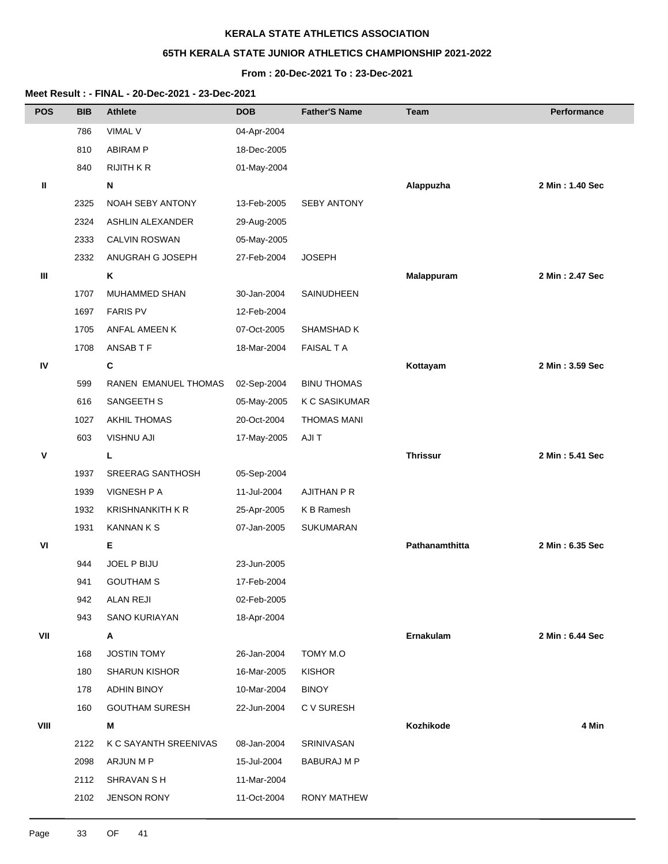# **65TH KERALA STATE JUNIOR ATHLETICS CHAMPIONSHIP 2021-2022**

## **From : 20-Dec-2021 To : 23-Dec-2021**

| <b>POS</b> | <b>BIB</b> | <b>Athlete</b>          | <b>DOB</b>  | <b>Father'S Name</b> | Team            | Performance     |
|------------|------------|-------------------------|-------------|----------------------|-----------------|-----------------|
|            | 786        | VIMAL V                 | 04-Apr-2004 |                      |                 |                 |
|            | 810        | <b>ABIRAM P</b>         | 18-Dec-2005 |                      |                 |                 |
|            | 840        | <b>RIJITH K R</b>       | 01-May-2004 |                      |                 |                 |
| Ш          |            | N                       |             |                      | Alappuzha       | 2 Min: 1.40 Sec |
|            | 2325       | NOAH SEBY ANTONY        | 13-Feb-2005 | <b>SEBY ANTONY</b>   |                 |                 |
|            | 2324       | <b>ASHLIN ALEXANDER</b> | 29-Aug-2005 |                      |                 |                 |
|            | 2333       | <b>CALVIN ROSWAN</b>    | 05-May-2005 |                      |                 |                 |
|            | 2332       | ANUGRAH G JOSEPH        | 27-Feb-2004 | <b>JOSEPH</b>        |                 |                 |
| Ш          |            | Κ                       |             |                      | Malappuram      | 2 Min: 2.47 Sec |
|            | 1707       | MUHAMMED SHAN           | 30-Jan-2004 | SAINUDHEEN           |                 |                 |
|            | 1697       | <b>FARIS PV</b>         | 12-Feb-2004 |                      |                 |                 |
|            | 1705       | ANFAL AMEEN K           | 07-Oct-2005 | SHAMSHAD K           |                 |                 |
|            | 1708       | ANSAB T F               | 18-Mar-2004 | <b>FAISAL T A</b>    |                 |                 |
| IV         |            | C                       |             |                      | Kottayam        | 2 Min: 3.59 Sec |
|            | 599        | RANEN EMANUEL THOMAS    | 02-Sep-2004 | <b>BINU THOMAS</b>   |                 |                 |
|            | 616        | SANGEETH S              | 05-May-2005 | <b>K C SASIKUMAR</b> |                 |                 |
|            | 1027       | AKHIL THOMAS            | 20-Oct-2004 | <b>THOMAS MANI</b>   |                 |                 |
|            | 603        | <b>VISHNU AJI</b>       | 17-May-2005 | AJI T                |                 |                 |
| ٧          |            | L.                      |             |                      | <b>Thrissur</b> | 2 Min: 5.41 Sec |
|            | 1937       | SREERAG SANTHOSH        | 05-Sep-2004 |                      |                 |                 |
|            | 1939       | <b>VIGNESH P A</b>      | 11-Jul-2004 | AJITHAN P R          |                 |                 |
|            | 1932       | <b>KRISHNANKITH K R</b> | 25-Apr-2005 | K B Ramesh           |                 |                 |
|            | 1931       | <b>KANNAN K S</b>       | 07-Jan-2005 | SUKUMARAN            |                 |                 |
| VI         |            | Е                       |             |                      | Pathanamthitta  | 2 Min: 6.35 Sec |
|            | 944        | JOEL P BIJU             | 23-Jun-2005 |                      |                 |                 |
|            | 941        | <b>GOUTHAM S</b>        | 17-Feb-2004 |                      |                 |                 |
|            | 942        | <b>ALAN REJI</b>        | 02-Feb-2005 |                      |                 |                 |
|            | 943        | <b>SANO KURIAYAN</b>    | 18-Apr-2004 |                      |                 |                 |
| VII        |            | Α                       |             |                      | Ernakulam       | 2 Min: 6.44 Sec |
|            | 168        | <b>JOSTIN TOMY</b>      | 26-Jan-2004 | TOMY M.O             |                 |                 |
|            | 180        | <b>SHARUN KISHOR</b>    | 16-Mar-2005 | <b>KISHOR</b>        |                 |                 |
|            | 178        | ADHIN BINOY             | 10-Mar-2004 | <b>BINOY</b>         |                 |                 |
|            | 160        | <b>GOUTHAM SURESH</b>   | 22-Jun-2004 | C V SURESH           |                 |                 |
| VIII       |            | M                       |             |                      | Kozhikode       | 4 Min           |
|            | 2122       | K C SAYANTH SREENIVAS   | 08-Jan-2004 | SRINIVASAN           |                 |                 |
|            | 2098       | ARJUN M P               | 15-Jul-2004 | <b>BABURAJ M P</b>   |                 |                 |
|            | 2112       | SHRAVAN S H             | 11-Mar-2004 |                      |                 |                 |
|            | 2102       | <b>JENSON RONY</b>      | 11-Oct-2004 | <b>RONY MATHEW</b>   |                 |                 |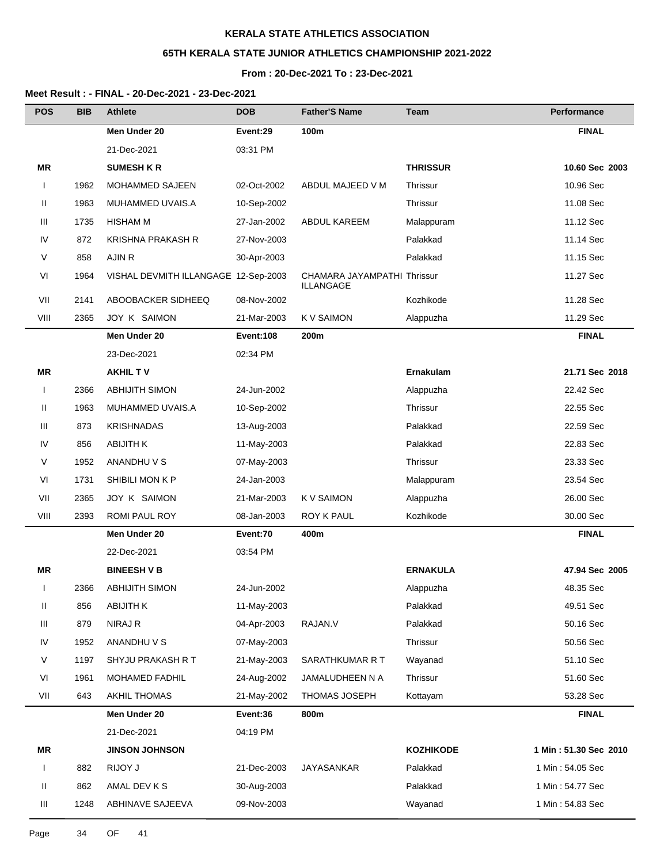# **65TH KERALA STATE JUNIOR ATHLETICS CHAMPIONSHIP 2021-2022**

### **From : 20-Dec-2021 To : 23-Dec-2021**

| <b>POS</b>   | <b>BIB</b> | <b>Athlete</b>                       | <b>DOB</b>  | <b>Father'S Name</b>                     | Team             | Performance           |
|--------------|------------|--------------------------------------|-------------|------------------------------------------|------------------|-----------------------|
|              |            | Men Under 20                         | Event:29    | 100m                                     |                  | <b>FINAL</b>          |
|              |            | 21-Dec-2021                          | 03:31 PM    |                                          |                  |                       |
| ΜR           |            | <b>SUMESH K R</b>                    |             |                                          | <b>THRISSUR</b>  | 10.60 Sec 2003        |
| $\mathbf{I}$ | 1962       | MOHAMMED SAJEEN                      | 02-Oct-2002 | ABDUL MAJEED V M                         | Thrissur         | 10.96 Sec             |
| Ш            | 1963       | MUHAMMED UVAIS.A                     | 10-Sep-2002 |                                          | Thrissur         | 11.08 Sec             |
| Ш            | 1735       | <b>HISHAM M</b>                      | 27-Jan-2002 | <b>ABDUL KAREEM</b>                      | Malappuram       | 11.12 Sec             |
| IV           | 872        | <b>KRISHNA PRAKASH R</b>             | 27-Nov-2003 |                                          | Palakkad         | 11.14 Sec             |
| V            | 858        | AJIN R                               | 30-Apr-2003 |                                          | Palakkad         | 11.15 Sec             |
| VI           | 1964       | VISHAL DEVMITH ILLANGAGE 12-Sep-2003 |             | CHAMARA JAYAMPATHI Thrissur<br>ILLANGAGE |                  | 11.27 Sec             |
| VII          | 2141       | ABOOBACKER SIDHEEQ                   | 08-Nov-2002 |                                          | Kozhikode        | 11.28 Sec             |
| VIII         | 2365       | JOY K SAIMON                         | 21-Mar-2003 | <b>KV SAIMON</b>                         | Alappuzha        | 11.29 Sec             |
|              |            | Men Under 20                         | Event:108   | 200m                                     |                  | <b>FINAL</b>          |
|              |            | 23-Dec-2021                          | 02:34 PM    |                                          |                  |                       |
| ΜR           |            | <b>AKHIL TV</b>                      |             |                                          | Ernakulam        | 21.71 Sec 2018        |
| $\mathsf{l}$ | 2366       | <b>ABHIJITH SIMON</b>                | 24-Jun-2002 |                                          | Alappuzha        | 22.42 Sec             |
| Ш            | 1963       | MUHAMMED UVAIS.A                     | 10-Sep-2002 |                                          | Thrissur         | 22.55 Sec             |
| Ш            | 873        | <b>KRISHNADAS</b>                    | 13-Aug-2003 |                                          | Palakkad         | 22.59 Sec             |
| IV           | 856        | <b>ABIJITH K</b>                     | 11-May-2003 |                                          | Palakkad         | 22.83 Sec             |
| V            | 1952       | ANANDHU V S                          | 07-May-2003 |                                          | Thrissur         | 23.33 Sec             |
| VI           | 1731       | SHIBILI MON K P                      | 24-Jan-2003 |                                          | Malappuram       | 23.54 Sec             |
| VII          | 2365       | JOY K SAIMON                         | 21-Mar-2003 | K V SAIMON                               | Alappuzha        | 26.00 Sec             |
| VIII         | 2393       | ROMI PAUL ROY                        | 08-Jan-2003 | ROY K PAUL                               | Kozhikode        | 30.00 Sec             |
|              |            | Men Under 20                         | Event:70    | 400m                                     |                  | <b>FINAL</b>          |
|              |            | 22-Dec-2021                          | 03:54 PM    |                                          |                  |                       |
| <b>MR</b>    |            | <b>BINEESH V B</b>                   |             |                                          | <b>ERNAKULA</b>  | 47.94 Sec 2005        |
| $\mathbf{I}$ | 2366       | <b>ABHIJITH SIMON</b>                | 24-Jun-2002 |                                          | Alappuzha        | 48.35 Sec             |
| Ш            | 856        | <b>ABIJITH K</b>                     | 11-May-2003 |                                          | Palakkad         | 49.51 Sec             |
| Ш            | 879        | NIRAJ R                              | 04-Apr-2003 | RAJAN.V                                  | Palakkad         | 50.16 Sec             |
| IV           | 1952       | ANANDHU V S                          | 07-May-2003 |                                          | Thrissur         | 50.56 Sec             |
| V            | 1197       | SHYJU PRAKASH R T                    | 21-May-2003 | SARATHKUMAR R T                          | Wayanad          | 51.10 Sec             |
| VI           | 1961       | <b>MOHAMED FADHIL</b>                | 24-Aug-2002 | JAMALUDHEEN N A                          | Thrissur         | 51.60 Sec             |
| VII          | 643        | <b>AKHIL THOMAS</b>                  | 21-May-2002 | <b>THOMAS JOSEPH</b>                     | Kottayam         | 53.28 Sec             |
|              |            | Men Under 20                         | Event:36    | 800m                                     |                  | <b>FINAL</b>          |
|              |            | 21-Dec-2021                          | 04:19 PM    |                                          |                  |                       |
| MR           |            | <b>JINSON JOHNSON</b>                |             |                                          | <b>KOZHIKODE</b> | 1 Min: 51.30 Sec 2010 |
| $\mathbf{I}$ | 882        | RIJOY J                              | 21-Dec-2003 | <b>JAYASANKAR</b>                        | Palakkad         | 1 Min: 54.05 Sec      |
| Ш            | 862        | AMAL DEV K S                         | 30-Aug-2003 |                                          | Palakkad         | 1 Min : 54.77 Sec     |
| Ш            | 1248       | ABHINAVE SAJEEVA                     | 09-Nov-2003 |                                          | Wayanad          | 1 Min: 54.83 Sec      |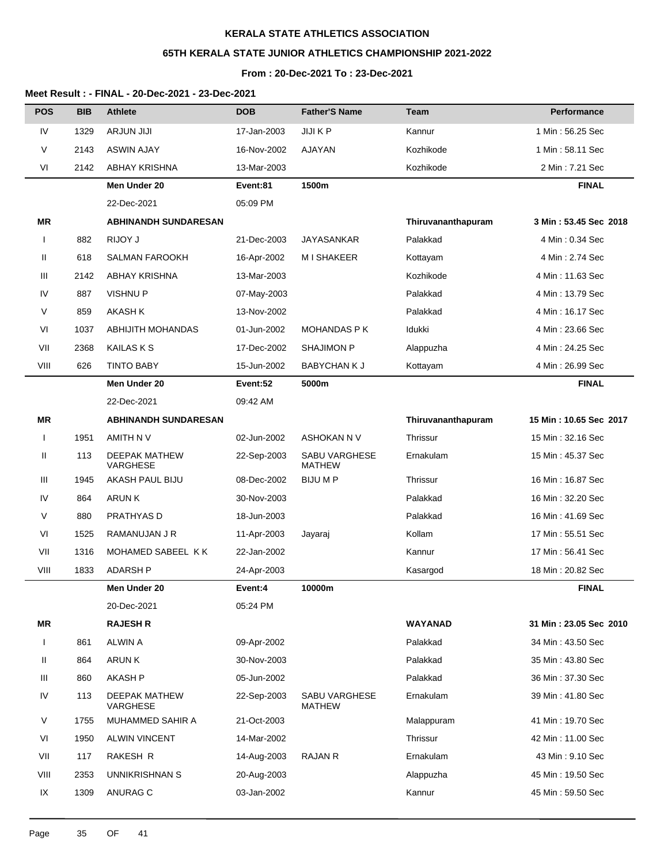# **65TH KERALA STATE JUNIOR ATHLETICS CHAMPIONSHIP 2021-2022**

## **From : 20-Dec-2021 To : 23-Dec-2021**

| <b>POS</b>   | <b>BIB</b> | <b>Athlete</b>                   | <b>DOB</b>  | <b>Father'S Name</b>                  | Team               | Performance            |
|--------------|------------|----------------------------------|-------------|---------------------------------------|--------------------|------------------------|
| IV           | 1329       | <b>ARJUN JIJI</b>                | 17-Jan-2003 | JIJI K P                              | Kannur             | 1 Min: 56.25 Sec       |
| V            | 2143       | ASWIN AJAY                       | 16-Nov-2002 | AJAYAN                                | Kozhikode          | 1 Min: 58.11 Sec       |
| VI           | 2142       | <b>ABHAY KRISHNA</b>             | 13-Mar-2003 |                                       | Kozhikode          | 2 Min: 7.21 Sec        |
|              |            | Men Under 20                     | Event:81    | 1500m                                 |                    | <b>FINAL</b>           |
|              |            | 22-Dec-2021                      | 05:09 PM    |                                       |                    |                        |
| ΜR           |            | <b>ABHINANDH SUNDARESAN</b>      |             |                                       | Thiruvananthapuram | 3 Min: 53.45 Sec 2018  |
|              | 882        | RIJOY J                          | 21-Dec-2003 | <b>JAYASANKAR</b>                     | Palakkad           | 4 Min: 0.34 Sec        |
| Ш            | 618        | <b>SALMAN FAROOKH</b>            | 16-Apr-2002 | M I SHAKEER                           | Kottayam           | 4 Min: 2.74 Sec        |
| Ш            | 2142       | ABHAY KRISHNA                    | 13-Mar-2003 |                                       | Kozhikode          | 4 Min: 11.63 Sec       |
| IV           | 887        | <b>VISHNU P</b>                  | 07-May-2003 |                                       | Palakkad           | 4 Min: 13.79 Sec       |
| V            | 859        | <b>AKASH K</b>                   | 13-Nov-2002 |                                       | Palakkad           | 4 Min: 16.17 Sec       |
| VI           | 1037       | <b>ABHIJITH MOHANDAS</b>         | 01-Jun-2002 | <b>MOHANDAS P K</b>                   | Idukki             | 4 Min: 23.66 Sec       |
| VII          | 2368       | <b>KAILAS K S</b>                | 17-Dec-2002 | <b>SHAJIMON P</b>                     | Alappuzha          | 4 Min: 24.25 Sec       |
| VIII         | 626        | <b>TINTO BABY</b>                | 15-Jun-2002 | <b>BABYCHAN K J</b>                   | Kottayam           | 4 Min: 26.99 Sec       |
|              |            | Men Under 20                     | Event:52    | 5000m                                 |                    | <b>FINAL</b>           |
|              |            | 22-Dec-2021                      | 09:42 AM    |                                       |                    |                        |
| ΜR           |            | <b>ABHINANDH SUNDARESAN</b>      |             |                                       | Thiruvananthapuram | 15 Min: 10.65 Sec 2017 |
| $\mathbf{I}$ | 1951       | AMITH N V                        | 02-Jun-2002 | ASHOKAN N V                           | Thrissur           | 15 Min: 32.16 Sec      |
| Ш            | 113        | <b>DEEPAK MATHEW</b><br>VARGHESE | 22-Sep-2003 | <b>SABU VARGHESE</b><br><b>MATHEW</b> | Ernakulam          | 15 Min: 45.37 Sec      |
| Ш            | 1945       | AKASH PAUL BIJU                  | 08-Dec-2002 | <b>BIJU M P</b>                       | Thrissur           | 16 Min: 16.87 Sec      |
| IV           | 864        | ARUN K                           | 30-Nov-2003 |                                       | Palakkad           | 16 Min: 32.20 Sec      |
| V            | 880        | PRATHYAS D                       | 18-Jun-2003 |                                       | Palakkad           | 16 Min: 41.69 Sec      |
| VI           | 1525       | RAMANUJAN J R                    | 11-Apr-2003 | Jayaraj                               | Kollam             | 17 Min: 55.51 Sec      |
| VII          | 1316       | MOHAMED SABEEL KK                | 22-Jan-2002 |                                       | Kannur             | 17 Min: 56.41 Sec      |
| VIII         | 1833       | <b>ADARSH P</b>                  | 24-Apr-2003 |                                       | Kasargod           | 18 Min: 20.82 Sec      |
|              |            | Men Under 20                     | Event:4     | 10000m                                |                    | <b>FINAL</b>           |
|              |            | 20-Dec-2021                      | 05:24 PM    |                                       |                    |                        |
| <b>MR</b>    |            | <b>RAJESH R</b>                  |             |                                       | <b>WAYANAD</b>     | 31 Min: 23.05 Sec 2010 |
| $\mathbf{I}$ | 861        | <b>ALWIN A</b>                   | 09-Apr-2002 |                                       | Palakkad           | 34 Min: 43.50 Sec      |
| Ш            | 864        | <b>ARUNK</b>                     | 30-Nov-2003 |                                       | Palakkad           | 35 Min: 43.80 Sec      |
| Ш            | 860        | <b>AKASH P</b>                   | 05-Jun-2002 |                                       | Palakkad           | 36 Min: 37.30 Sec      |
| IV           | 113        | DEEPAK MATHEW<br>VARGHESE        | 22-Sep-2003 | <b>SABU VARGHESE</b><br><b>MATHEW</b> | Ernakulam          | 39 Min: 41.80 Sec      |
| V            | 1755       | MUHAMMED SAHIR A                 | 21-Oct-2003 |                                       | Malappuram         | 41 Min: 19.70 Sec      |
| VI           | 1950       | <b>ALWIN VINCENT</b>             | 14-Mar-2002 |                                       | Thrissur           | 42 Min: 11.00 Sec      |
| VII          | 117        | RAKESH R                         | 14-Aug-2003 | <b>RAJAN R</b>                        | Ernakulam          | 43 Min: 9.10 Sec       |
| VIII         | 2353       | UNNIKRISHNAN S                   | 20-Aug-2003 |                                       | Alappuzha          | 45 Min: 19.50 Sec      |
| IX           | 1309       | ANURAG C                         | 03-Jan-2002 |                                       | Kannur             | 45 Min: 59.50 Sec      |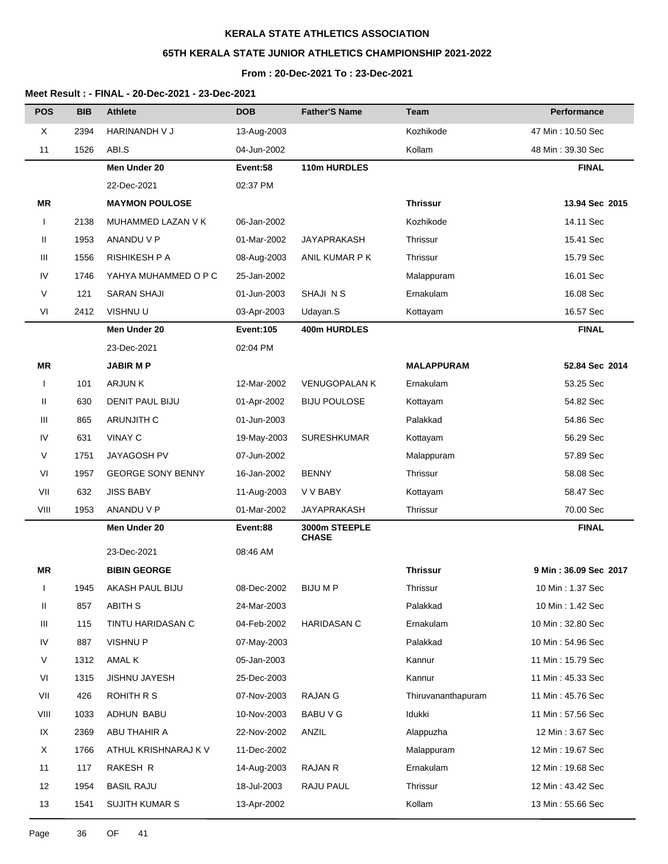# **65TH KERALA STATE JUNIOR ATHLETICS CHAMPIONSHIP 2021-2022**

# **From : 20-Dec-2021 To : 23-Dec-2021**

| <b>POS</b>   | <b>BIB</b> | <b>Athlete</b>           | <b>DOB</b>       | <b>Father'S Name</b>          | Team               | <b>Performance</b>    |
|--------------|------------|--------------------------|------------------|-------------------------------|--------------------|-----------------------|
| X            | 2394       | <b>HARINANDH V J</b>     | 13-Aug-2003      |                               | Kozhikode          | 47 Min: 10.50 Sec     |
| 11           | 1526       | ABI.S                    | 04-Jun-2002      |                               | Kollam             | 48 Min: 39.30 Sec     |
|              |            | Men Under 20             | Event:58         | 110m HURDLES                  |                    | <b>FINAL</b>          |
|              |            | 22-Dec-2021              | 02:37 PM         |                               |                    |                       |
| ΜR           |            | <b>MAYMON POULOSE</b>    |                  |                               | <b>Thrissur</b>    | 13.94 Sec 2015        |
| $\mathbf{I}$ | 2138       | MUHAMMED LAZAN V K       | 06-Jan-2002      |                               | Kozhikode          | 14.11 Sec             |
| Ш            | 1953       | ANANDU V P               | 01-Mar-2002      | <b>JAYAPRAKASH</b>            | Thrissur           | 15.41 Sec             |
| Ш            | 1556       | <b>RISHIKESH P A</b>     | 08-Aug-2003      | ANIL KUMAR P K                | Thrissur           | 15.79 Sec             |
| IV           | 1746       | YAHYA MUHAMMED O P C     | 25-Jan-2002      |                               | Malappuram         | 16.01 Sec             |
| V            | 121        | <b>SARAN SHAJI</b>       | 01-Jun-2003      | SHAJI N S                     | Ernakulam          | 16.08 Sec             |
| VI           | 2412       | VISHNU U                 | 03-Apr-2003      | Udayan.S                      | Kottayam           | 16.57 Sec             |
|              |            | Men Under 20             | <b>Event:105</b> | <b>400m HURDLES</b>           |                    | <b>FINAL</b>          |
|              |            | 23-Dec-2021              | 02:04 PM         |                               |                    |                       |
| ΜR           |            | <b>JABIR MP</b>          |                  |                               | <b>MALAPPURAM</b>  | 52.84 Sec 2014        |
| $\mathbf{I}$ | 101        | <b>ARJUNK</b>            | 12-Mar-2002      | <b>VENUGOPALAN K</b>          | Ernakulam          | 53.25 Sec             |
| Ш            | 630        | DENIT PAUL BIJU          | 01-Apr-2002      | <b>BIJU POULOSE</b>           | Kottayam           | 54.82 Sec             |
| Ш            | 865        | <b>ARUNJITH C</b>        | 01-Jun-2003      |                               | Palakkad           | 54.86 Sec             |
| IV           | 631        | <b>VINAY C</b>           | 19-May-2003      | SURESHKUMAR                   | Kottayam           | 56.29 Sec             |
| V            | 1751       | JAYAGOSH PV              | 07-Jun-2002      |                               | Malappuram         | 57.89 Sec             |
| VI           | 1957       | <b>GEORGE SONY BENNY</b> | 16-Jan-2002      | <b>BENNY</b>                  | Thrissur           | 58.08 Sec             |
| VII          | 632        | <b>JISS BABY</b>         | 11-Aug-2003      | V V BABY                      | Kottayam           | 58.47 Sec             |
| VIII         | 1953       | ANANDU V P               | 01-Mar-2002      | <b>JAYAPRAKASH</b>            | Thrissur           | 70.00 Sec             |
|              |            | Men Under 20             | Event:88         | 3000m STEEPLE<br><b>CHASE</b> |                    | <b>FINAL</b>          |
|              |            | 23-Dec-2021              | 08:46 AM         |                               |                    |                       |
| ΜR           |            | <b>BIBIN GEORGE</b>      |                  |                               | <b>Thrissur</b>    | 9 Min: 36.09 Sec 2017 |
| Τ.           | 1945       | AKASH PAUL BIJU          | 08-Dec-2002      | <b>BIJUMP</b>                 | Thrissur           | 10 Min: 1.37 Sec      |
| Ш            | 857        | <b>ABITH S</b>           | 24-Mar-2003      |                               | Palakkad           | 10 Min: 1.42 Sec      |
| Ш            | 115        | TINTU HARIDASAN C        | 04-Feb-2002      | <b>HARIDASAN C</b>            | Ernakulam          | 10 Min: 32.80 Sec     |
| IV           | 887        | <b>VISHNUP</b>           | 07-May-2003      |                               | Palakkad           | 10 Min: 54.96 Sec     |
| V            | 1312       | AMAL K                   | 05-Jan-2003      |                               | Kannur             | 11 Min: 15.79 Sec     |
| VI           | 1315       | <b>JISHNU JAYESH</b>     | 25-Dec-2003      |                               | Kannur             | 11 Min: 45.33 Sec     |
| VII          | 426        | ROHITH R S               | 07-Nov-2003      | RAJAN G                       | Thiruvananthapuram | 11 Min: 45.76 Sec     |
| VIII         | 1033       | ADHUN BABU               | 10-Nov-2003      | BABU V G                      | Idukki             | 11 Min: 57.56 Sec     |
| IX           | 2369       | ABU THAHIR A             | 22-Nov-2002      | ANZIL                         | Alappuzha          | 12 Min: 3.67 Sec      |
| X            | 1766       | ATHUL KRISHNARAJ K V     | 11-Dec-2002      |                               | Malappuram         | 12 Min: 19.67 Sec     |
| 11           | 117        | RAKESH R                 | 14-Aug-2003      | <b>RAJAN R</b>                | Ernakulam          | 12 Min: 19.68 Sec     |
| 12           | 1954       | <b>BASIL RAJU</b>        | 18-Jul-2003      | RAJU PAUL                     | Thrissur           | 12 Min: 43.42 Sec     |
| 13           | 1541       | <b>SUJITH KUMAR S</b>    | 13-Apr-2002      |                               | Kollam             | 13 Min: 55.66 Sec     |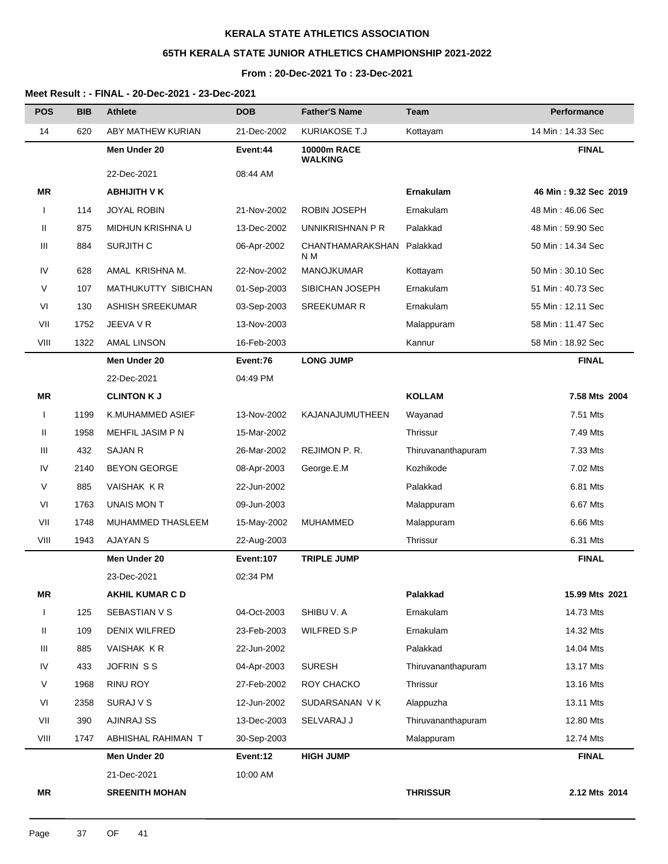# **65TH KERALA STATE JUNIOR ATHLETICS CHAMPIONSHIP 2021-2022**

#### **From : 20-Dec-2021 To : 23-Dec-2021**

| <b>POS</b>   | <b>BIB</b> | <b>Athlete</b>          | <b>DOB</b>       | <b>Father'S Name</b>                 | Team               | Performance           |
|--------------|------------|-------------------------|------------------|--------------------------------------|--------------------|-----------------------|
| 14           | 620        | ABY MATHEW KURIAN       | 21-Dec-2002      | KURIAKOSE T.J                        | Kottayam           | 14 Min: 14.33 Sec     |
|              |            | Men Under 20            | Event:44         | <b>10000m RACE</b><br><b>WALKING</b> |                    | <b>FINAL</b>          |
|              |            | 22-Dec-2021             | 08:44 AM         |                                      |                    |                       |
| ΜR           |            | <b>ABHIJITH V K</b>     |                  |                                      | <b>Ernakulam</b>   | 46 Min: 9.32 Sec 2019 |
| $\mathbf{I}$ | 114        | <b>JOYAL ROBIN</b>      | 21-Nov-2002      | <b>ROBIN JOSEPH</b>                  | Ernakulam          | 48 Min: 46.06 Sec     |
| Ш            | 875        | MIDHUN KRISHNA U        | 13-Dec-2002      | UNNIKRISHNAN P R                     | Palakkad           | 48 Min: 59.90 Sec     |
| Ш            | 884        | <b>SURJITH C</b>        | 06-Apr-2002      | CHANTHAMARAKSHAN<br>N M              | Palakkad           | 50 Min: 14.34 Sec     |
| IV           | 628        | AMAL KRISHNA M.         | 22-Nov-2002      | MANOJKUMAR                           | Kottayam           | 50 Min: 30.10 Sec     |
| V            | 107        | MATHUKUTTY SIBICHAN     | 01-Sep-2003      | SIBICHAN JOSEPH                      | Ernakulam          | 51 Min: 40.73 Sec     |
| VI           | 130        | <b>ASHISH SREEKUMAR</b> | 03-Sep-2003      | <b>SREEKUMAR R</b>                   | Ernakulam          | 55 Min: 12.11 Sec     |
| VII          | 1752       | JEEVA V R               | 13-Nov-2003      |                                      | Malappuram         | 58 Min: 11.47 Sec     |
| VIII         | 1322       | <b>AMAL LINSON</b>      | 16-Feb-2003      |                                      | Kannur             | 58 Min: 18.92 Sec     |
|              |            | Men Under 20            | Event:76         | <b>LONG JUMP</b>                     |                    | <b>FINAL</b>          |
|              |            | 22-Dec-2021             | 04:49 PM         |                                      |                    |                       |
| <b>MR</b>    |            | <b>CLINTON K J</b>      |                  |                                      | <b>KOLLAM</b>      | 7.58 Mts 2004         |
| $\mathbf{I}$ | 1199       | K.MUHAMMED ASIEF        | 13-Nov-2002      | KAJANAJUMUTHEEN                      | Wayanad            | 7.51 Mts              |
| Ш            | 1958       | MEHFIL JASIM P N        | 15-Mar-2002      |                                      | Thrissur           | 7.49 Mts              |
| Ш            | 432        | SAJAN R                 | 26-Mar-2002      | REJIMON P.R.                         | Thiruvananthapuram | 7.33 Mts              |
| IV           | 2140       | <b>BEYON GEORGE</b>     | 08-Apr-2003      | George.E.M                           | Kozhikode          | 7.02 Mts              |
| V            | 885        | VAISHAK KR              | 22-Jun-2002      |                                      | Palakkad           | 6.81 Mts              |
| VI           | 1763       | UNAIS MON T             | 09-Jun-2003      |                                      | Malappuram         | 6.67 Mts              |
| VII          | 1748       | MUHAMMED THASLEEM       | 15-May-2002      | <b>MUHAMMED</b>                      | Malappuram         | 6.66 Mts              |
| VIII         | 1943       | AJAYAN S                | 22-Aug-2003      |                                      | Thrissur           | 6.31 Mts              |
|              |            | Men Under 20            | <b>Event:107</b> | <b>TRIPLE JUMP</b>                   |                    | <b>FINAL</b>          |
|              |            | 23-Dec-2021             | 02:34 PM         |                                      |                    |                       |
| <b>MR</b>    |            | <b>AKHIL KUMAR C D</b>  |                  |                                      | Palakkad           | 15.99 Mts 2021        |
| $\mathbf{I}$ | 125        | SEBASTIAN V S           | 04-Oct-2003      | SHIBU V. A                           | Ernakulam          | 14.73 Mts             |
| Ш            | 109        | DENIX WILFRED           | 23-Feb-2003      | <b>WILFRED S.P</b>                   | Ernakulam          | 14.32 Mts             |
| Ш            | 885        | VAISHAK KR              | 22-Jun-2002      |                                      | Palakkad           | 14.04 Mts             |
| IV           | 433        | JOFRIN SS               | 04-Apr-2003      | <b>SURESH</b>                        | Thiruvananthapuram | 13.17 Mts             |
| V            | 1968       | <b>RINU ROY</b>         | 27-Feb-2002      | ROY CHACKO                           | Thrissur           | 13.16 Mts             |
| VI           | 2358       | SURAJ V S               | 12-Jun-2002      | SUDARSANAN VK                        | Alappuzha          | 13.11 Mts             |
| VII          | 390        | <b>AJINRAJ SS</b>       | 13-Dec-2003      | SELVARAJ J                           | Thiruvananthapuram | 12.80 Mts             |
| VIII         | 1747       | ABHISHAL RAHIMAN T      | 30-Sep-2003      |                                      | Malappuram         | 12.74 Mts             |
|              |            | Men Under 20            | Event:12         | <b>HIGH JUMP</b>                     |                    | <b>FINAL</b>          |
|              |            | 21-Dec-2021             | 10:00 AM         |                                      |                    |                       |
| <b>MR</b>    |            | <b>SREENITH MOHAN</b>   |                  |                                      | <b>THRISSUR</b>    | 2.12 Mts 2014         |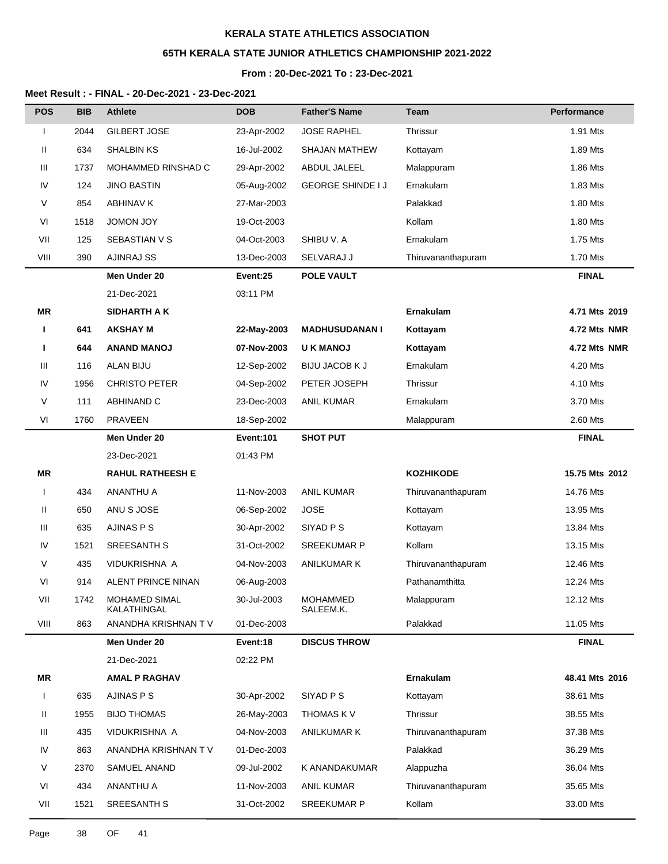# **65TH KERALA STATE JUNIOR ATHLETICS CHAMPIONSHIP 2021-2022**

### **From : 20-Dec-2021 To : 23-Dec-2021**

#### **Meet Result : - FINAL - 20-Dec-2021 - 23-Dec-2021**

| <b>POS</b>   | <b>BIB</b> | <b>Athlete</b>                      | <b>DOB</b>       | <b>Father'S Name</b>         | <b>Team</b>        | <b>Performance</b> |
|--------------|------------|-------------------------------------|------------------|------------------------------|--------------------|--------------------|
| I            | 2044       | GILBERT JOSE                        | 23-Apr-2002      | <b>JOSE RAPHEL</b>           | Thrissur           | 1.91 Mts           |
| Ш            | 634        | <b>SHALBIN KS</b>                   | 16-Jul-2002      | <b>SHAJAN MATHEW</b>         | Kottayam           | 1.89 Mts           |
| Ш            | 1737       | MOHAMMED RINSHAD C                  | 29-Apr-2002      | <b>ABDUL JALEEL</b>          | Malappuram         | 1.86 Mts           |
| IV           | 124        | <b>JINO BASTIN</b>                  | 05-Aug-2002      | <b>GEORGE SHINDE I J</b>     | Ernakulam          | 1.83 Mts           |
| V            | 854        | <b>ABHINAV K</b>                    | 27-Mar-2003      |                              | Palakkad           | 1.80 Mts           |
| VI           | 1518       | <b>JOMON JOY</b>                    | 19-Oct-2003      |                              | Kollam             | 1.80 Mts           |
| VII          | 125        | SEBASTIAN V S                       | 04-Oct-2003      | SHIBU V. A                   | Ernakulam          | 1.75 Mts           |
| VIII         | 390        | <b>AJINRAJ SS</b>                   | 13-Dec-2003      | SELVARAJ J                   | Thiruvananthapuram | 1.70 Mts           |
|              |            | Men Under 20                        | Event:25         | <b>POLE VAULT</b>            |                    | <b>FINAL</b>       |
|              |            | 21-Dec-2021                         | 03:11 PM         |                              |                    |                    |
| MR           |            | SIDHARTH A K                        |                  |                              | Ernakulam          | 4.71 Mts 2019      |
| Ш            | 641        | <b>AKSHAY M</b>                     | 22-May-2003      | <b>MADHUSUDANAN I</b>        | Kottayam           | 4.72 Mts NMR       |
| п            | 644        | <b>ANAND MANOJ</b>                  | 07-Nov-2003      | <b>UK MANOJ</b>              | Kottayam           | 4.72 Mts NMR       |
| Ш            | 116        | <b>ALAN BIJU</b>                    | 12-Sep-2002      | <b>BIJU JACOB K J</b>        | Ernakulam          | 4.20 Mts           |
| IV           | 1956       | <b>CHRISTO PETER</b>                | 04-Sep-2002      | PETER JOSEPH                 | Thrissur           | 4.10 Mts           |
| V            | 111        | ABHINAND C                          | 23-Dec-2003      | <b>ANIL KUMAR</b>            | Ernakulam          | 3.70 Mts           |
| VI           | 1760       | <b>PRAVEEN</b>                      | 18-Sep-2002      |                              | Malappuram         | 2.60 Mts           |
|              |            | Men Under 20                        | <b>Event:101</b> | <b>SHOT PUT</b>              |                    | <b>FINAL</b>       |
|              |            | 23-Dec-2021                         | 01:43 PM         |                              |                    |                    |
| <b>MR</b>    |            | <b>RAHUL RATHEESH E</b>             |                  |                              | <b>KOZHIKODE</b>   | 15.75 Mts 2012     |
| I            | 434        | ANANTHU A                           | 11-Nov-2003      | <b>ANIL KUMAR</b>            | Thiruvananthapuram | 14.76 Mts          |
| Ш            | 650        | ANU S JOSE                          | 06-Sep-2002      | <b>JOSE</b>                  | Kottayam           | 13.95 Mts          |
| Ш            | 635        | AJINAS P S                          | 30-Apr-2002      | SIYAD P S                    | Kottayam           | 13.84 Mts          |
| IV           | 1521       | <b>SREESANTH S</b>                  | 31-Oct-2002      | <b>SREEKUMAR P</b>           | Kollam             | 13.15 Mts          |
| V            | 435        | VIDUKRISHNA A                       | 04-Nov-2003      | ANILKUMAR K                  | Thiruvananthapuram | 12.46 Mts          |
| VI           | 914        | <b>ALENT PRINCE NINAN</b>           | 06-Aug-2003      |                              | Pathanamthitta     | 12.24 Mts          |
| VII          | 1742       | <b>MOHAMED SIMAL</b><br>KALATHINGAL | 30-Jul-2003      | <b>MOHAMMED</b><br>SALEEM.K. | Malappuram         | 12.12 Mts          |
| VIII         | 863        | ANANDHA KRISHNAN TV                 | 01-Dec-2003      |                              | Palakkad           | 11.05 Mts          |
|              |            | Men Under 20                        | Event:18         | <b>DISCUS THROW</b>          |                    | <b>FINAL</b>       |
|              |            | 21-Dec-2021                         | 02:22 PM         |                              |                    |                    |
| MR           |            | <b>AMAL P RAGHAV</b>                |                  |                              | Ernakulam          | 48.41 Mts 2016     |
| $\mathbf{I}$ | 635        | AJINAS P S                          | 30-Apr-2002      | SIYAD <sub>PS</sub>          | Kottayam           | 38.61 Mts          |
| Ш            | 1955       | <b>BIJO THOMAS</b>                  | 26-May-2003      | THOMAS K V                   | Thrissur           | 38.55 Mts          |
| Ш            | 435        | VIDUKRISHNA A                       | 04-Nov-2003      | <b>ANILKUMAR K</b>           | Thiruvananthapuram | 37.38 Mts          |
| IV           | 863        | ANANDHA KRISHNAN TV                 | 01-Dec-2003      |                              | Palakkad           | 36.29 Mts          |
| V            | 2370       | SAMUEL ANAND                        | 09-Jul-2002      | K ANANDAKUMAR                | Alappuzha          | 36.04 Mts          |
| VI           | 434        | ANANTHU A                           | 11-Nov-2003      | <b>ANIL KUMAR</b>            | Thiruvananthapuram | 35.65 Mts          |
| VII          | 1521       | SREESANTH S                         | 31-Oct-2002      | <b>SREEKUMAR P</b>           | Kollam             | 33.00 Mts          |

Page 38 OF 41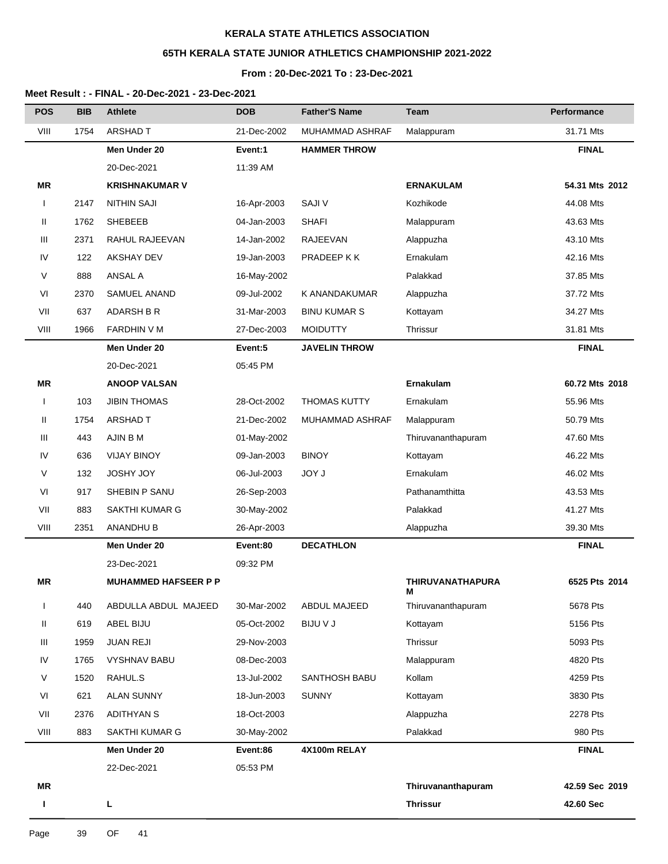# **65TH KERALA STATE JUNIOR ATHLETICS CHAMPIONSHIP 2021-2022**

### **From : 20-Dec-2021 To : 23-Dec-2021**

| <b>POS</b>   | <b>BIB</b> | <b>Athlete</b>              | <b>DOB</b>  | <b>Father'S Name</b>   | Team                         | <b>Performance</b> |
|--------------|------------|-----------------------------|-------------|------------------------|------------------------------|--------------------|
| VIII         | 1754       | ARSHAD T                    | 21-Dec-2002 | <b>MUHAMMAD ASHRAF</b> | Malappuram                   | 31.71 Mts          |
|              |            | Men Under 20                | Event:1     | <b>HAMMER THROW</b>    |                              | <b>FINAL</b>       |
|              |            | 20-Dec-2021                 | 11:39 AM    |                        |                              |                    |
| <b>MR</b>    |            | <b>KRISHNAKUMAR V</b>       |             |                        | <b>ERNAKULAM</b>             | 54.31 Mts 2012     |
| I            | 2147       | <b>NITHIN SAJI</b>          | 16-Apr-2003 | <b>SAJIV</b>           | Kozhikode                    | 44.08 Mts          |
| Ш            | 1762       | <b>SHEBEEB</b>              | 04-Jan-2003 | <b>SHAFI</b>           | Malappuram                   | 43.63 Mts          |
| Ш            | 2371       | RAHUL RAJEEVAN              | 14-Jan-2002 | RAJEEVAN               | Alappuzha                    | 43.10 Mts          |
| IV           | 122        | <b>AKSHAY DEV</b>           | 19-Jan-2003 | PRADEEP K K            | Ernakulam                    | 42.16 Mts          |
| V            | 888        | <b>ANSAL A</b>              | 16-May-2002 |                        | Palakkad                     | 37.85 Mts          |
| VI           | 2370       | SAMUEL ANAND                | 09-Jul-2002 | K ANANDAKUMAR          | Alappuzha                    | 37.72 Mts          |
| VII          | 637        | <b>ADARSH B R</b>           | 31-Mar-2003 | <b>BINU KUMAR S</b>    | Kottayam                     | 34.27 Mts          |
| VIII         | 1966       | <b>FARDHIN V M</b>          | 27-Dec-2003 | <b>MOIDUTTY</b>        | Thrissur                     | 31.81 Mts          |
|              |            | Men Under 20                | Event:5     | <b>JAVELIN THROW</b>   |                              | <b>FINAL</b>       |
|              |            | 20-Dec-2021                 | 05:45 PM    |                        |                              |                    |
| MR           |            | <b>ANOOP VALSAN</b>         |             |                        | Ernakulam                    | 60.72 Mts 2018     |
| $\mathbf{I}$ | 103        | <b>JIBIN THOMAS</b>         | 28-Oct-2002 | <b>THOMAS KUTTY</b>    | Ernakulam                    | 55.96 Mts          |
| Ш            | 1754       | <b>ARSHAD T</b>             | 21-Dec-2002 | MUHAMMAD ASHRAF        | Malappuram                   | 50.79 Mts          |
| Ш            | 443        | AJIN B M                    | 01-May-2002 |                        | Thiruvananthapuram           | 47.60 Mts          |
| IV           | 636        | <b>VIJAY BINOY</b>          | 09-Jan-2003 | <b>BINOY</b>           | Kottayam                     | 46.22 Mts          |
| V            | 132        | <b>JOSHY JOY</b>            | 06-Jul-2003 | JOY J                  | Ernakulam                    | 46.02 Mts          |
| VI           | 917        | SHEBIN P SANU               | 26-Sep-2003 |                        | Pathanamthitta               | 43.53 Mts          |
| VII          | 883        | SAKTHI KUMAR G              | 30-May-2002 |                        | Palakkad                     | 41.27 Mts          |
| VIII         | 2351       | ANANDHU B                   | 26-Apr-2003 |                        | Alappuzha                    | 39.30 Mts          |
|              |            | Men Under 20                | Event:80    | <b>DECATHLON</b>       |                              | <b>FINAL</b>       |
|              |            | 23-Dec-2021                 | 09:32 PM    |                        |                              |                    |
| ΜR           |            | <b>MUHAMMED HAFSEER P P</b> |             |                        | <b>THIRUVANATHAPURA</b><br>м | 6525 Pts 2014      |
| ı            | 440        | ABDULLA ABDUL MAJEED        | 30-Mar-2002 | <b>ABDUL MAJEED</b>    | Thiruvananthapuram           | 5678 Pts           |
| Ш            | 619        | ABEL BIJU                   | 05-Oct-2002 | <b>BIJU V J</b>        | Kottayam                     | 5156 Pts           |
| Ш            | 1959       | <b>JUAN REJI</b>            | 29-Nov-2003 |                        | Thrissur                     | 5093 Pts           |
| IV           | 1765       | <b>VYSHNAV BABU</b>         | 08-Dec-2003 |                        | Malappuram                   | 4820 Pts           |
| V            | 1520       | RAHUL.S                     | 13-Jul-2002 | SANTHOSH BABU          | Kollam                       | 4259 Pts           |
| VI           | 621        | <b>ALAN SUNNY</b>           | 18-Jun-2003 | <b>SUNNY</b>           | Kottayam                     | 3830 Pts           |
| VII          | 2376       | <b>ADITHYAN S</b>           | 18-Oct-2003 |                        | Alappuzha                    | 2278 Pts           |
| VIII         | 883        | SAKTHI KUMAR G              | 30-May-2002 |                        | Palakkad                     | 980 Pts            |
|              |            | Men Under 20                | Event:86    | 4X100m RELAY           |                              | <b>FINAL</b>       |
|              |            | 22-Dec-2021                 | 05:53 PM    |                        |                              |                    |
| <b>MR</b>    |            |                             |             |                        | Thiruvananthapuram           | 42.59 Sec 2019     |
| т            |            | L                           |             |                        | <b>Thrissur</b>              | 42.60 Sec          |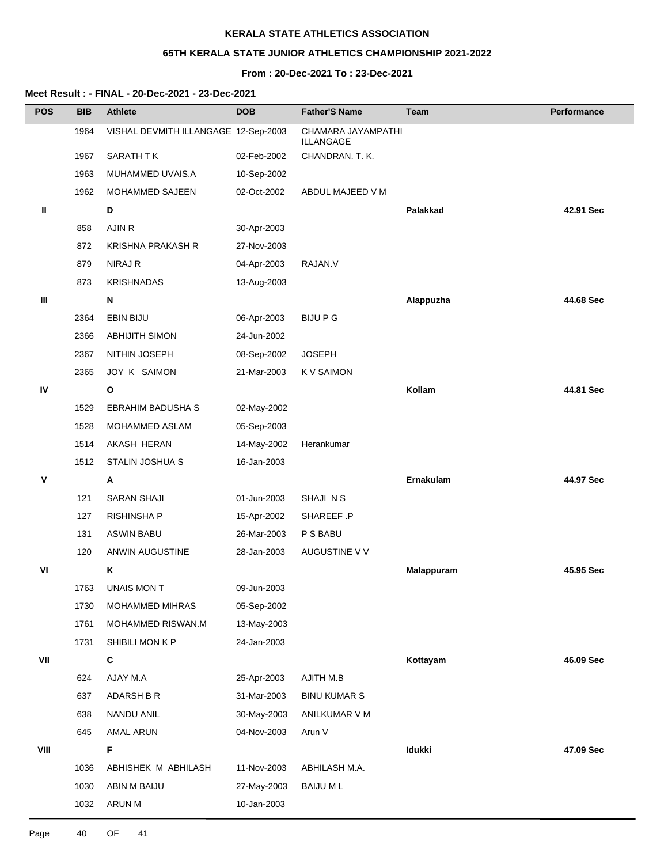## **65TH KERALA STATE JUNIOR ATHLETICS CHAMPIONSHIP 2021-2022**

## **From : 20-Dec-2021 To : 23-Dec-2021**

| <b>POS</b> | <b>BIB</b> | <b>Athlete</b>                       | <b>DOB</b>  | <b>Father'S Name</b>                   | Team            | <b>Performance</b> |
|------------|------------|--------------------------------------|-------------|----------------------------------------|-----------------|--------------------|
|            | 1964       | VISHAL DEVMITH ILLANGAGE 12-Sep-2003 |             | CHAMARA JAYAMPATHI<br><b>ILLANGAGE</b> |                 |                    |
|            | 1967       | SARATH TK                            | 02-Feb-2002 | CHANDRAN. T. K.                        |                 |                    |
|            | 1963       | MUHAMMED UVAIS.A                     | 10-Sep-2002 |                                        |                 |                    |
|            | 1962       | MOHAMMED SAJEEN                      | 02-Oct-2002 | ABDUL MAJEED V M                       |                 |                    |
| Ш          |            | D                                    |             |                                        | <b>Palakkad</b> | 42.91 Sec          |
|            | 858        | AJIN R                               | 30-Apr-2003 |                                        |                 |                    |
|            | 872        | <b>KRISHNA PRAKASH R</b>             | 27-Nov-2003 |                                        |                 |                    |
|            | 879        | NIRAJ R                              | 04-Apr-2003 | RAJAN.V                                |                 |                    |
|            | 873        | <b>KRISHNADAS</b>                    | 13-Aug-2003 |                                        |                 |                    |
| Ш          |            | N                                    |             |                                        | Alappuzha       | 44.68 Sec          |
|            | 2364       | EBIN BIJU                            | 06-Apr-2003 | <b>BIJU P G</b>                        |                 |                    |
|            | 2366       | <b>ABHIJITH SIMON</b>                | 24-Jun-2002 |                                        |                 |                    |
|            | 2367       | NITHIN JOSEPH                        | 08-Sep-2002 | <b>JOSEPH</b>                          |                 |                    |
|            | 2365       | JOY K SAIMON                         | 21-Mar-2003 | <b>KV SAIMON</b>                       |                 |                    |
| IV         |            | O                                    |             |                                        | Kollam          | 44.81 Sec          |
|            | 1529       | EBRAHIM BADUSHA S                    | 02-May-2002 |                                        |                 |                    |
|            | 1528       | MOHAMMED ASLAM                       | 05-Sep-2003 |                                        |                 |                    |
|            | 1514       | AKASH HERAN                          | 14-May-2002 | Herankumar                             |                 |                    |
|            | 1512       | STALIN JOSHUA S                      | 16-Jan-2003 |                                        |                 |                    |
| v          |            | Α                                    |             |                                        | Ernakulam       | 44.97 Sec          |
|            | 121        | SARAN SHAJI                          | 01-Jun-2003 | SHAJI N S                              |                 |                    |
|            | 127        | RISHINSHA P                          | 15-Apr-2002 | SHAREEF .P                             |                 |                    |
|            | 131        | <b>ASWIN BABU</b>                    | 26-Mar-2003 | P S BABU                               |                 |                    |
|            | 120        | ANWIN AUGUSTINE                      | 28-Jan-2003 | AUGUSTINE V V                          |                 |                    |
| VI         |            | Κ                                    |             |                                        | Malappuram      | 45.95 Sec          |
|            | 1763       | UNAIS MON T                          | 09-Jun-2003 |                                        |                 |                    |
|            | 1730       | MOHAMMED MIHRAS                      | 05-Sep-2002 |                                        |                 |                    |
|            | 1761       | MOHAMMED RISWAN.M                    | 13-May-2003 |                                        |                 |                    |
|            | 1731       | SHIBILI MON K P                      | 24-Jan-2003 |                                        |                 |                    |
| VII        |            | C                                    |             |                                        | Kottayam        | 46.09 Sec          |
|            | 624        | AJAY M.A                             | 25-Apr-2003 | AJITH M.B                              |                 |                    |
|            | 637        | ADARSH B R                           | 31-Mar-2003 | <b>BINU KUMAR S</b>                    |                 |                    |
|            | 638        | NANDU ANIL                           | 30-May-2003 | ANILKUMAR V M                          |                 |                    |
|            | 645        | AMAL ARUN                            | 04-Nov-2003 | Arun V                                 |                 |                    |
| VIII       |            | F                                    |             |                                        | Idukki          | 47.09 Sec          |
|            | 1036       | ABHISHEK M ABHILASH                  | 11-Nov-2003 | ABHILASH M.A.                          |                 |                    |
|            | 1030       | ABIN M BAIJU                         | 27-May-2003 | <b>BAIJUML</b>                         |                 |                    |
|            | 1032       | ARUN M                               | 10-Jan-2003 |                                        |                 |                    |